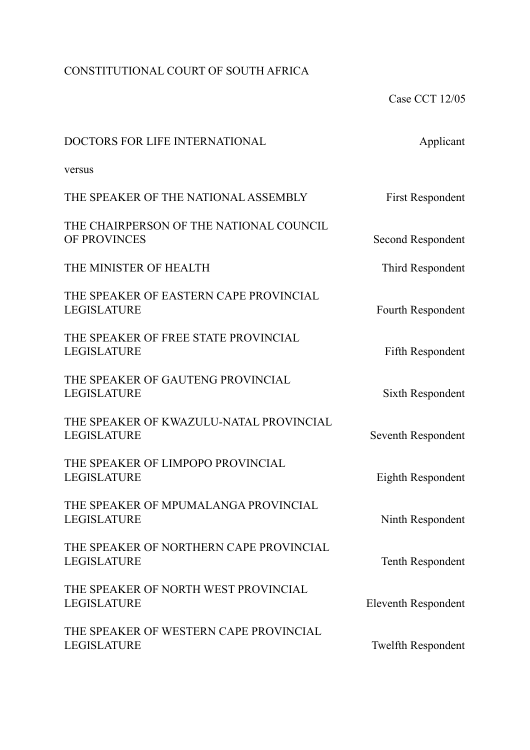## CONSTITUTIONAL COURT OF SOUTH AFRICA

Case CCT 12/05

| DOCTORS FOR LIFE INTERNATIONAL                                | Applicant                  |
|---------------------------------------------------------------|----------------------------|
| versus                                                        |                            |
| THE SPEAKER OF THE NATIONAL ASSEMBLY                          | <b>First Respondent</b>    |
| THE CHAIRPERSON OF THE NATIONAL COUNCIL<br>OF PROVINCES       | Second Respondent          |
| THE MINISTER OF HEALTH                                        | Third Respondent           |
| THE SPEAKER OF EASTERN CAPE PROVINCIAL<br><b>LEGISLATURE</b>  | Fourth Respondent          |
| THE SPEAKER OF FREE STATE PROVINCIAL<br><b>LEGISLATURE</b>    | Fifth Respondent           |
| THE SPEAKER OF GAUTENG PROVINCIAL<br><b>LEGISLATURE</b>       | Sixth Respondent           |
| THE SPEAKER OF KWAZULU-NATAL PROVINCIAL<br><b>LEGISLATURE</b> | Seventh Respondent         |
| THE SPEAKER OF LIMPOPO PROVINCIAL<br><b>LEGISLATURE</b>       | Eighth Respondent          |
| THE SPEAKER OF MPUMALANGA PROVINCIAL<br><b>LEGISLATURE</b>    | Ninth Respondent           |
| THE SPEAKER OF NORTHERN CAPE PROVINCIAL<br><b>LEGISLATURE</b> | <b>Tenth Respondent</b>    |
| THE SPEAKER OF NORTH WEST PROVINCIAL<br>LEGISLATURE           | <b>Eleventh Respondent</b> |
| THE SPEAKER OF WESTERN CAPE PROVINCIAL<br>LEGISLATURE         | <b>Twelfth Respondent</b>  |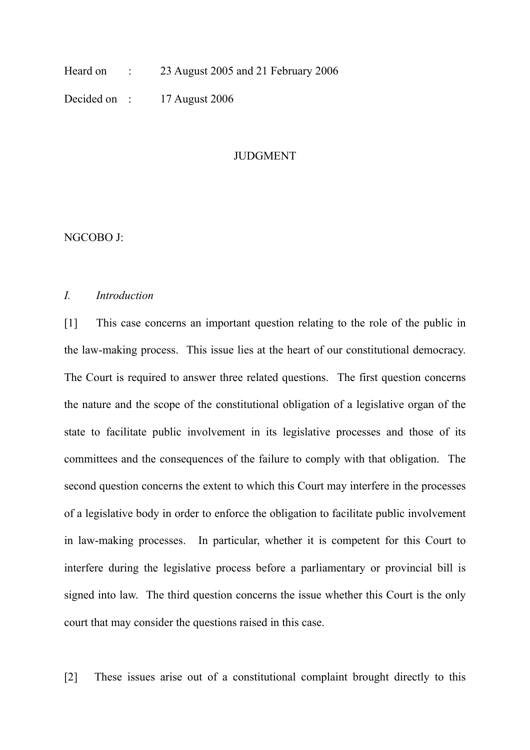Heard on : 23 August 2005 and 21 February 2006

Decided on : 17 August 2006

#### JUDGMENT

NGCOBO J:

#### *I. Introduction*

[1] This case concerns an important question relating to the role of the public in the law-making process. This issue lies at the heart of our constitutional democracy. The Court is required to answer three related questions. The first question concerns the nature and the scope of the constitutional obligation of a legislative organ of the state to facilitate public involvement in its legislative processes and those of its committees and the consequences of the failure to comply with that obligation. The second question concerns the extent to which this Court may interfere in the processes of a legislative body in order to enforce the obligation to facilitate public involvement in law-making processes. In particular, whether it is competent for this Court to interfere during the legislative process before a parliamentary or provincial bill is signed into law. The third question concerns the issue whether this Court is the only court that may consider the questions raised in this case.

[2] These issues arise out of a constitutional complaint brought directly to this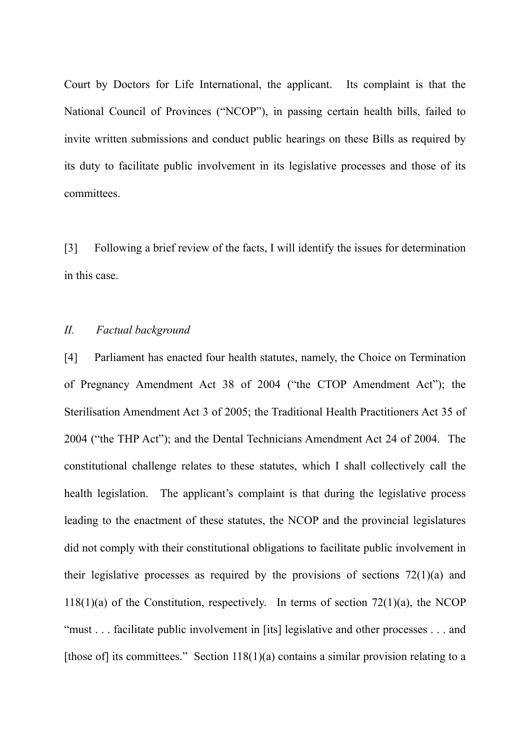Court by Doctors for Life International, the applicant. Its complaint is that the National Council of Provinces ("NCOP"), in passing certain health bills, failed to invite written submissions and conduct public hearings on these Bills as required by its duty to facilitate public involvement in its legislative processes and those of its committees.

[3] Following a brief review of the facts, I will identify the issues for determination in this case.

### *II. Factual background*

[4] Parliament has enacted four health statutes, namely, the Choice on Termination of Pregnancy Amendment Act 38 of 2004 ("the CTOP Amendment Act"); the Sterilisation Amendment Act 3 of 2005; the Traditional Health Practitioners Act 35 of 2004 ("the THP Act"); and the Dental Technicians Amendment Act 24 of 2004. The constitutional challenge relates to these statutes, which I shall collectively call the health legislation. The applicant's complaint is that during the legislative process leading to the enactment of these statutes, the NCOP and the provincial legislatures did not comply with their constitutional obligations to facilitate public involvement in their legislative processes as required by the provisions of sections  $72(1)(a)$  and  $118(1)(a)$  of the Constitution, respectively. In terms of section 72(1)(a), the NCOP "must . . . facilitate public involvement in [its] legislative and other processes . . . and [those of] its committees." Section  $118(1)(a)$  contains a similar provision relating to a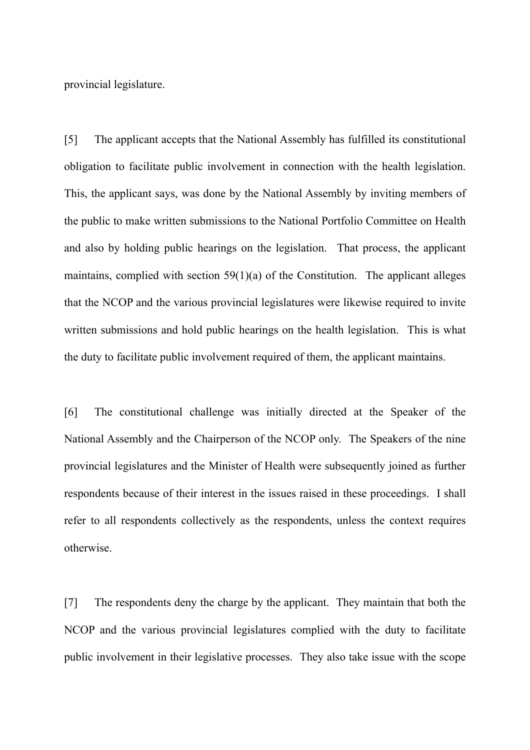provincial legislature.

[5] The applicant accepts that the National Assembly has fulfilled its constitutional obligation to facilitate public involvement in connection with the health legislation. This, the applicant says, was done by the National Assembly by inviting members of the public to make written submissions to the National Portfolio Committee on Health and also by holding public hearings on the legislation. That process, the applicant maintains, complied with section  $59(1)(a)$  of the Constitution. The applicant alleges that the NCOP and the various provincial legislatures were likewise required to invite written submissions and hold public hearings on the health legislation. This is what the duty to facilitate public involvement required of them, the applicant maintains.

[6] The constitutional challenge was initially directed at the Speaker of the National Assembly and the Chairperson of the NCOP only. The Speakers of the nine provincial legislatures and the Minister of Health were subsequently joined as further respondents because of their interest in the issues raised in these proceedings. I shall refer to all respondents collectively as the respondents, unless the context requires otherwise.

[7] The respondents deny the charge by the applicant. They maintain that both the NCOP and the various provincial legislatures complied with the duty to facilitate public involvement in their legislative processes. They also take issue with the scope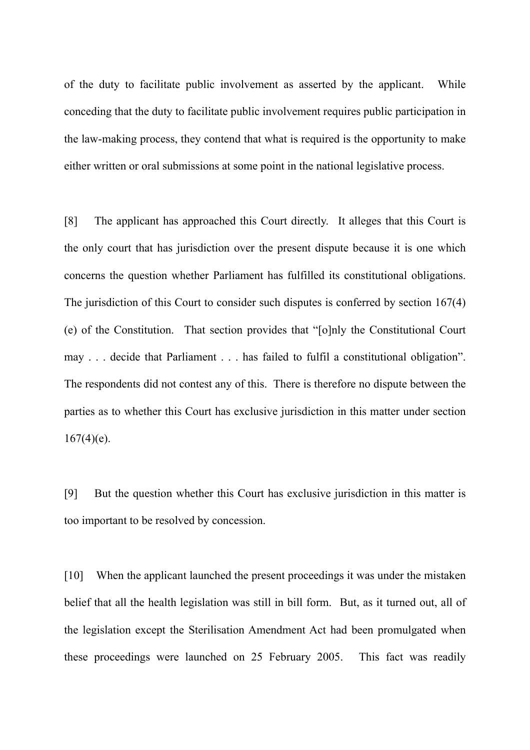of the duty to facilitate public involvement as asserted by the applicant. While conceding that the duty to facilitate public involvement requires public participation in the law-making process, they contend that what is required is the opportunity to make either written or oral submissions at some point in the national legislative process.

[8] The applicant has approached this Court directly. It alleges that this Court is the only court that has jurisdiction over the present dispute because it is one which concerns the question whether Parliament has fulfilled its constitutional obligations. The jurisdiction of this Court to consider such disputes is conferred by section 167(4) (e) of the Constitution. That section provides that "[o]nly the Constitutional Court may . . . decide that Parliament . . . has failed to fulfil a constitutional obligation". The respondents did not contest any of this. There is therefore no dispute between the parties as to whether this Court has exclusive jurisdiction in this matter under section  $167(4)(e)$ .

[9] But the question whether this Court has exclusive jurisdiction in this matter is too important to be resolved by concession.

[10] When the applicant launched the present proceedings it was under the mistaken belief that all the health legislation was still in bill form. But, as it turned out, all of the legislation except the Sterilisation Amendment Act had been promulgated when these proceedings were launched on 25 February 2005. This fact was readily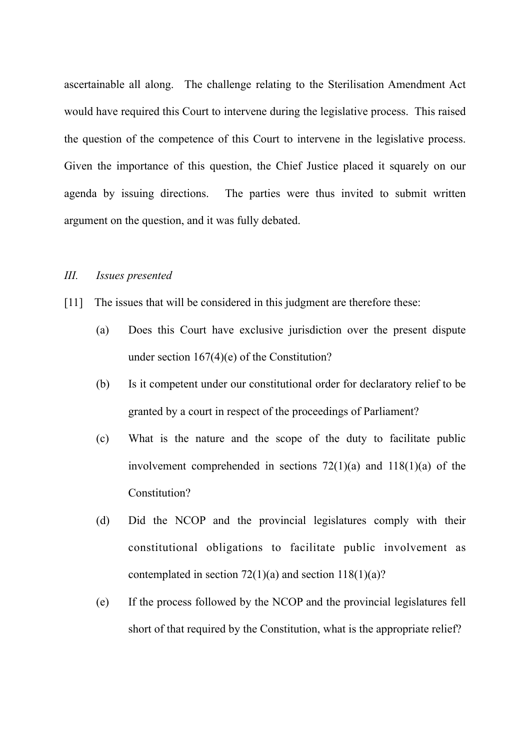ascertainable all along. The challenge relating to the Sterilisation Amendment Act would have required this Court to intervene during the legislative process. This raised the question of the competence of this Court to intervene in the legislative process. Given the importance of this question, the Chief Justice placed it squarely on our agenda by issuing directions. The parties were thus invited to submit written argument on the question, and it was fully debated.

#### *III. Issues presented*

- [11] The issues that will be considered in this judgment are therefore these:
	- (a) Does this Court have exclusive jurisdiction over the present dispute under section 167(4)(e) of the Constitution?
	- (b) Is it competent under our constitutional order for declaratory relief to be granted by a court in respect of the proceedings of Parliament?
	- (c) What is the nature and the scope of the duty to facilitate public involvement comprehended in sections  $72(1)(a)$  and  $118(1)(a)$  of the Constitution?
	- (d) Did the NCOP and the provincial legislatures comply with their constitutional obligations to facilitate public involvement as contemplated in section  $72(1)(a)$  and section  $118(1)(a)$ ?
	- (e) If the process followed by the NCOP and the provincial legislatures fell short of that required by the Constitution, what is the appropriate relief?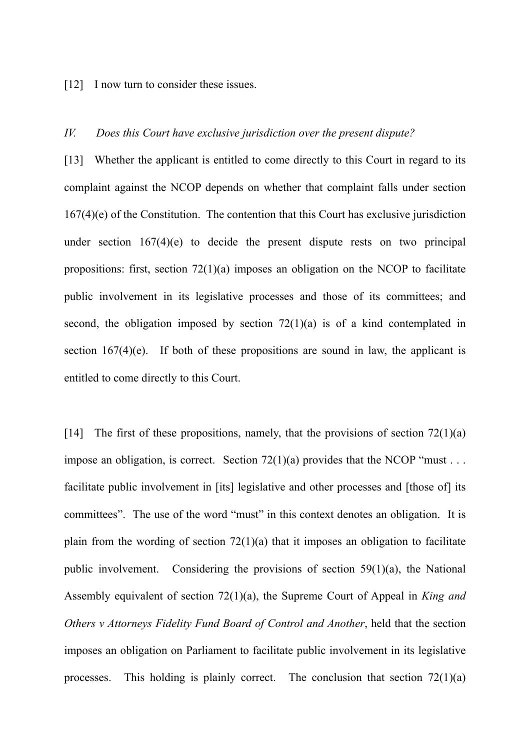[12] I now turn to consider these issues.

#### *IV. Does this Court have exclusive jurisdiction over the present dispute?*

[13] Whether the applicant is entitled to come directly to this Court in regard to its complaint against the NCOP depends on whether that complaint falls under section 167(4)(e) of the Constitution. The contention that this Court has exclusive jurisdiction under section 167(4)(e) to decide the present dispute rests on two principal propositions: first, section 72(1)(a) imposes an obligation on the NCOP to facilitate public involvement in its legislative processes and those of its committees; and second, the obligation imposed by section  $72(1)(a)$  is of a kind contemplated in section  $167(4)(e)$ . If both of these propositions are sound in law, the applicant is entitled to come directly to this Court.

[14] The first of these propositions, namely, that the provisions of section  $72(1)(a)$ impose an obligation, is correct. Section  $72(1)(a)$  provides that the NCOP "must . . . facilitate public involvement in [its] legislative and other processes and [those of] its committees". The use of the word "must" in this context denotes an obligation. It is plain from the wording of section  $72(1)(a)$  that it imposes an obligation to facilitate public involvement. Considering the provisions of section 59(1)(a), the National Assembly equivalent of section 72(1)(a), the Supreme Court of Appeal in *King and Others v Attorneys Fidelity Fund Board of Control and Another*, held that the section imposes an obligation on Parliament to facilitate public involvement in its legislative processes. This holding is plainly correct. The conclusion that section  $72(1)(a)$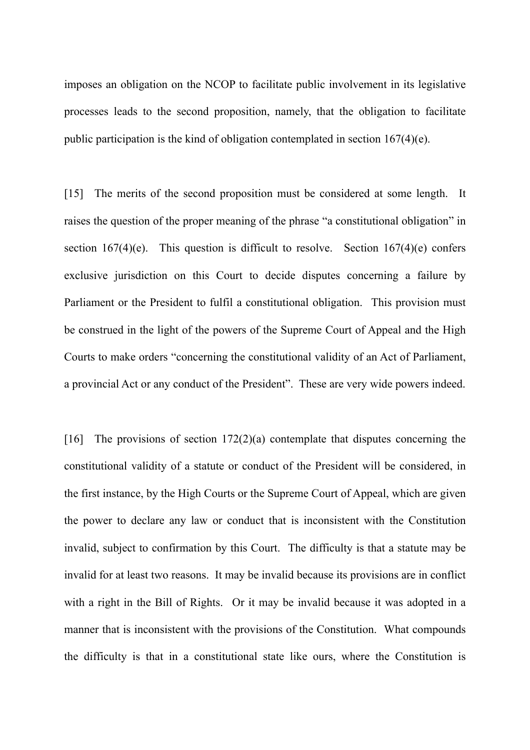imposes an obligation on the NCOP to facilitate public involvement in its legislative processes leads to the second proposition, namely, that the obligation to facilitate public participation is the kind of obligation contemplated in section 167(4)(e).

[15] The merits of the second proposition must be considered at some length. It raises the question of the proper meaning of the phrase "a constitutional obligation" in section  $167(4)(e)$ . This question is difficult to resolve. Section  $167(4)(e)$  confers exclusive jurisdiction on this Court to decide disputes concerning a failure by Parliament or the President to fulfil a constitutional obligation. This provision must be construed in the light of the powers of the Supreme Court of Appeal and the High Courts to make orders "concerning the constitutional validity of an Act of Parliament, a provincial Act or any conduct of the President". These are very wide powers indeed.

[16] The provisions of section  $172(2)(a)$  contemplate that disputes concerning the constitutional validity of a statute or conduct of the President will be considered, in the first instance, by the High Courts or the Supreme Court of Appeal, which are given the power to declare any law or conduct that is inconsistent with the Constitution invalid, subject to confirmation by this Court. The difficulty is that a statute may be invalid for at least two reasons. It may be invalid because its provisions are in conflict with a right in the Bill of Rights. Or it may be invalid because it was adopted in a manner that is inconsistent with the provisions of the Constitution. What compounds the difficulty is that in a constitutional state like ours, where the Constitution is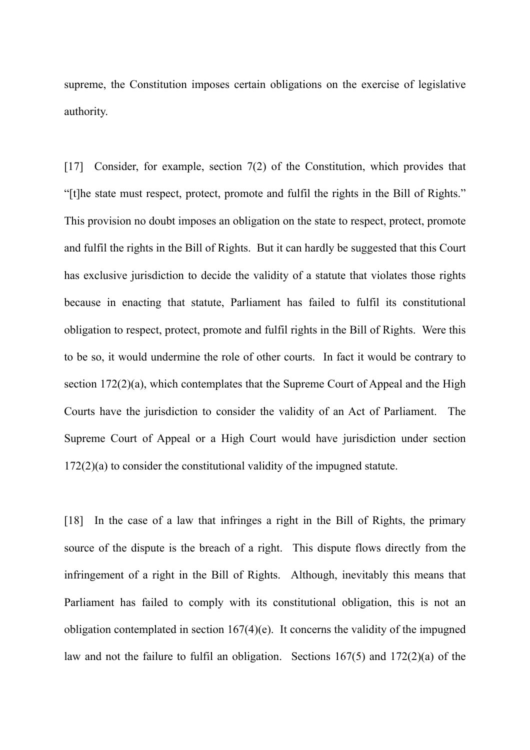supreme, the Constitution imposes certain obligations on the exercise of legislative authority.

[17] Consider, for example, section 7(2) of the Constitution, which provides that "[t]he state must respect, protect, promote and fulfil the rights in the Bill of Rights." This provision no doubt imposes an obligation on the state to respect, protect, promote and fulfil the rights in the Bill of Rights. But it can hardly be suggested that this Court has exclusive jurisdiction to decide the validity of a statute that violates those rights because in enacting that statute, Parliament has failed to fulfil its constitutional obligation to respect, protect, promote and fulfil rights in the Bill of Rights. Were this to be so, it would undermine the role of other courts. In fact it would be contrary to section 172(2)(a), which contemplates that the Supreme Court of Appeal and the High Courts have the jurisdiction to consider the validity of an Act of Parliament. The Supreme Court of Appeal or a High Court would have jurisdiction under section 172(2)(a) to consider the constitutional validity of the impugned statute.

[18] In the case of a law that infringes a right in the Bill of Rights, the primary source of the dispute is the breach of a right. This dispute flows directly from the infringement of a right in the Bill of Rights. Although, inevitably this means that Parliament has failed to comply with its constitutional obligation, this is not an obligation contemplated in section  $167(4)$ (e). It concerns the validity of the impugned law and not the failure to fulfil an obligation. Sections 167(5) and 172(2)(a) of the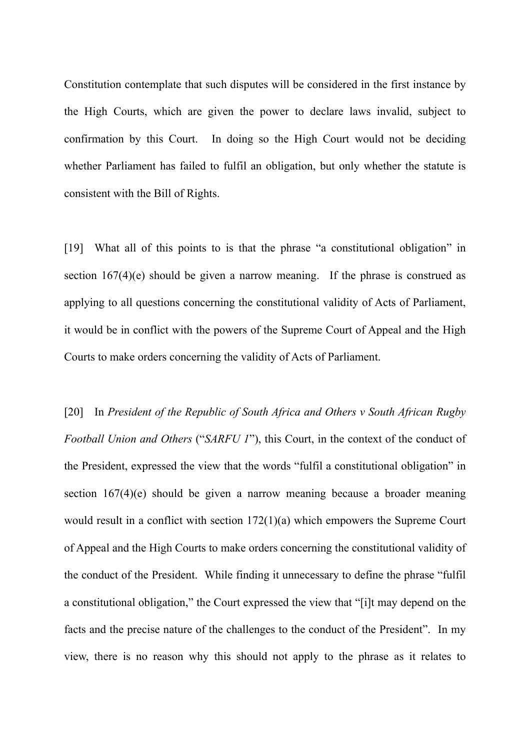Constitution contemplate that such disputes will be considered in the first instance by the High Courts, which are given the power to declare laws invalid, subject to confirmation by this Court. In doing so the High Court would not be deciding whether Parliament has failed to fulfil an obligation, but only whether the statute is consistent with the Bill of Rights.

[19] What all of this points to is that the phrase "a constitutional obligation" in section 167(4)(e) should be given a narrow meaning. If the phrase is construed as applying to all questions concerning the constitutional validity of Acts of Parliament, it would be in conflict with the powers of the Supreme Court of Appeal and the High Courts to make orders concerning the validity of Acts of Parliament.

[20] In *President of the Republic of South Africa and Others v South African Rugby Football Union and Others* ("*SARFU 1*"), this Court, in the context of the conduct of the President, expressed the view that the words "fulfil a constitutional obligation" in section 167(4)(e) should be given a narrow meaning because a broader meaning would result in a conflict with section 172(1)(a) which empowers the Supreme Court of Appeal and the High Courts to make orders concerning the constitutional validity of the conduct of the President. While finding it unnecessary to define the phrase "fulfil a constitutional obligation," the Court expressed the view that "[i]t may depend on the facts and the precise nature of the challenges to the conduct of the President". In my view, there is no reason why this should not apply to the phrase as it relates to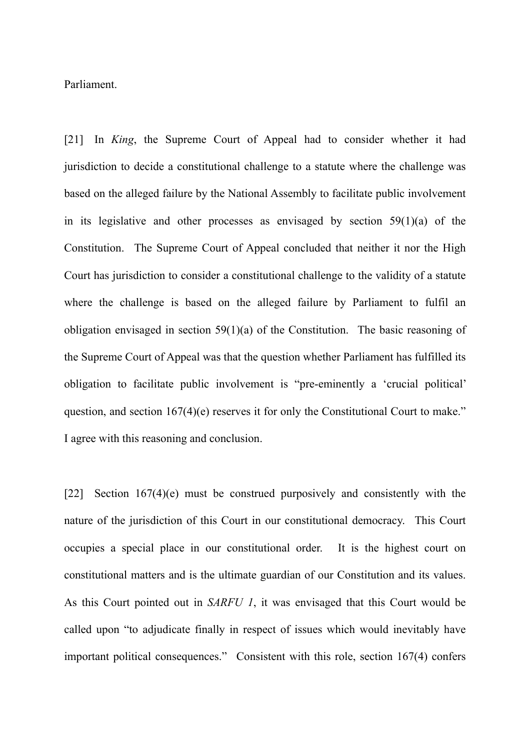Parliament.

[21] In *King*, the Supreme Court of Appeal had to consider whether it had jurisdiction to decide a constitutional challenge to a statute where the challenge was based on the alleged failure by the National Assembly to facilitate public involvement in its legislative and other processes as envisaged by section 59(1)(a) of the Constitution. The Supreme Court of Appeal concluded that neither it nor the High Court has jurisdiction to consider a constitutional challenge to the validity of a statute where the challenge is based on the alleged failure by Parliament to fulfil an obligation envisaged in section 59(1)(a) of the Constitution. The basic reasoning of the Supreme Court of Appeal was that the question whether Parliament has fulfilled its obligation to facilitate public involvement is "pre-eminently a 'crucial political' question, and section 167(4)(e) reserves it for only the Constitutional Court to make." I agree with this reasoning and conclusion.

[22] Section 167(4)(e) must be construed purposively and consistently with the nature of the jurisdiction of this Court in our constitutional democracy. This Court occupies a special place in our constitutional order. It is the highest court on constitutional matters and is the ultimate guardian of our Constitution and its values. As this Court pointed out in *SARFU 1*, it was envisaged that this Court would be called upon "to adjudicate finally in respect of issues which would inevitably have important political consequences." Consistent with this role, section 167(4) confers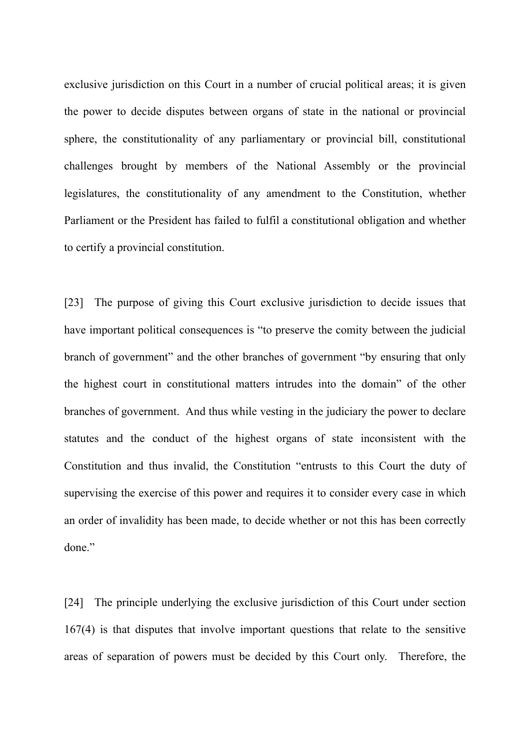exclusive jurisdiction on this Court in a number of crucial political areas; it is given the power to decide disputes between organs of state in the national or provincial sphere, the constitutionality of any parliamentary or provincial bill, constitutional challenges brought by members of the National Assembly or the provincial legislatures, the constitutionality of any amendment to the Constitution, whether Parliament or the President has failed to fulfil a constitutional obligation and whether to certify a provincial constitution.

[23] The purpose of giving this Court exclusive jurisdiction to decide issues that have important political consequences is "to preserve the comity between the judicial branch of government" and the other branches of government "by ensuring that only the highest court in constitutional matters intrudes into the domain" of the other branches of government. And thus while vesting in the judiciary the power to declare statutes and the conduct of the highest organs of state inconsistent with the Constitution and thus invalid, the Constitution "entrusts to this Court the duty of supervising the exercise of this power and requires it to consider every case in which an order of invalidity has been made, to decide whether or not this has been correctly done."

[24] The principle underlying the exclusive jurisdiction of this Court under section 167(4) is that disputes that involve important questions that relate to the sensitive areas of separation of powers must be decided by this Court only. Therefore, the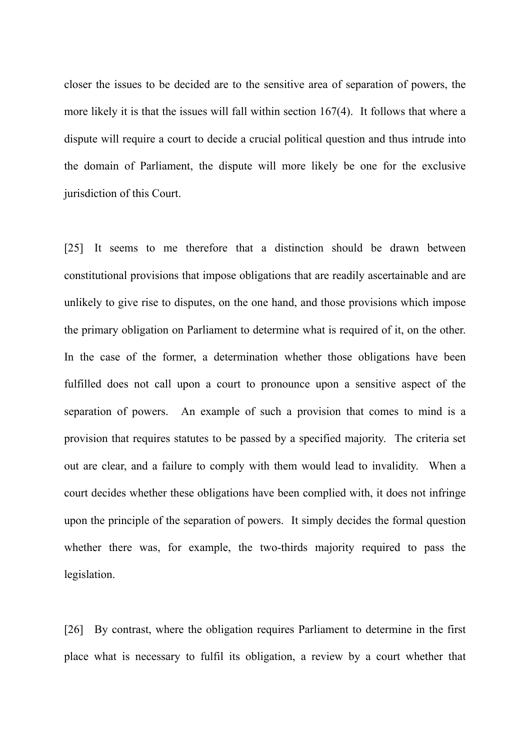closer the issues to be decided are to the sensitive area of separation of powers, the more likely it is that the issues will fall within section 167(4). It follows that where a dispute will require a court to decide a crucial political question and thus intrude into the domain of Parliament, the dispute will more likely be one for the exclusive jurisdiction of this Court.

[25] It seems to me therefore that a distinction should be drawn between constitutional provisions that impose obligations that are readily ascertainable and are unlikely to give rise to disputes, on the one hand, and those provisions which impose the primary obligation on Parliament to determine what is required of it, on the other. In the case of the former, a determination whether those obligations have been fulfilled does not call upon a court to pronounce upon a sensitive aspect of the separation of powers. An example of such a provision that comes to mind is a provision that requires statutes to be passed by a specified majority. The criteria set out are clear, and a failure to comply with them would lead to invalidity. When a court decides whether these obligations have been complied with, it does not infringe upon the principle of the separation of powers. It simply decides the formal question whether there was, for example, the two-thirds majority required to pass the legislation.

[26] By contrast, where the obligation requires Parliament to determine in the first place what is necessary to fulfil its obligation, a review by a court whether that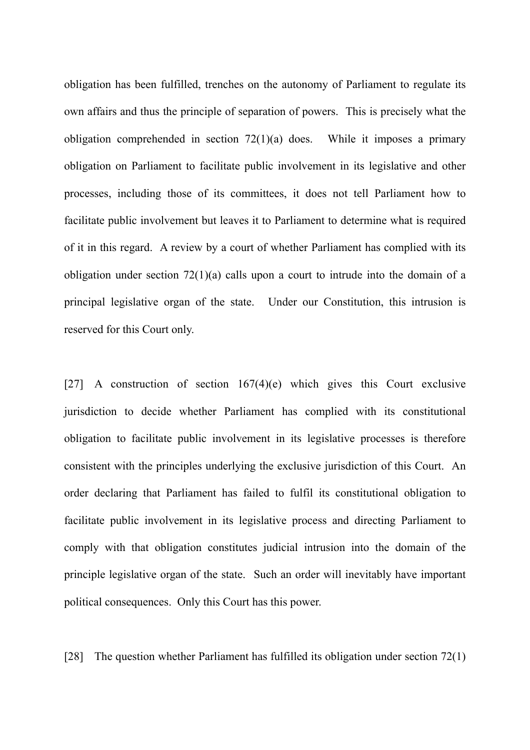obligation has been fulfilled, trenches on the autonomy of Parliament to regulate its own affairs and thus the principle of separation of powers. This is precisely what the obligation comprehended in section 72(1)(a) does. While it imposes a primary obligation on Parliament to facilitate public involvement in its legislative and other processes, including those of its committees, it does not tell Parliament how to facilitate public involvement but leaves it to Parliament to determine what is required of it in this regard. A review by a court of whether Parliament has complied with its obligation under section 72(1)(a) calls upon a court to intrude into the domain of a principal legislative organ of the state. Under our Constitution, this intrusion is reserved for this Court only.

[27] A construction of section  $167(4)$ (e) which gives this Court exclusive jurisdiction to decide whether Parliament has complied with its constitutional obligation to facilitate public involvement in its legislative processes is therefore consistent with the principles underlying the exclusive jurisdiction of this Court. An order declaring that Parliament has failed to fulfil its constitutional obligation to facilitate public involvement in its legislative process and directing Parliament to comply with that obligation constitutes judicial intrusion into the domain of the principle legislative organ of the state. Such an order will inevitably have important political consequences. Only this Court has this power.

[28] The question whether Parliament has fulfilled its obligation under section 72(1)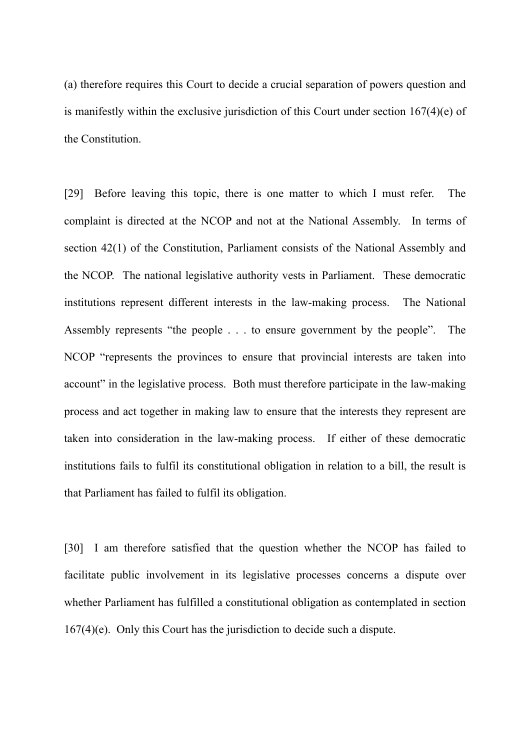(a) therefore requires this Court to decide a crucial separation of powers question and is manifestly within the exclusive jurisdiction of this Court under section 167(4)(e) of the Constitution.

[29] Before leaving this topic, there is one matter to which I must refer. The complaint is directed at the NCOP and not at the National Assembly. In terms of section 42(1) of the Constitution, Parliament consists of the National Assembly and the NCOP. The national legislative authority vests in Parliament. These democratic institutions represent different interests in the law-making process. The National Assembly represents "the people . . . to ensure government by the people". The NCOP "represents the provinces to ensure that provincial interests are taken into account" in the legislative process. Both must therefore participate in the law-making process and act together in making law to ensure that the interests they represent are taken into consideration in the law-making process. If either of these democratic institutions fails to fulfil its constitutional obligation in relation to a bill, the result is that Parliament has failed to fulfil its obligation.

[30] I am therefore satisfied that the question whether the NCOP has failed to facilitate public involvement in its legislative processes concerns a dispute over whether Parliament has fulfilled a constitutional obligation as contemplated in section 167(4)(e). Only this Court has the jurisdiction to decide such a dispute.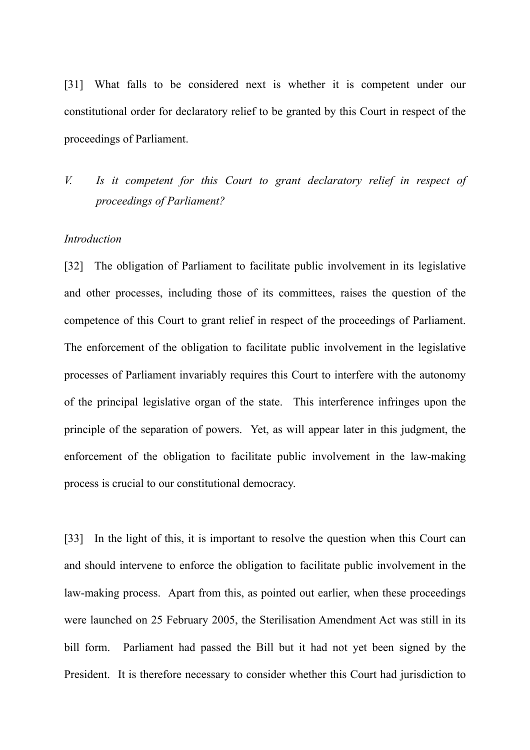[31] What falls to be considered next is whether it is competent under our constitutional order for declaratory relief to be granted by this Court in respect of the proceedings of Parliament.

*V. Is it competent for this Court to grant declaratory relief in respect of proceedings of Parliament?*

#### *Introduction*

[32] The obligation of Parliament to facilitate public involvement in its legislative and other processes, including those of its committees, raises the question of the competence of this Court to grant relief in respect of the proceedings of Parliament. The enforcement of the obligation to facilitate public involvement in the legislative processes of Parliament invariably requires this Court to interfere with the autonomy of the principal legislative organ of the state. This interference infringes upon the principle of the separation of powers. Yet, as will appear later in this judgment, the enforcement of the obligation to facilitate public involvement in the law-making process is crucial to our constitutional democracy.

[33] In the light of this, it is important to resolve the question when this Court can and should intervene to enforce the obligation to facilitate public involvement in the law-making process. Apart from this, as pointed out earlier, when these proceedings were launched on 25 February 2005, the Sterilisation Amendment Act was still in its bill form. Parliament had passed the Bill but it had not yet been signed by the President. It is therefore necessary to consider whether this Court had jurisdiction to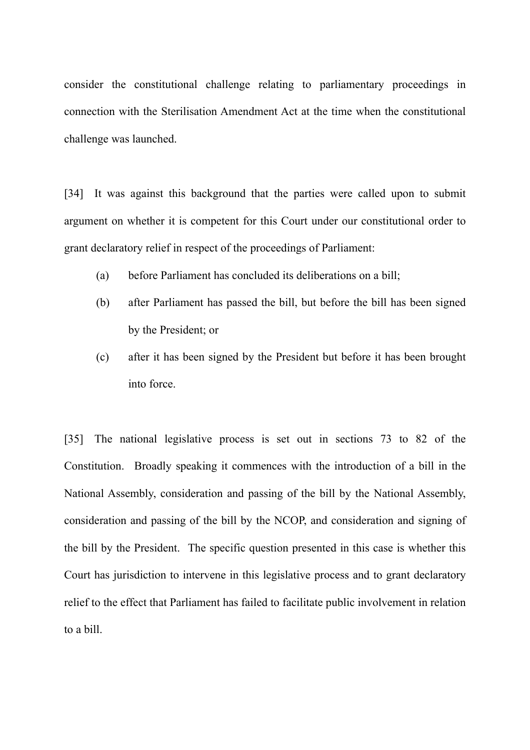consider the constitutional challenge relating to parliamentary proceedings in connection with the Sterilisation Amendment Act at the time when the constitutional challenge was launched.

[34] It was against this background that the parties were called upon to submit argument on whether it is competent for this Court under our constitutional order to grant declaratory relief in respect of the proceedings of Parliament:

- (a) before Parliament has concluded its deliberations on a bill;
- (b) after Parliament has passed the bill, but before the bill has been signed by the President; or
- (c) after it has been signed by the President but before it has been brought into force.

[35] The national legislative process is set out in sections 73 to 82 of the Constitution. Broadly speaking it commences with the introduction of a bill in the National Assembly, consideration and passing of the bill by the National Assembly, consideration and passing of the bill by the NCOP, and consideration and signing of the bill by the President. The specific question presented in this case is whether this Court has jurisdiction to intervene in this legislative process and to grant declaratory relief to the effect that Parliament has failed to facilitate public involvement in relation to a bill.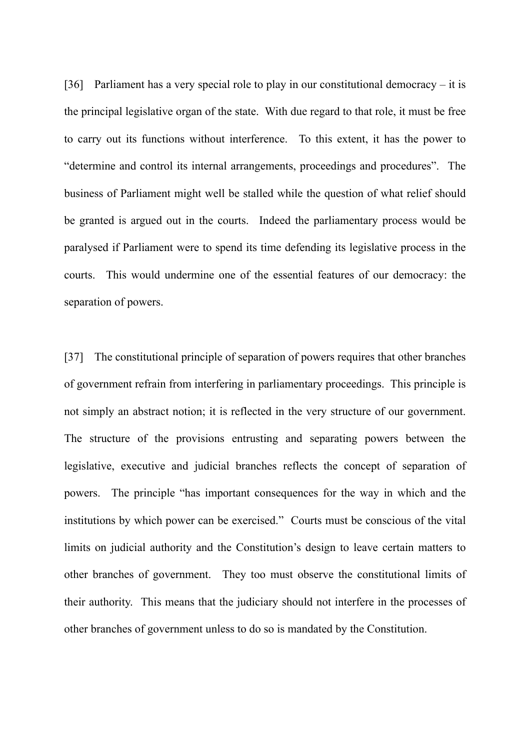[36] Parliament has a very special role to play in our constitutional democracy – it is the principal legislative organ of the state. With due regard to that role, it must be free to carry out its functions without interference. To this extent, it has the power to "determine and control its internal arrangements, proceedings and procedures". The business of Parliament might well be stalled while the question of what relief should be granted is argued out in the courts. Indeed the parliamentary process would be paralysed if Parliament were to spend its time defending its legislative process in the courts. This would undermine one of the essential features of our democracy: the separation of powers.

[37] The constitutional principle of separation of powers requires that other branches of government refrain from interfering in parliamentary proceedings. This principle is not simply an abstract notion; it is reflected in the very structure of our government. The structure of the provisions entrusting and separating powers between the legislative, executive and judicial branches reflects the concept of separation of powers. The principle "has important consequences for the way in which and the institutions by which power can be exercised." Courts must be conscious of the vital limits on judicial authority and the Constitution's design to leave certain matters to other branches of government. They too must observe the constitutional limits of their authority. This means that the judiciary should not interfere in the processes of other branches of government unless to do so is mandated by the Constitution.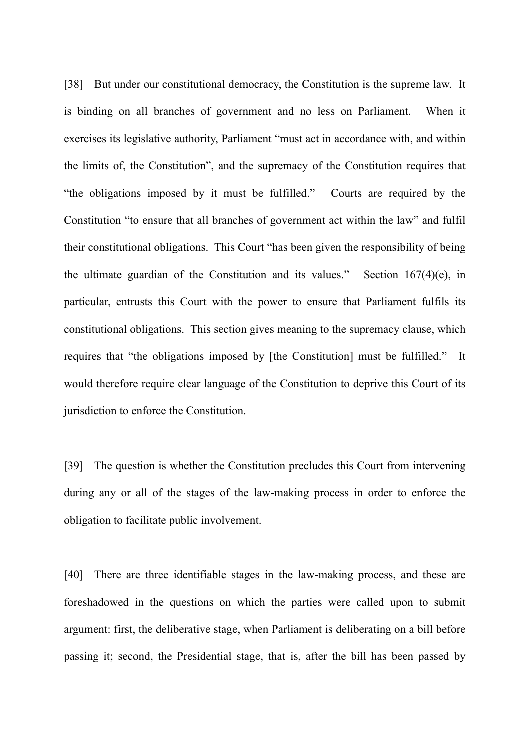[38] But under our constitutional democracy, the Constitution is the supreme law. It is binding on all branches of government and no less on Parliament. When it exercises its legislative authority, Parliament "must act in accordance with, and within the limits of, the Constitution", and the supremacy of the Constitution requires that "the obligations imposed by it must be fulfilled." Courts are required by the Constitution "to ensure that all branches of government act within the law" and fulfil their constitutional obligations. This Court "has been given the responsibility of being the ultimate guardian of the Constitution and its values." Section  $167(4)(e)$ , in particular, entrusts this Court with the power to ensure that Parliament fulfils its constitutional obligations. This section gives meaning to the supremacy clause, which requires that "the obligations imposed by [the Constitution] must be fulfilled." It would therefore require clear language of the Constitution to deprive this Court of its jurisdiction to enforce the Constitution.

[39] The question is whether the Constitution precludes this Court from intervening during any or all of the stages of the law-making process in order to enforce the obligation to facilitate public involvement.

[40] There are three identifiable stages in the law-making process, and these are foreshadowed in the questions on which the parties were called upon to submit argument: first, the deliberative stage, when Parliament is deliberating on a bill before passing it; second, the Presidential stage, that is, after the bill has been passed by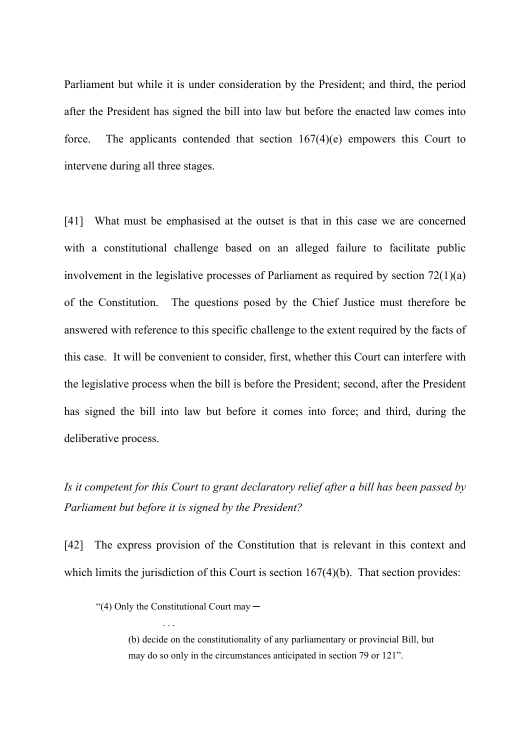Parliament but while it is under consideration by the President; and third, the period after the President has signed the bill into law but before the enacted law comes into force. The applicants contended that section 167(4)(e) empowers this Court to intervene during all three stages.

[41] What must be emphasised at the outset is that in this case we are concerned with a constitutional challenge based on an alleged failure to facilitate public involvement in the legislative processes of Parliament as required by section 72(1)(a) of the Constitution. The questions posed by the Chief Justice must therefore be answered with reference to this specific challenge to the extent required by the facts of this case. It will be convenient to consider, first, whether this Court can interfere with the legislative process when the bill is before the President; second, after the President has signed the bill into law but before it comes into force; and third, during the deliberative process.

# *Is it competent for this Court to grant declaratory relief after a bill has been passed by Parliament but before it is signed by the President?*

[42] The express provision of the Constitution that is relevant in this context and which limits the jurisdiction of this Court is section 167(4)(b). That section provides:

. . .

<sup>&</sup>quot;(4) Only the Constitutional Court may ─

<sup>(</sup>b) decide on the constitutionality of any parliamentary or provincial Bill, but may do so only in the circumstances anticipated in section 79 or 121".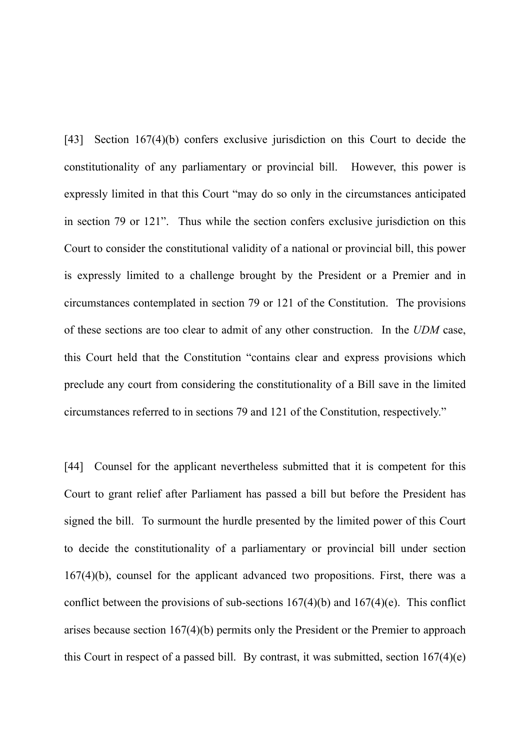[43] Section 167(4)(b) confers exclusive jurisdiction on this Court to decide the constitutionality of any parliamentary or provincial bill. However, this power is expressly limited in that this Court "may do so only in the circumstances anticipated in section 79 or 121". Thus while the section confers exclusive jurisdiction on this Court to consider the constitutional validity of a national or provincial bill, this power is expressly limited to a challenge brought by the President or a Premier and in circumstances contemplated in section 79 or 121 of the Constitution. The provisions of these sections are too clear to admit of any other construction. In the *UDM* case, this Court held that the Constitution "contains clear and express provisions which preclude any court from considering the constitutionality of a Bill save in the limited circumstances referred to in sections 79 and 121 of the Constitution, respectively."

[44] Counsel for the applicant nevertheless submitted that it is competent for this Court to grant relief after Parliament has passed a bill but before the President has signed the bill. To surmount the hurdle presented by the limited power of this Court to decide the constitutionality of a parliamentary or provincial bill under section 167(4)(b), counsel for the applicant advanced two propositions. First, there was a conflict between the provisions of sub-sections  $167(4)(b)$  and  $167(4)(e)$ . This conflict arises because section 167(4)(b) permits only the President or the Premier to approach this Court in respect of a passed bill. By contrast, it was submitted, section 167(4)(e)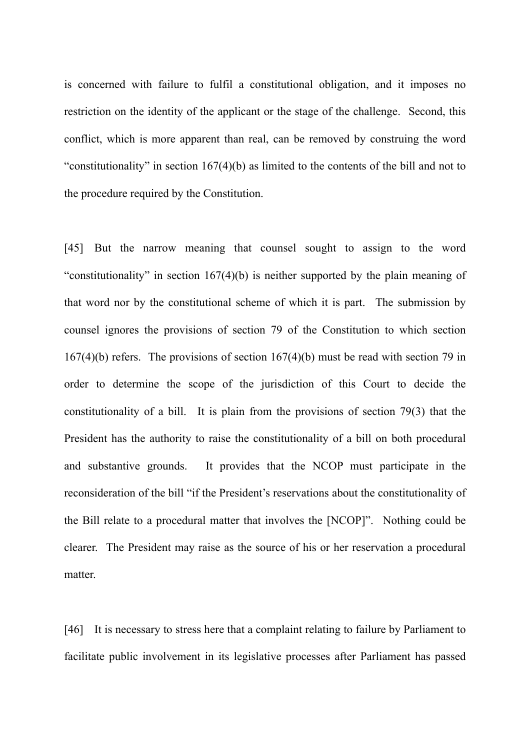is concerned with failure to fulfil a constitutional obligation, and it imposes no restriction on the identity of the applicant or the stage of the challenge. Second, this conflict, which is more apparent than real, can be removed by construing the word "constitutionality" in section 167(4)(b) as limited to the contents of the bill and not to the procedure required by the Constitution.

[45] But the narrow meaning that counsel sought to assign to the word "constitutionality" in section 167(4)(b) is neither supported by the plain meaning of that word nor by the constitutional scheme of which it is part. The submission by counsel ignores the provisions of section 79 of the Constitution to which section 167(4)(b) refers. The provisions of section 167(4)(b) must be read with section 79 in order to determine the scope of the jurisdiction of this Court to decide the constitutionality of a bill. It is plain from the provisions of section 79(3) that the President has the authority to raise the constitutionality of a bill on both procedural and substantive grounds. It provides that the NCOP must participate in the reconsideration of the bill "if the President's reservations about the constitutionality of the Bill relate to a procedural matter that involves the [NCOP]". Nothing could be clearer. The President may raise as the source of his or her reservation a procedural matter.

[46] It is necessary to stress here that a complaint relating to failure by Parliament to facilitate public involvement in its legislative processes after Parliament has passed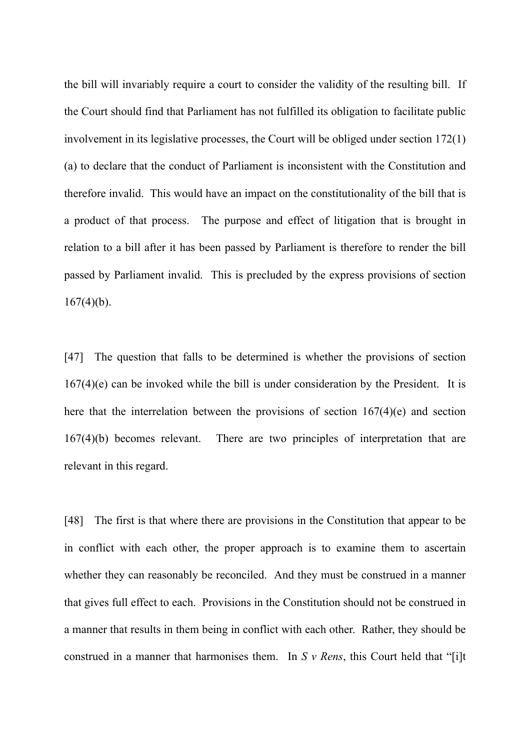the bill will invariably require a court to consider the validity of the resulting bill. If the Court should find that Parliament has not fulfilled its obligation to facilitate public involvement in its legislative processes, the Court will be obliged under section 172(1) (a) to declare that the conduct of Parliament is inconsistent with the Constitution and therefore invalid. This would have an impact on the constitutionality of the bill that is a product of that process. The purpose and effect of litigation that is brought in relation to a bill after it has been passed by Parliament is therefore to render the bill passed by Parliament invalid. This is precluded by the express provisions of section  $167(4)(b)$ .

[47] The question that falls to be determined is whether the provisions of section 167(4)(e) can be invoked while the bill is under consideration by the President. It is here that the interrelation between the provisions of section 167(4)(e) and section 167(4)(b) becomes relevant. There are two principles of interpretation that are relevant in this regard.

[48] The first is that where there are provisions in the Constitution that appear to be in conflict with each other, the proper approach is to examine them to ascertain whether they can reasonably be reconciled. And they must be construed in a manner that gives full effect to each. Provisions in the Constitution should not be construed in a manner that results in them being in conflict with each other. Rather, they should be construed in a manner that harmonises them. In *S v Rens*, this Court held that "[i]t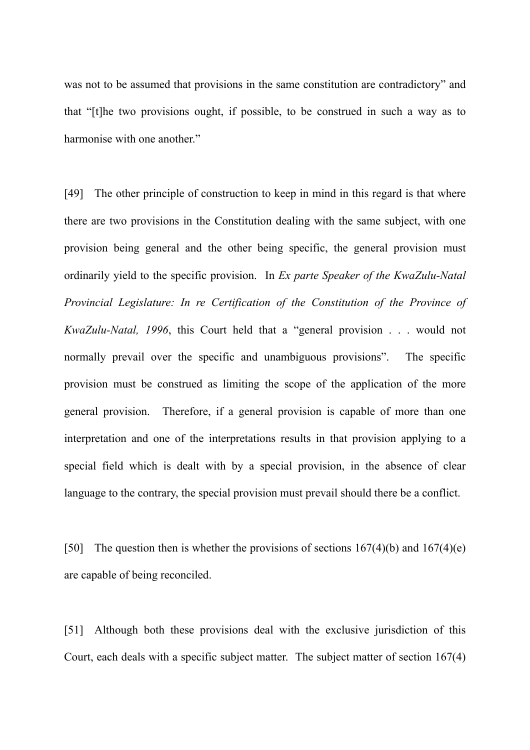was not to be assumed that provisions in the same constitution are contradictory" and that "[t]he two provisions ought, if possible, to be construed in such a way as to harmonise with one another."

[49] The other principle of construction to keep in mind in this regard is that where there are two provisions in the Constitution dealing with the same subject, with one provision being general and the other being specific, the general provision must ordinarily yield to the specific provision. In *Ex parte Speaker of the KwaZulu-Natal Provincial Legislature: In re Certification of the Constitution of the Province of KwaZulu-Natal, 1996*, this Court held that a "general provision . . . would not normally prevail over the specific and unambiguous provisions". The specific provision must be construed as limiting the scope of the application of the more general provision. Therefore, if a general provision is capable of more than one interpretation and one of the interpretations results in that provision applying to a special field which is dealt with by a special provision, in the absence of clear language to the contrary, the special provision must prevail should there be a conflict.

[50] The question then is whether the provisions of sections  $167(4)(b)$  and  $167(4)(e)$ are capable of being reconciled.

[51] Although both these provisions deal with the exclusive jurisdiction of this Court, each deals with a specific subject matter. The subject matter of section 167(4)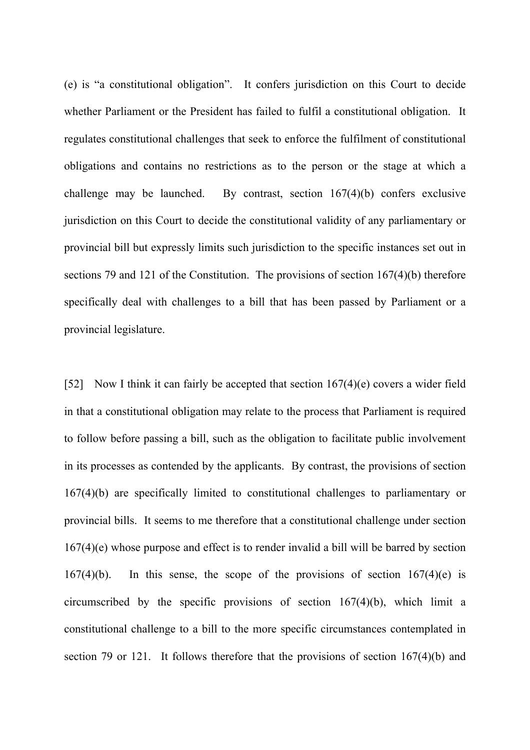(e) is "a constitutional obligation". It confers jurisdiction on this Court to decide whether Parliament or the President has failed to fulfil a constitutional obligation. It regulates constitutional challenges that seek to enforce the fulfilment of constitutional obligations and contains no restrictions as to the person or the stage at which a challenge may be launched. By contrast, section 167(4)(b) confers exclusive jurisdiction on this Court to decide the constitutional validity of any parliamentary or provincial bill but expressly limits such jurisdiction to the specific instances set out in sections 79 and 121 of the Constitution. The provisions of section 167(4)(b) therefore specifically deal with challenges to a bill that has been passed by Parliament or a provincial legislature.

[52] Now I think it can fairly be accepted that section 167(4)(e) covers a wider field in that a constitutional obligation may relate to the process that Parliament is required to follow before passing a bill, such as the obligation to facilitate public involvement in its processes as contended by the applicants. By contrast, the provisions of section 167(4)(b) are specifically limited to constitutional challenges to parliamentary or provincial bills. It seems to me therefore that a constitutional challenge under section 167(4)(e) whose purpose and effect is to render invalid a bill will be barred by section 167(4)(b). In this sense, the scope of the provisions of section  $167(4)$ (e) is circumscribed by the specific provisions of section 167(4)(b), which limit a constitutional challenge to a bill to the more specific circumstances contemplated in section 79 or 121. It follows therefore that the provisions of section 167(4)(b) and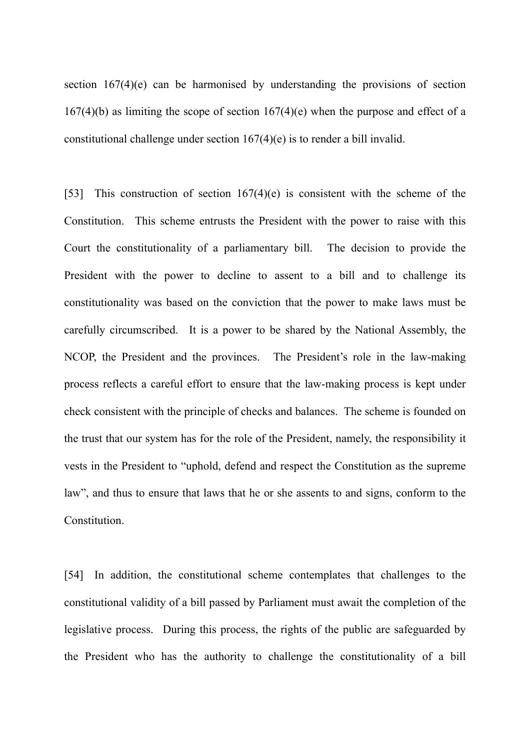section 167(4)(e) can be harmonised by understanding the provisions of section  $167(4)(b)$  as limiting the scope of section  $167(4)(e)$  when the purpose and effect of a constitutional challenge under section 167(4)(e) is to render a bill invalid.

[53] This construction of section 167(4)(e) is consistent with the scheme of the Constitution. This scheme entrusts the President with the power to raise with this Court the constitutionality of a parliamentary bill. The decision to provide the President with the power to decline to assent to a bill and to challenge its constitutionality was based on the conviction that the power to make laws must be carefully circumscribed. It is a power to be shared by the National Assembly, the NCOP, the President and the provinces. The President's role in the law-making process reflects a careful effort to ensure that the law-making process is kept under check consistent with the principle of checks and balances. The scheme is founded on the trust that our system has for the role of the President, namely, the responsibility it vests in the President to "uphold, defend and respect the Constitution as the supreme law", and thus to ensure that laws that he or she assents to and signs, conform to the Constitution.

[54] In addition, the constitutional scheme contemplates that challenges to the constitutional validity of a bill passed by Parliament must await the completion of the legislative process. During this process, the rights of the public are safeguarded by the President who has the authority to challenge the constitutionality of a bill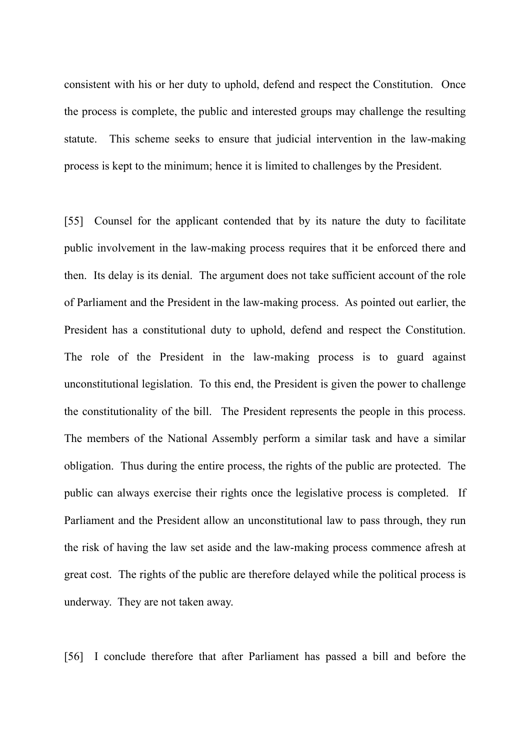consistent with his or her duty to uphold, defend and respect the Constitution. Once the process is complete, the public and interested groups may challenge the resulting statute. This scheme seeks to ensure that judicial intervention in the law-making process is kept to the minimum; hence it is limited to challenges by the President.

[55] Counsel for the applicant contended that by its nature the duty to facilitate public involvement in the law-making process requires that it be enforced there and then. Its delay is its denial. The argument does not take sufficient account of the role of Parliament and the President in the law-making process. As pointed out earlier, the President has a constitutional duty to uphold, defend and respect the Constitution. The role of the President in the law-making process is to guard against unconstitutional legislation. To this end, the President is given the power to challenge the constitutionality of the bill. The President represents the people in this process. The members of the National Assembly perform a similar task and have a similar obligation. Thus during the entire process, the rights of the public are protected. The public can always exercise their rights once the legislative process is completed. If Parliament and the President allow an unconstitutional law to pass through, they run the risk of having the law set aside and the law-making process commence afresh at great cost. The rights of the public are therefore delayed while the political process is underway. They are not taken away.

[56] I conclude therefore that after Parliament has passed a bill and before the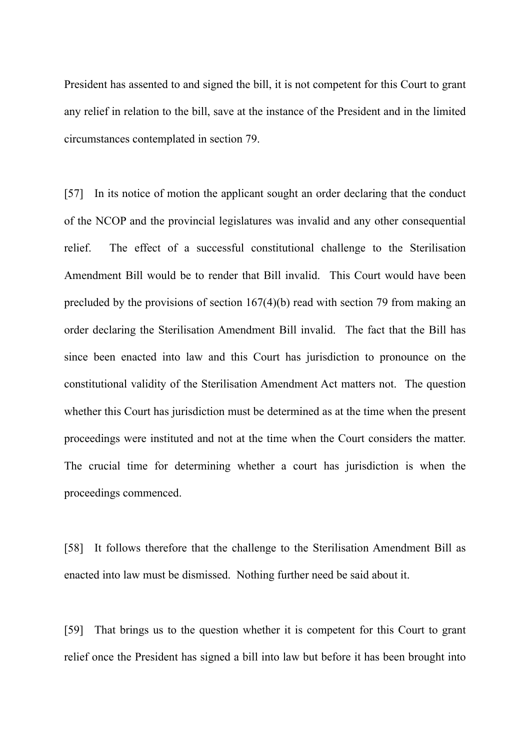President has assented to and signed the bill, it is not competent for this Court to grant any relief in relation to the bill, save at the instance of the President and in the limited circumstances contemplated in section 79.

[57] In its notice of motion the applicant sought an order declaring that the conduct of the NCOP and the provincial legislatures was invalid and any other consequential relief. The effect of a successful constitutional challenge to the Sterilisation Amendment Bill would be to render that Bill invalid. This Court would have been precluded by the provisions of section 167(4)(b) read with section 79 from making an order declaring the Sterilisation Amendment Bill invalid. The fact that the Bill has since been enacted into law and this Court has jurisdiction to pronounce on the constitutional validity of the Sterilisation Amendment Act matters not. The question whether this Court has jurisdiction must be determined as at the time when the present proceedings were instituted and not at the time when the Court considers the matter. The crucial time for determining whether a court has jurisdiction is when the proceedings commenced.

[58] It follows therefore that the challenge to the Sterilisation Amendment Bill as enacted into law must be dismissed. Nothing further need be said about it.

[59] That brings us to the question whether it is competent for this Court to grant relief once the President has signed a bill into law but before it has been brought into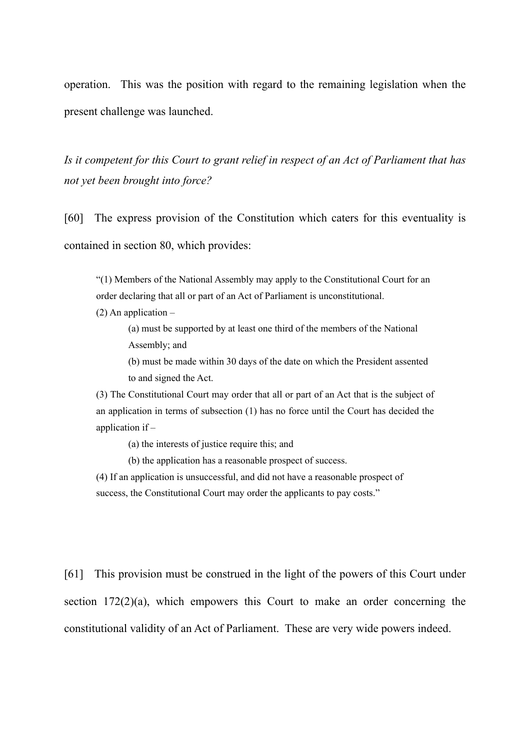operation. This was the position with regard to the remaining legislation when the present challenge was launched.

*Is it competent for this Court to grant relief in respect of an Act of Parliament that has not yet been brought into force?*

[60] The express provision of the Constitution which caters for this eventuality is contained in section 80, which provides:

"(1) Members of the National Assembly may apply to the Constitutional Court for an order declaring that all or part of an Act of Parliament is unconstitutional.

 $(2)$  An application –

(a) must be supported by at least one third of the members of the National Assembly; and

(b) must be made within 30 days of the date on which the President assented to and signed the Act.

(3) The Constitutional Court may order that all or part of an Act that is the subject of an application in terms of subsection (1) has no force until the Court has decided the application if –

(a) the interests of justice require this; and

(b) the application has a reasonable prospect of success.

(4) If an application is unsuccessful, and did not have a reasonable prospect of success, the Constitutional Court may order the applicants to pay costs."

[61] This provision must be construed in the light of the powers of this Court under section  $172(2)(a)$ , which empowers this Court to make an order concerning the constitutional validity of an Act of Parliament. These are very wide powers indeed.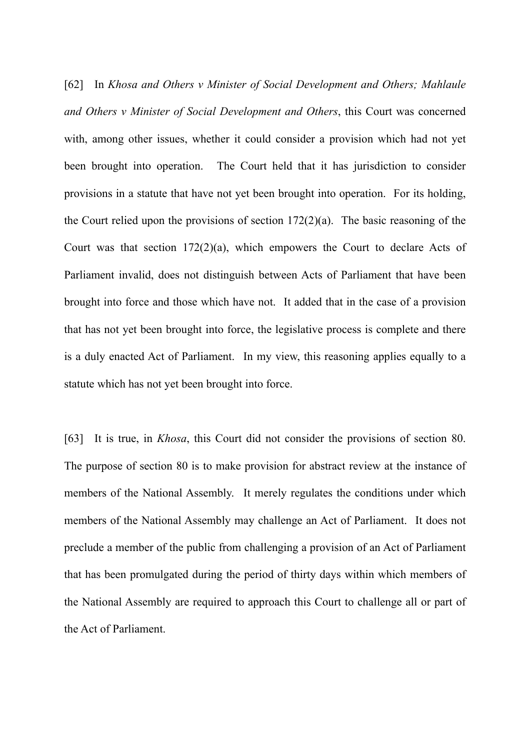[62] In *Khosa and Others v Minister of Social Development and Others; Mahlaule and Others v Minister of Social Development and Others*, this Court was concerned with, among other issues, whether it could consider a provision which had not yet been brought into operation. The Court held that it has jurisdiction to consider provisions in a statute that have not yet been brought into operation. For its holding, the Court relied upon the provisions of section 172(2)(a). The basic reasoning of the Court was that section  $172(2)(a)$ , which empowers the Court to declare Acts of Parliament invalid, does not distinguish between Acts of Parliament that have been brought into force and those which have not. It added that in the case of a provision that has not yet been brought into force, the legislative process is complete and there is a duly enacted Act of Parliament. In my view, this reasoning applies equally to a statute which has not yet been brought into force.

[63] It is true, in *Khosa*, this Court did not consider the provisions of section 80. The purpose of section 80 is to make provision for abstract review at the instance of members of the National Assembly. It merely regulates the conditions under which members of the National Assembly may challenge an Act of Parliament. It does not preclude a member of the public from challenging a provision of an Act of Parliament that has been promulgated during the period of thirty days within which members of the National Assembly are required to approach this Court to challenge all or part of the Act of Parliament.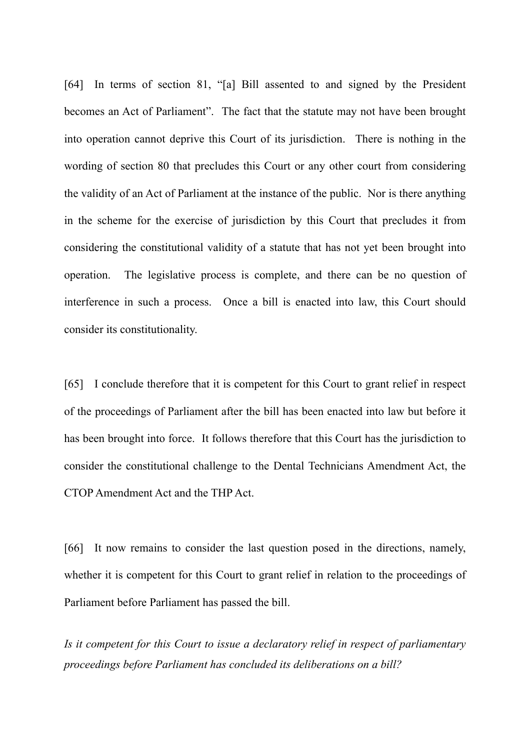[64] In terms of section 81, "[a] Bill assented to and signed by the President becomes an Act of Parliament". The fact that the statute may not have been brought into operation cannot deprive this Court of its jurisdiction. There is nothing in the wording of section 80 that precludes this Court or any other court from considering the validity of an Act of Parliament at the instance of the public. Nor is there anything in the scheme for the exercise of jurisdiction by this Court that precludes it from considering the constitutional validity of a statute that has not yet been brought into operation. The legislative process is complete, and there can be no question of interference in such a process. Once a bill is enacted into law, this Court should consider its constitutionality.

[65] I conclude therefore that it is competent for this Court to grant relief in respect of the proceedings of Parliament after the bill has been enacted into law but before it has been brought into force. It follows therefore that this Court has the jurisdiction to consider the constitutional challenge to the Dental Technicians Amendment Act, the CTOP Amendment Act and the THP Act.

[66] It now remains to consider the last question posed in the directions, namely, whether it is competent for this Court to grant relief in relation to the proceedings of Parliament before Parliament has passed the bill.

*Is it competent for this Court to issue a declaratory relief in respect of parliamentary proceedings before Parliament has concluded its deliberations on a bill?*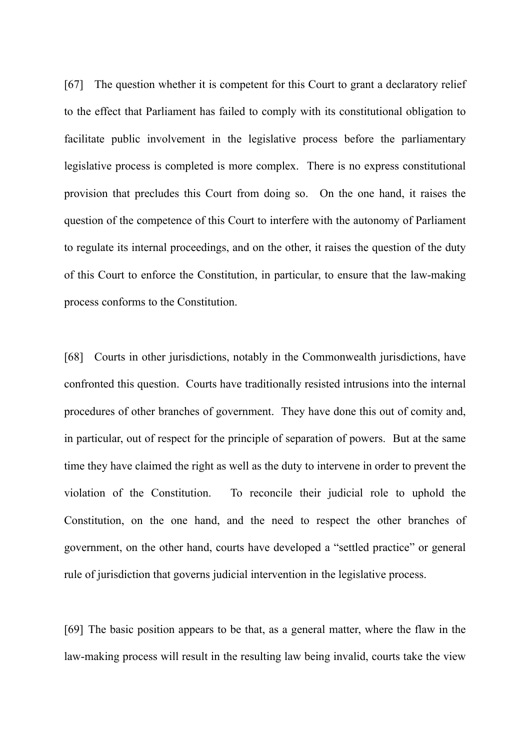[67] The question whether it is competent for this Court to grant a declaratory relief to the effect that Parliament has failed to comply with its constitutional obligation to facilitate public involvement in the legislative process before the parliamentary legislative process is completed is more complex. There is no express constitutional provision that precludes this Court from doing so. On the one hand, it raises the question of the competence of this Court to interfere with the autonomy of Parliament to regulate its internal proceedings, and on the other, it raises the question of the duty of this Court to enforce the Constitution, in particular, to ensure that the law-making process conforms to the Constitution.

[68] Courts in other jurisdictions, notably in the Commonwealth jurisdictions, have confronted this question. Courts have traditionally resisted intrusions into the internal procedures of other branches of government. They have done this out of comity and, in particular, out of respect for the principle of separation of powers. But at the same time they have claimed the right as well as the duty to intervene in order to prevent the violation of the Constitution. To reconcile their judicial role to uphold the Constitution, on the one hand, and the need to respect the other branches of government, on the other hand, courts have developed a "settled practice" or general rule of jurisdiction that governs judicial intervention in the legislative process.

[69] The basic position appears to be that, as a general matter, where the flaw in the law-making process will result in the resulting law being invalid, courts take the view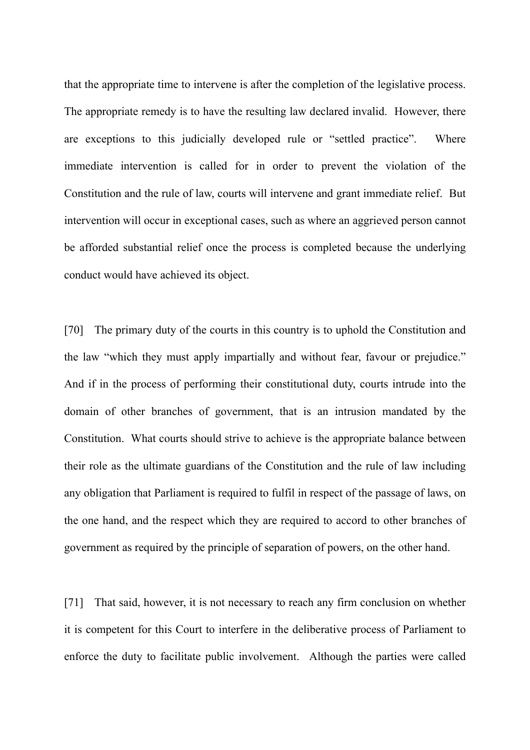that the appropriate time to intervene is after the completion of the legislative process. The appropriate remedy is to have the resulting law declared invalid. However, there are exceptions to this judicially developed rule or "settled practice". Where immediate intervention is called for in order to prevent the violation of the Constitution and the rule of law, courts will intervene and grant immediate relief. But intervention will occur in exceptional cases, such as where an aggrieved person cannot be afforded substantial relief once the process is completed because the underlying conduct would have achieved its object.

[70] The primary duty of the courts in this country is to uphold the Constitution and the law "which they must apply impartially and without fear, favour or prejudice." And if in the process of performing their constitutional duty, courts intrude into the domain of other branches of government, that is an intrusion mandated by the Constitution. What courts should strive to achieve is the appropriate balance between their role as the ultimate guardians of the Constitution and the rule of law including any obligation that Parliament is required to fulfil in respect of the passage of laws, on the one hand, and the respect which they are required to accord to other branches of government as required by the principle of separation of powers, on the other hand.

[71] That said, however, it is not necessary to reach any firm conclusion on whether it is competent for this Court to interfere in the deliberative process of Parliament to enforce the duty to facilitate public involvement. Although the parties were called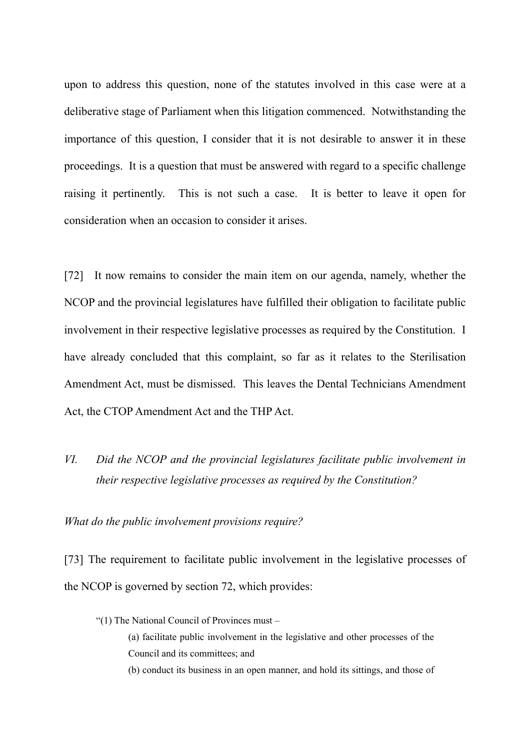upon to address this question, none of the statutes involved in this case were at a deliberative stage of Parliament when this litigation commenced. Notwithstanding the importance of this question, I consider that it is not desirable to answer it in these proceedings. It is a question that must be answered with regard to a specific challenge raising it pertinently. This is not such a case. It is better to leave it open for consideration when an occasion to consider it arises.

[72] It now remains to consider the main item on our agenda, namely, whether the NCOP and the provincial legislatures have fulfilled their obligation to facilitate public involvement in their respective legislative processes as required by the Constitution. I have already concluded that this complaint, so far as it relates to the Sterilisation Amendment Act, must be dismissed. This leaves the Dental Technicians Amendment Act, the CTOP Amendment Act and the THP Act.

*VI. Did the NCOP and the provincial legislatures facilitate public involvement in their respective legislative processes as required by the Constitution?* 

*What do the public involvement provisions require?*

[73] The requirement to facilitate public involvement in the legislative processes of the NCOP is governed by section 72, which provides:

"(1) The National Council of Provinces must – (a) facilitate public involvement in the legislative and other processes of the Council and its committees; and (b) conduct its business in an open manner, and hold its sittings, and those of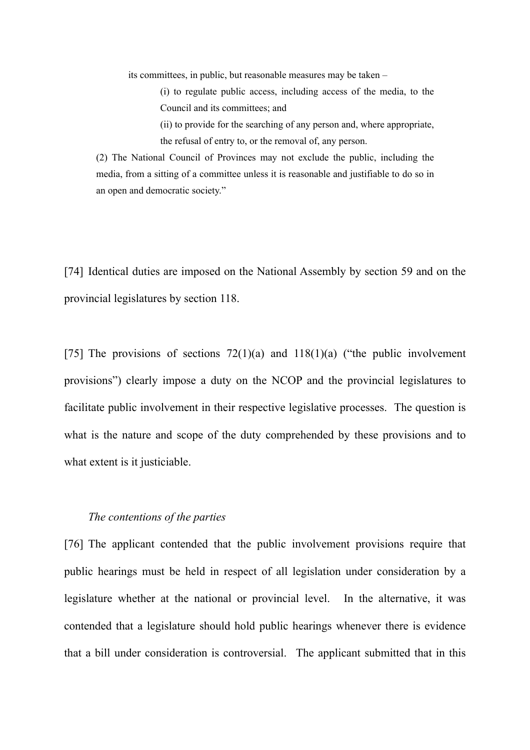its committees, in public, but reasonable measures may be taken –

(i) to regulate public access, including access of the media, to the Council and its committees; and

(ii) to provide for the searching of any person and, where appropriate, the refusal of entry to, or the removal of, any person.

(2) The National Council of Provinces may not exclude the public, including the media, from a sitting of a committee unless it is reasonable and justifiable to do so in an open and democratic society."

[74] Identical duties are imposed on the National Assembly by section 59 and on the provincial legislatures by section 118.

[75] The provisions of sections  $72(1)(a)$  and  $118(1)(a)$  ("the public involvement provisions") clearly impose a duty on the NCOP and the provincial legislatures to facilitate public involvement in their respective legislative processes. The question is what is the nature and scope of the duty comprehended by these provisions and to what extent is it justiciable.

#### *The contentions of the parties*

[76] The applicant contended that the public involvement provisions require that public hearings must be held in respect of all legislation under consideration by a legislature whether at the national or provincial level. In the alternative, it was contended that a legislature should hold public hearings whenever there is evidence that a bill under consideration is controversial. The applicant submitted that in this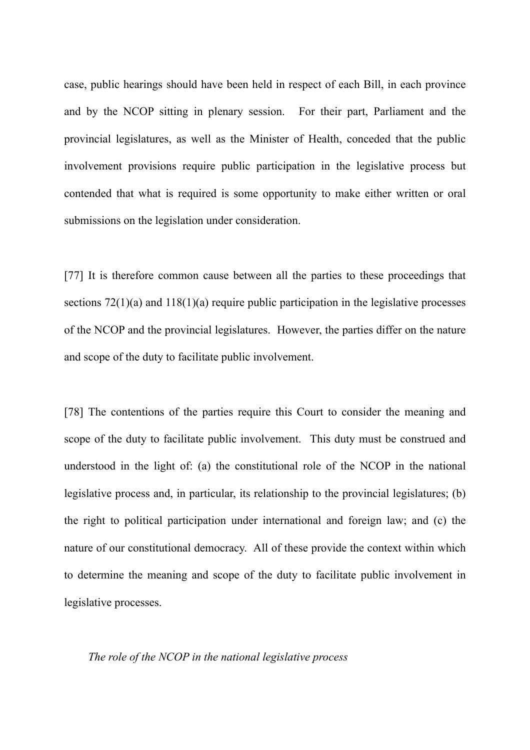case, public hearings should have been held in respect of each Bill, in each province and by the NCOP sitting in plenary session. For their part, Parliament and the provincial legislatures, as well as the Minister of Health, conceded that the public involvement provisions require public participation in the legislative process but contended that what is required is some opportunity to make either written or oral submissions on the legislation under consideration.

[77] It is therefore common cause between all the parties to these proceedings that sections  $72(1)(a)$  and  $118(1)(a)$  require public participation in the legislative processes of the NCOP and the provincial legislatures. However, the parties differ on the nature and scope of the duty to facilitate public involvement.

[78] The contentions of the parties require this Court to consider the meaning and scope of the duty to facilitate public involvement. This duty must be construed and understood in the light of: (a) the constitutional role of the NCOP in the national legislative process and, in particular, its relationship to the provincial legislatures; (b) the right to political participation under international and foreign law; and (c) the nature of our constitutional democracy. All of these provide the context within which to determine the meaning and scope of the duty to facilitate public involvement in legislative processes.

*The role of the NCOP in the national legislative process*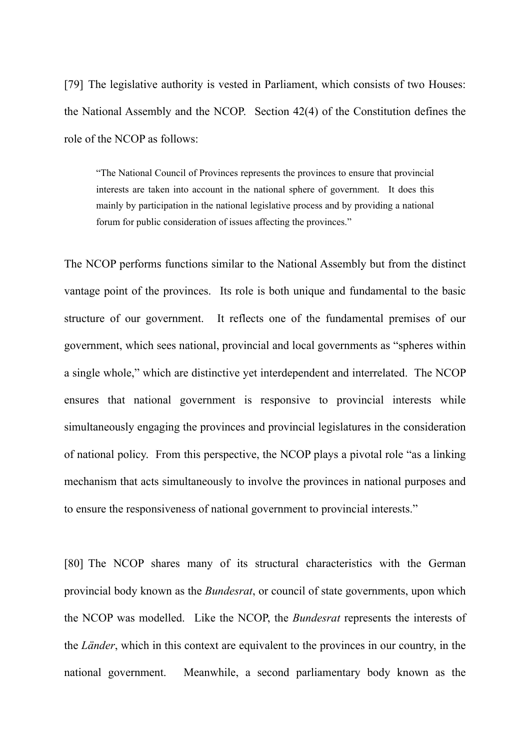[79] The legislative authority is vested in Parliament, which consists of two Houses: the National Assembly and the NCOP. Section 42(4) of the Constitution defines the role of the NCOP as follows:

"The National Council of Provinces represents the provinces to ensure that provincial interests are taken into account in the national sphere of government. It does this mainly by participation in the national legislative process and by providing a national forum for public consideration of issues affecting the provinces."

The NCOP performs functions similar to the National Assembly but from the distinct vantage point of the provinces. Its role is both unique and fundamental to the basic structure of our government. It reflects one of the fundamental premises of our government, which sees national, provincial and local governments as "spheres within a single whole," which are distinctive yet interdependent and interrelated. The NCOP ensures that national government is responsive to provincial interests while simultaneously engaging the provinces and provincial legislatures in the consideration of national policy. From this perspective, the NCOP plays a pivotal role "as a linking mechanism that acts simultaneously to involve the provinces in national purposes and to ensure the responsiveness of national government to provincial interests."

[80] The NCOP shares many of its structural characteristics with the German provincial body known as the *Bundesrat*, or council of state governments, upon which the NCOP was modelled. Like the NCOP, the *Bundesrat* represents the interests of the *Länder*, which in this context are equivalent to the provinces in our country, in the national government. Meanwhile, a second parliamentary body known as the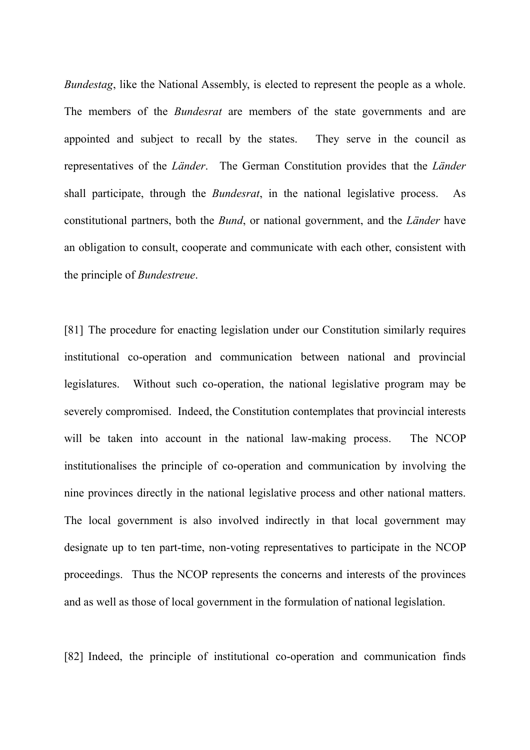*Bundestag*, like the National Assembly, is elected to represent the people as a whole. The members of the *Bundesrat* are members of the state governments and are appointed and subject to recall by the states. They serve in the council as representatives of the *Länder*. The German Constitution provides that the *Länder* shall participate, through the *Bundesrat*, in the national legislative process. As constitutional partners, both the *Bund*, or national government, and the *Länder* have an obligation to consult, cooperate and communicate with each other, consistent with the principle of *Bundestreue*.

[81] The procedure for enacting legislation under our Constitution similarly requires institutional co-operation and communication between national and provincial legislatures. Without such co-operation, the national legislative program may be severely compromised. Indeed, the Constitution contemplates that provincial interests will be taken into account in the national law-making process. The NCOP institutionalises the principle of co-operation and communication by involving the nine provinces directly in the national legislative process and other national matters. The local government is also involved indirectly in that local government may designate up to ten part-time, non-voting representatives to participate in the NCOP proceedings. Thus the NCOP represents the concerns and interests of the provinces and as well as those of local government in the formulation of national legislation.

[82] Indeed, the principle of institutional co-operation and communication finds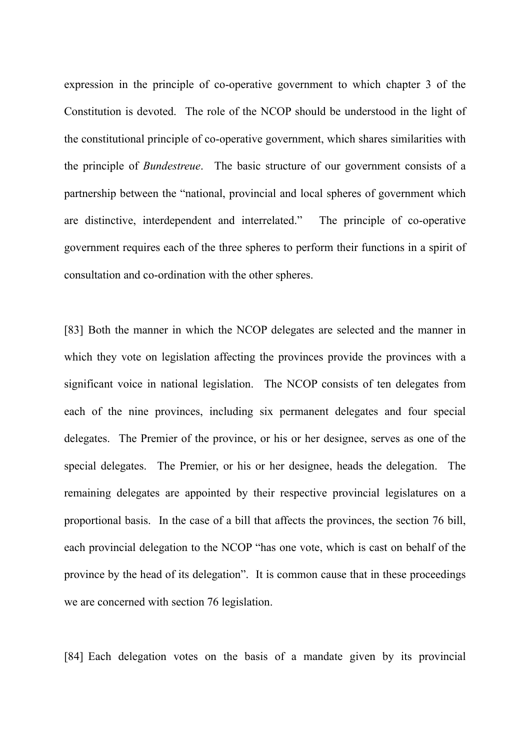expression in the principle of co-operative government to which chapter 3 of the Constitution is devoted. The role of the NCOP should be understood in the light of the constitutional principle of co-operative government, which shares similarities with the principle of *Bundestreue*. The basic structure of our government consists of a partnership between the "national, provincial and local spheres of government which are distinctive, interdependent and interrelated." The principle of co-operative government requires each of the three spheres to perform their functions in a spirit of consultation and co-ordination with the other spheres.

[83] Both the manner in which the NCOP delegates are selected and the manner in which they vote on legislation affecting the provinces provide the provinces with a significant voice in national legislation. The NCOP consists of ten delegates from each of the nine provinces, including six permanent delegates and four special delegates. The Premier of the province, or his or her designee, serves as one of the special delegates. The Premier, or his or her designee, heads the delegation. The remaining delegates are appointed by their respective provincial legislatures on a proportional basis. In the case of a bill that affects the provinces, the section 76 bill, each provincial delegation to the NCOP "has one vote, which is cast on behalf of the province by the head of its delegation". It is common cause that in these proceedings we are concerned with section 76 legislation.

[84] Each delegation votes on the basis of a mandate given by its provincial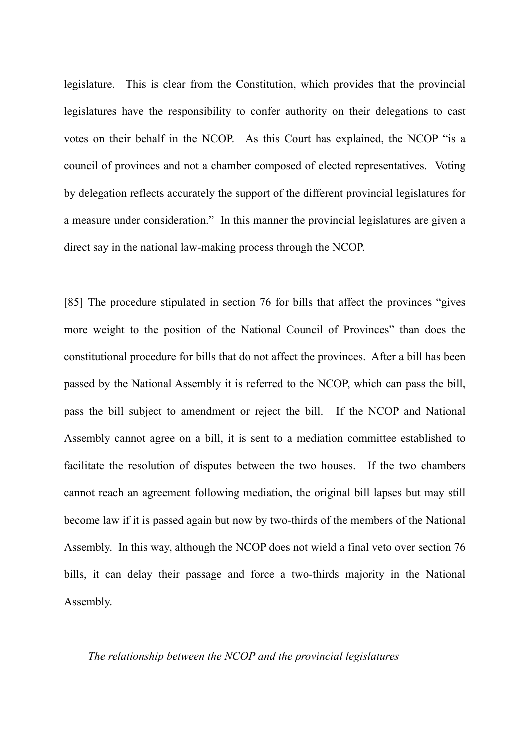legislature. This is clear from the Constitution, which provides that the provincial legislatures have the responsibility to confer authority on their delegations to cast votes on their behalf in the NCOP. As this Court has explained, the NCOP "is a council of provinces and not a chamber composed of elected representatives. Voting by delegation reflects accurately the support of the different provincial legislatures for a measure under consideration." In this manner the provincial legislatures are given a direct say in the national law-making process through the NCOP.

[85] The procedure stipulated in section 76 for bills that affect the provinces "gives more weight to the position of the National Council of Provinces" than does the constitutional procedure for bills that do not affect the provinces. After a bill has been passed by the National Assembly it is referred to the NCOP, which can pass the bill, pass the bill subject to amendment or reject the bill. If the NCOP and National Assembly cannot agree on a bill, it is sent to a mediation committee established to facilitate the resolution of disputes between the two houses. If the two chambers cannot reach an agreement following mediation, the original bill lapses but may still become law if it is passed again but now by two-thirds of the members of the National Assembly. In this way, although the NCOP does not wield a final veto over section 76 bills, it can delay their passage and force a two-thirds majority in the National Assembly.

# *The relationship between the NCOP and the provincial legislatures*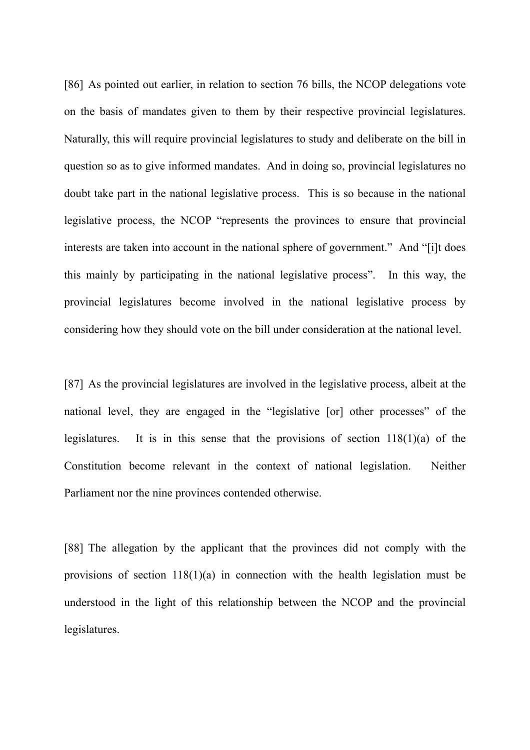[86] As pointed out earlier, in relation to section 76 bills, the NCOP delegations vote on the basis of mandates given to them by their respective provincial legislatures. Naturally, this will require provincial legislatures to study and deliberate on the bill in question so as to give informed mandates. And in doing so, provincial legislatures no doubt take part in the national legislative process. This is so because in the national legislative process, the NCOP "represents the provinces to ensure that provincial interests are taken into account in the national sphere of government." And "[i]t does this mainly by participating in the national legislative process". In this way, the provincial legislatures become involved in the national legislative process by considering how they should vote on the bill under consideration at the national level.

[87] As the provincial legislatures are involved in the legislative process, albeit at the national level, they are engaged in the "legislative [or] other processes" of the legislatures. It is in this sense that the provisions of section  $118(1)(a)$  of the Constitution become relevant in the context of national legislation. Neither Parliament nor the nine provinces contended otherwise.

[88] The allegation by the applicant that the provinces did not comply with the provisions of section 118(1)(a) in connection with the health legislation must be understood in the light of this relationship between the NCOP and the provincial legislatures.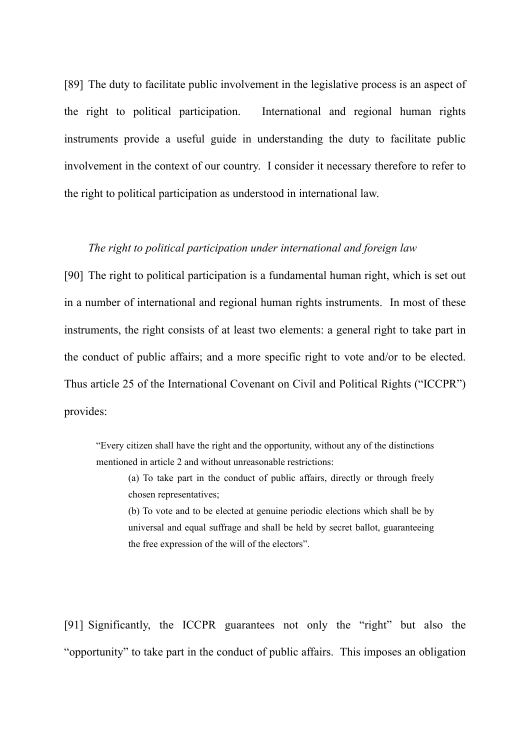[89] The duty to facilitate public involvement in the legislative process is an aspect of the right to political participation. International and regional human rights instruments provide a useful guide in understanding the duty to facilitate public involvement in the context of our country. I consider it necessary therefore to refer to the right to political participation as understood in international law.

# *The right to political participation under international and foreign law*

[90] The right to political participation is a fundamental human right, which is set out in a number of international and regional human rights instruments. In most of these instruments, the right consists of at least two elements: a general right to take part in the conduct of public affairs; and a more specific right to vote and/or to be elected. Thus article 25 of the International Covenant on Civil and Political Rights ("ICCPR") provides:

"Every citizen shall have the right and the opportunity, without any of the distinctions mentioned in article 2 and without unreasonable restrictions:

(a) To take part in the conduct of public affairs, directly or through freely chosen representatives;

(b) To vote and to be elected at genuine periodic elections which shall be by universal and equal suffrage and shall be held by secret ballot, guaranteeing the free expression of the will of the electors".

[91] Significantly, the ICCPR guarantees not only the "right" but also the "opportunity" to take part in the conduct of public affairs. This imposes an obligation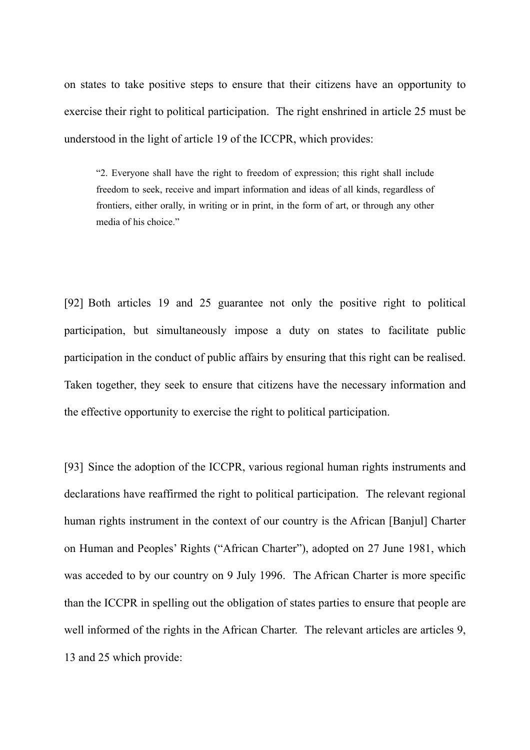on states to take positive steps to ensure that their citizens have an opportunity to exercise their right to political participation. The right enshrined in article 25 must be understood in the light of article 19 of the ICCPR, which provides:

"2. Everyone shall have the right to freedom of expression; this right shall include freedom to seek, receive and impart information and ideas of all kinds, regardless of frontiers, either orally, in writing or in print, in the form of art, or through any other media of his choice."

[92] Both articles 19 and 25 guarantee not only the positive right to political participation, but simultaneously impose a duty on states to facilitate public participation in the conduct of public affairs by ensuring that this right can be realised. Taken together, they seek to ensure that citizens have the necessary information and the effective opportunity to exercise the right to political participation.

[93] Since the adoption of the ICCPR, various regional human rights instruments and declarations have reaffirmed the right to political participation. The relevant regional human rights instrument in the context of our country is the African [Banjul] Charter on Human and Peoples' Rights ("African Charter"), adopted on 27 June 1981, which was acceded to by our country on 9 July 1996. The African Charter is more specific than the ICCPR in spelling out the obligation of states parties to ensure that people are well informed of the rights in the African Charter. The relevant articles are articles 9, 13 and 25 which provide: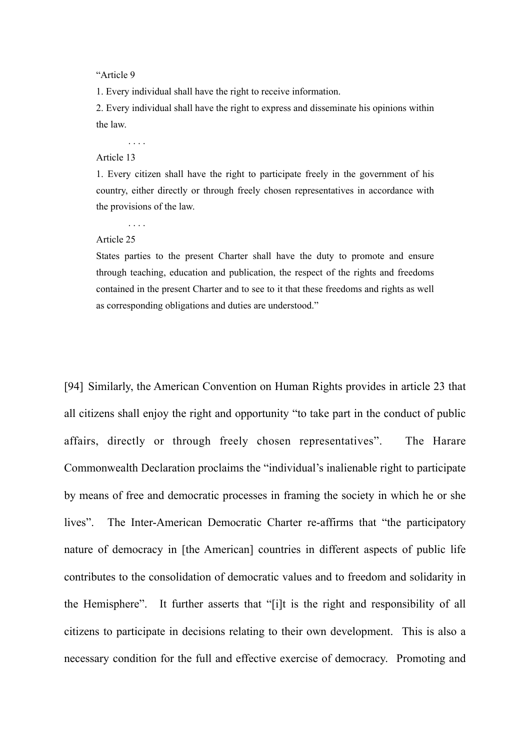"Article 9

1. Every individual shall have the right to receive information.

2. Every individual shall have the right to express and disseminate his opinions within the law.

. . . .

#### Article 13

1. Every citizen shall have the right to participate freely in the government of his country, either directly or through freely chosen representatives in accordance with the provisions of the law.

. . . .

Article 25

States parties to the present Charter shall have the duty to promote and ensure through teaching, education and publication, the respect of the rights and freedoms contained in the present Charter and to see to it that these freedoms and rights as well as corresponding obligations and duties are understood."

[94] Similarly, the American Convention on Human Rights provides in article 23 that all citizens shall enjoy the right and opportunity "to take part in the conduct of public affairs, directly or through freely chosen representatives". The Harare Commonwealth Declaration proclaims the "individual's inalienable right to participate by means of free and democratic processes in framing the society in which he or she lives". The Inter-American Democratic Charter re-affirms that "the participatory nature of democracy in [the American] countries in different aspects of public life contributes to the consolidation of democratic values and to freedom and solidarity in the Hemisphere". It further asserts that "[i]t is the right and responsibility of all citizens to participate in decisions relating to their own development. This is also a necessary condition for the full and effective exercise of democracy. Promoting and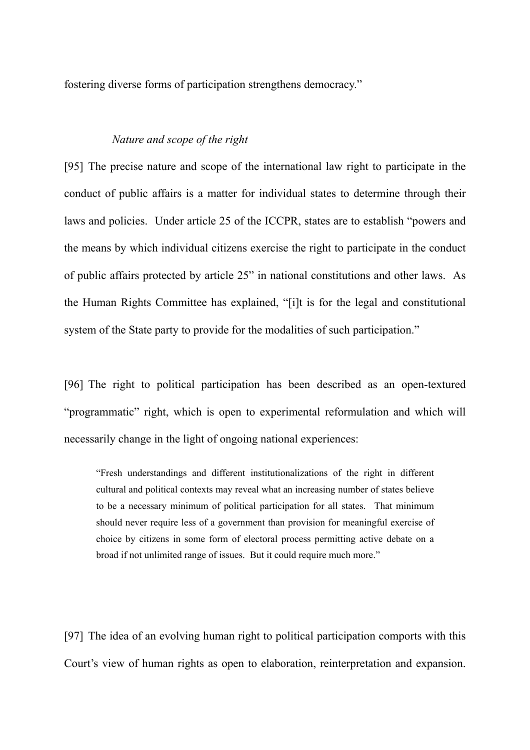fostering diverse forms of participation strengthens democracy."

## *Nature and scope of the right*

[95] The precise nature and scope of the international law right to participate in the conduct of public affairs is a matter for individual states to determine through their laws and policies. Under article 25 of the ICCPR, states are to establish "powers and the means by which individual citizens exercise the right to participate in the conduct of public affairs protected by article 25" in national constitutions and other laws. As the Human Rights Committee has explained, "[i]t is for the legal and constitutional system of the State party to provide for the modalities of such participation."

[96] The right to political participation has been described as an open-textured "programmatic" right, which is open to experimental reformulation and which will necessarily change in the light of ongoing national experiences:

"Fresh understandings and different institutionalizations of the right in different cultural and political contexts may reveal what an increasing number of states believe to be a necessary minimum of political participation for all states. That minimum should never require less of a government than provision for meaningful exercise of choice by citizens in some form of electoral process permitting active debate on a broad if not unlimited range of issues. But it could require much more."

[97] The idea of an evolving human right to political participation comports with this Court's view of human rights as open to elaboration, reinterpretation and expansion.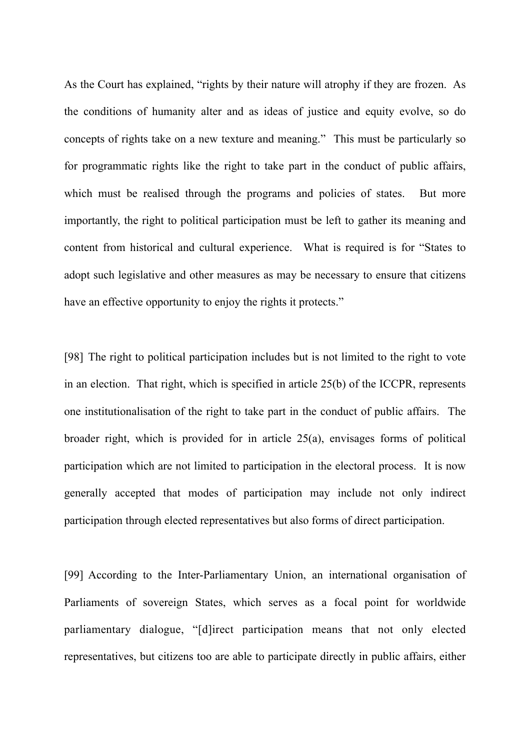As the Court has explained, "rights by their nature will atrophy if they are frozen. As the conditions of humanity alter and as ideas of justice and equity evolve, so do concepts of rights take on a new texture and meaning." This must be particularly so for programmatic rights like the right to take part in the conduct of public affairs, which must be realised through the programs and policies of states. But more importantly, the right to political participation must be left to gather its meaning and content from historical and cultural experience. What is required is for "States to adopt such legislative and other measures as may be necessary to ensure that citizens have an effective opportunity to enjoy the rights it protects."

[98] The right to political participation includes but is not limited to the right to vote in an election. That right, which is specified in article 25(b) of the ICCPR, represents one institutionalisation of the right to take part in the conduct of public affairs. The broader right, which is provided for in article 25(a), envisages forms of political participation which are not limited to participation in the electoral process. It is now generally accepted that modes of participation may include not only indirect participation through elected representatives but also forms of direct participation.

[99] According to the Inter-Parliamentary Union, an international organisation of Parliaments of sovereign States, which serves as a focal point for worldwide parliamentary dialogue, "[d]irect participation means that not only elected representatives, but citizens too are able to participate directly in public affairs, either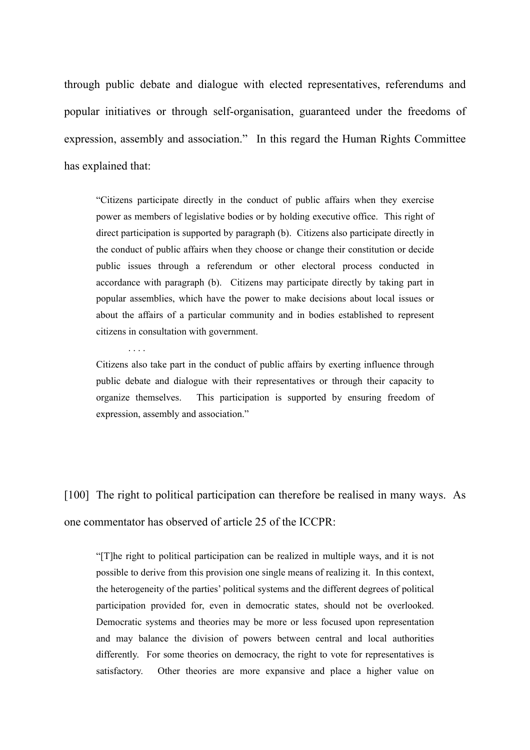through public debate and dialogue with elected representatives, referendums and popular initiatives or through self-organisation, guaranteed under the freedoms of expression, assembly and association." In this regard the Human Rights Committee has explained that:

"Citizens participate directly in the conduct of public affairs when they exercise power as members of legislative bodies or by holding executive office. This right of direct participation is supported by paragraph (b). Citizens also participate directly in the conduct of public affairs when they choose or change their constitution or decide public issues through a referendum or other electoral process conducted in accordance with paragraph (b). Citizens may participate directly by taking part in popular assemblies, which have the power to make decisions about local issues or about the affairs of a particular community and in bodies established to represent citizens in consultation with government.

. . . .

Citizens also take part in the conduct of public affairs by exerting influence through public debate and dialogue with their representatives or through their capacity to organize themselves. This participation is supported by ensuring freedom of expression, assembly and association."

[100] The right to political participation can therefore be realised in many ways. As one commentator has observed of article 25 of the ICCPR:

"[T]he right to political participation can be realized in multiple ways, and it is not possible to derive from this provision one single means of realizing it. In this context, the heterogeneity of the parties' political systems and the different degrees of political participation provided for, even in democratic states, should not be overlooked. Democratic systems and theories may be more or less focused upon representation and may balance the division of powers between central and local authorities differently. For some theories on democracy, the right to vote for representatives is satisfactory. Other theories are more expansive and place a higher value on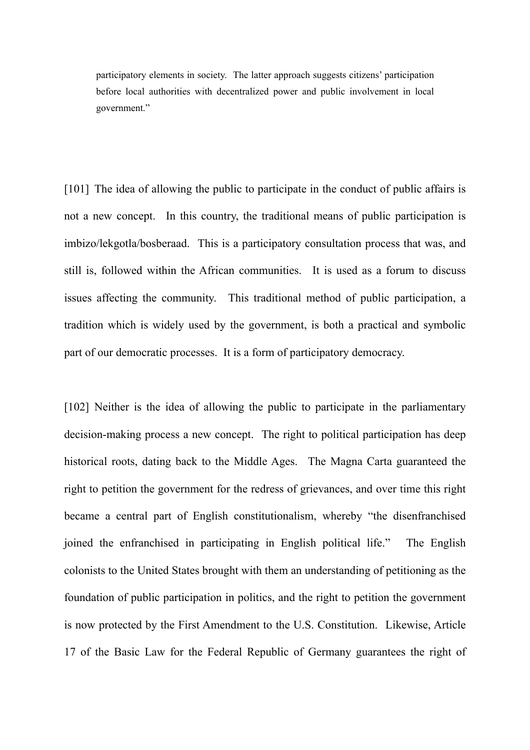participatory elements in society. The latter approach suggests citizens' participation before local authorities with decentralized power and public involvement in local government."

[101] The idea of allowing the public to participate in the conduct of public affairs is not a new concept. In this country, the traditional means of public participation is imbizo/lekgotla/bosberaad. This is a participatory consultation process that was, and still is, followed within the African communities. It is used as a forum to discuss issues affecting the community. This traditional method of public participation, a tradition which is widely used by the government, is both a practical and symbolic part of our democratic processes. It is a form of participatory democracy.

[102] Neither is the idea of allowing the public to participate in the parliamentary decision-making process a new concept. The right to political participation has deep historical roots, dating back to the Middle Ages. The Magna Carta guaranteed the right to petition the government for the redress of grievances, and over time this right became a central part of English constitutionalism, whereby "the disenfranchised joined the enfranchised in participating in English political life." The English colonists to the United States brought with them an understanding of petitioning as the foundation of public participation in politics, and the right to petition the government is now protected by the First Amendment to the U.S. Constitution. Likewise, Article 17 of the Basic Law for the Federal Republic of Germany guarantees the right of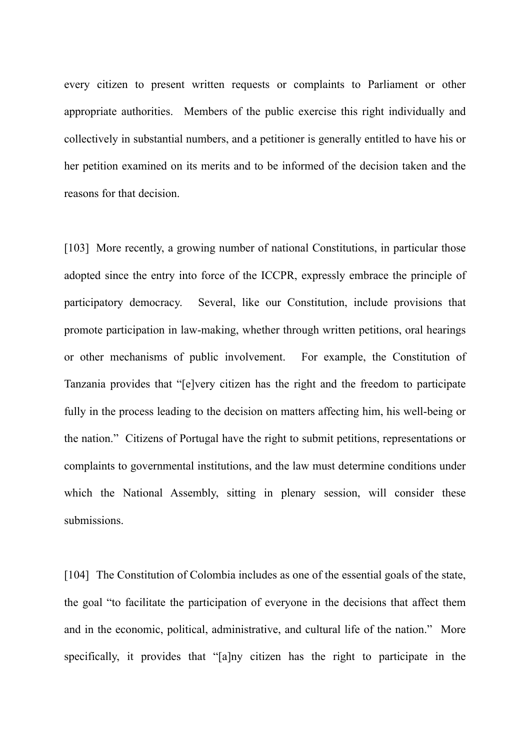every citizen to present written requests or complaints to Parliament or other appropriate authorities. Members of the public exercise this right individually and collectively in substantial numbers, and a petitioner is generally entitled to have his or her petition examined on its merits and to be informed of the decision taken and the reasons for that decision.

[103] More recently, a growing number of national Constitutions, in particular those adopted since the entry into force of the ICCPR, expressly embrace the principle of participatory democracy. Several, like our Constitution, include provisions that promote participation in law-making, whether through written petitions, oral hearings or other mechanisms of public involvement. For example, the Constitution of Tanzania provides that "[e]very citizen has the right and the freedom to participate fully in the process leading to the decision on matters affecting him, his well-being or the nation." Citizens of Portugal have the right to submit petitions, representations or complaints to governmental institutions, and the law must determine conditions under which the National Assembly, sitting in plenary session, will consider these submissions.

[104] The Constitution of Colombia includes as one of the essential goals of the state, the goal "to facilitate the participation of everyone in the decisions that affect them and in the economic, political, administrative, and cultural life of the nation." More specifically, it provides that "[a]ny citizen has the right to participate in the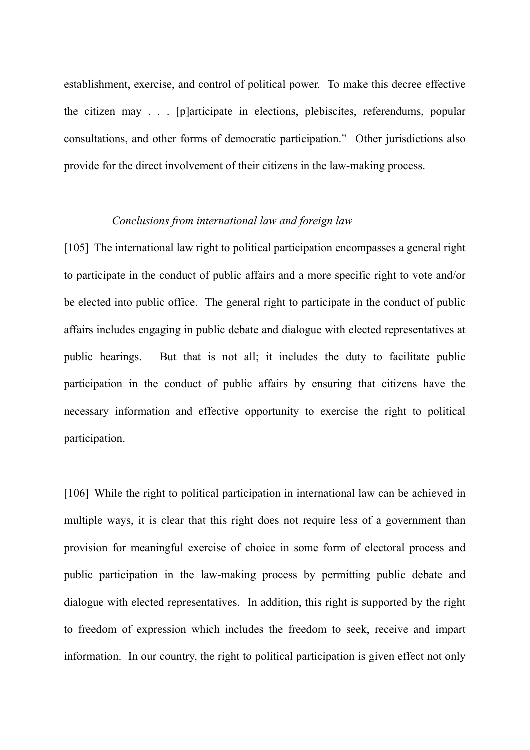establishment, exercise, and control of political power. To make this decree effective the citizen may . . . [p]articipate in elections, plebiscites, referendums, popular consultations, and other forms of democratic participation." Other jurisdictions also provide for the direct involvement of their citizens in the law-making process.

# *Conclusions from international law and foreign law*

[105] The international law right to political participation encompasses a general right to participate in the conduct of public affairs and a more specific right to vote and/or be elected into public office. The general right to participate in the conduct of public affairs includes engaging in public debate and dialogue with elected representatives at public hearings. But that is not all; it includes the duty to facilitate public participation in the conduct of public affairs by ensuring that citizens have the necessary information and effective opportunity to exercise the right to political participation.

[106] While the right to political participation in international law can be achieved in multiple ways, it is clear that this right does not require less of a government than provision for meaningful exercise of choice in some form of electoral process and public participation in the law-making process by permitting public debate and dialogue with elected representatives. In addition, this right is supported by the right to freedom of expression which includes the freedom to seek, receive and impart information. In our country, the right to political participation is given effect not only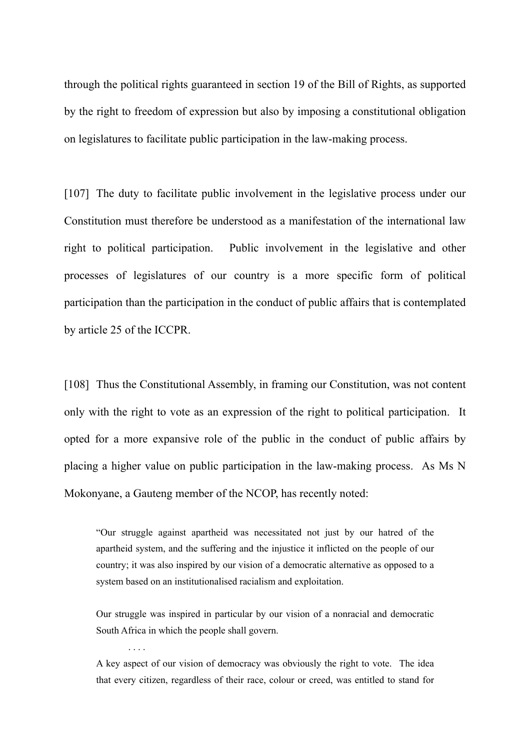through the political rights guaranteed in section 19 of the Bill of Rights, as supported by the right to freedom of expression but also by imposing a constitutional obligation on legislatures to facilitate public participation in the law-making process.

[107] The duty to facilitate public involvement in the legislative process under our Constitution must therefore be understood as a manifestation of the international law right to political participation. Public involvement in the legislative and other processes of legislatures of our country is a more specific form of political participation than the participation in the conduct of public affairs that is contemplated by article 25 of the ICCPR.

[108] Thus the Constitutional Assembly, in framing our Constitution, was not content only with the right to vote as an expression of the right to political participation. It opted for a more expansive role of the public in the conduct of public affairs by placing a higher value on public participation in the law-making process. As Ms N Mokonyane, a Gauteng member of the NCOP, has recently noted:

"Our struggle against apartheid was necessitated not just by our hatred of the apartheid system, and the suffering and the injustice it inflicted on the people of our country; it was also inspired by our vision of a democratic alternative as opposed to a system based on an institutionalised racialism and exploitation.

Our struggle was inspired in particular by our vision of a nonracial and democratic South Africa in which the people shall govern.

A key aspect of our vision of democracy was obviously the right to vote. The idea that every citizen, regardless of their race, colour or creed, was entitled to stand for

. . . .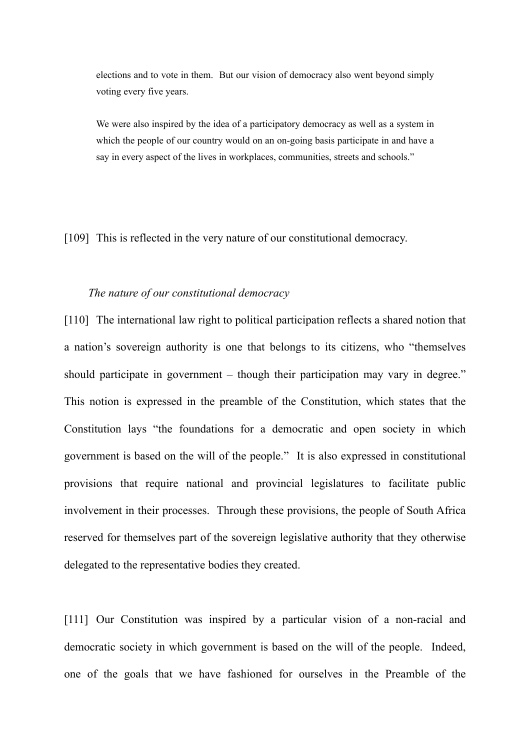elections and to vote in them. But our vision of democracy also went beyond simply voting every five years.

We were also inspired by the idea of a participatory democracy as well as a system in which the people of our country would on an on-going basis participate in and have a say in every aspect of the lives in workplaces, communities, streets and schools."

[109] This is reflected in the very nature of our constitutional democracy.

### *The nature of our constitutional democracy*

[110] The international law right to political participation reflects a shared notion that a nation's sovereign authority is one that belongs to its citizens, who "themselves should participate in government – though their participation may vary in degree." This notion is expressed in the preamble of the Constitution, which states that the Constitution lays "the foundations for a democratic and open society in which government is based on the will of the people." It is also expressed in constitutional provisions that require national and provincial legislatures to facilitate public involvement in their processes. Through these provisions, the people of South Africa reserved for themselves part of the sovereign legislative authority that they otherwise delegated to the representative bodies they created.

[111] Our Constitution was inspired by a particular vision of a non-racial and democratic society in which government is based on the will of the people. Indeed, one of the goals that we have fashioned for ourselves in the Preamble of the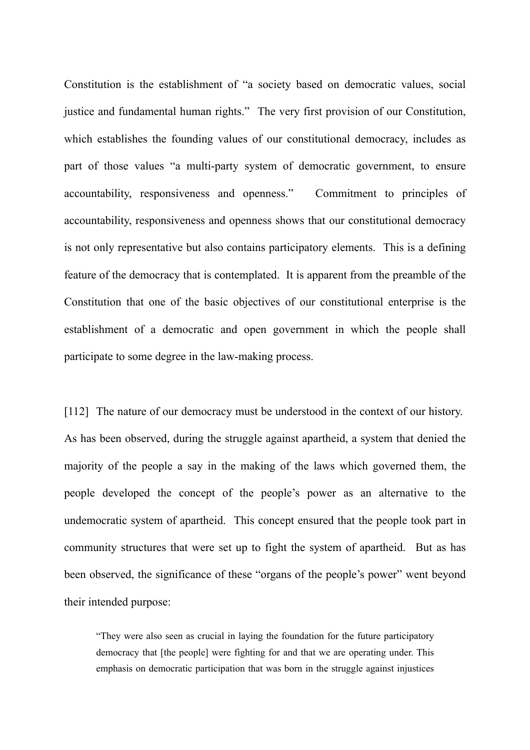Constitution is the establishment of "a society based on democratic values, social justice and fundamental human rights." The very first provision of our Constitution, which establishes the founding values of our constitutional democracy, includes as part of those values "a multi-party system of democratic government, to ensure accountability, responsiveness and openness." Commitment to principles of accountability, responsiveness and openness shows that our constitutional democracy is not only representative but also contains participatory elements. This is a defining feature of the democracy that is contemplated. It is apparent from the preamble of the Constitution that one of the basic objectives of our constitutional enterprise is the establishment of a democratic and open government in which the people shall participate to some degree in the law-making process.

[112] The nature of our democracy must be understood in the context of our history. As has been observed, during the struggle against apartheid, a system that denied the majority of the people a say in the making of the laws which governed them, the people developed the concept of the people's power as an alternative to the undemocratic system of apartheid. This concept ensured that the people took part in community structures that were set up to fight the system of apartheid. But as has been observed, the significance of these "organs of the people's power" went beyond their intended purpose:

"They were also seen as crucial in laying the foundation for the future participatory democracy that [the people] were fighting for and that we are operating under. This emphasis on democratic participation that was born in the struggle against injustices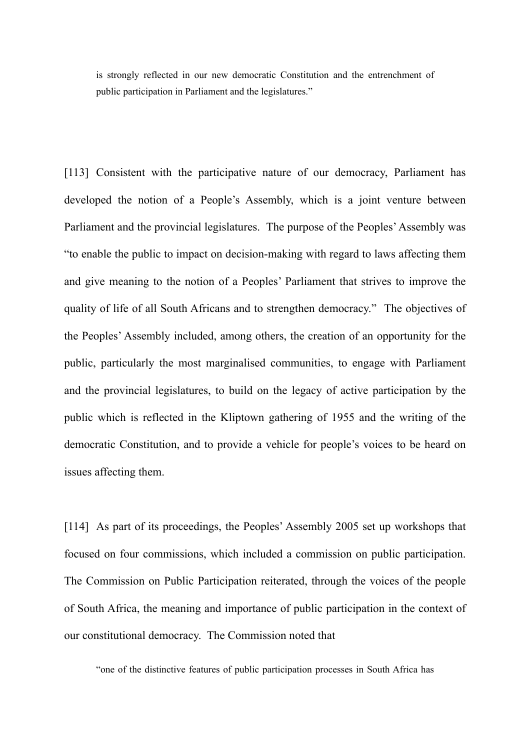is strongly reflected in our new democratic Constitution and the entrenchment of public participation in Parliament and the legislatures."

[113] Consistent with the participative nature of our democracy, Parliament has developed the notion of a People's Assembly, which is a joint venture between Parliament and the provincial legislatures. The purpose of the Peoples' Assembly was "to enable the public to impact on decision-making with regard to laws affecting them and give meaning to the notion of a Peoples' Parliament that strives to improve the quality of life of all South Africans and to strengthen democracy." The objectives of the Peoples' Assembly included, among others, the creation of an opportunity for the public, particularly the most marginalised communities, to engage with Parliament and the provincial legislatures, to build on the legacy of active participation by the public which is reflected in the Kliptown gathering of 1955 and the writing of the democratic Constitution, and to provide a vehicle for people's voices to be heard on issues affecting them.

[114] As part of its proceedings, the Peoples' Assembly 2005 set up workshops that focused on four commissions, which included a commission on public participation. The Commission on Public Participation reiterated, through the voices of the people of South Africa, the meaning and importance of public participation in the context of our constitutional democracy. The Commission noted that

"one of the distinctive features of public participation processes in South Africa has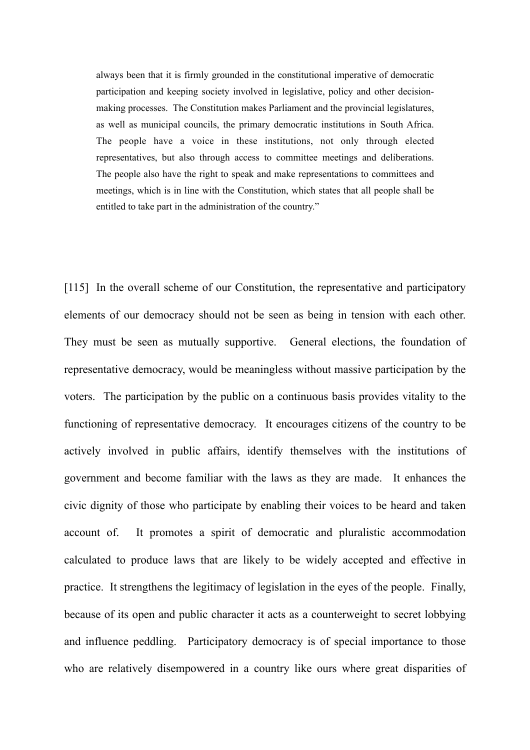always been that it is firmly grounded in the constitutional imperative of democratic participation and keeping society involved in legislative, policy and other decisionmaking processes. The Constitution makes Parliament and the provincial legislatures, as well as municipal councils, the primary democratic institutions in South Africa. The people have a voice in these institutions, not only through elected representatives, but also through access to committee meetings and deliberations. The people also have the right to speak and make representations to committees and meetings, which is in line with the Constitution, which states that all people shall be entitled to take part in the administration of the country."

[115] In the overall scheme of our Constitution, the representative and participatory elements of our democracy should not be seen as being in tension with each other. They must be seen as mutually supportive. General elections, the foundation of representative democracy, would be meaningless without massive participation by the voters. The participation by the public on a continuous basis provides vitality to the functioning of representative democracy. It encourages citizens of the country to be actively involved in public affairs, identify themselves with the institutions of government and become familiar with the laws as they are made. It enhances the civic dignity of those who participate by enabling their voices to be heard and taken account of. It promotes a spirit of democratic and pluralistic accommodation calculated to produce laws that are likely to be widely accepted and effective in practice. It strengthens the legitimacy of legislation in the eyes of the people. Finally, because of its open and public character it acts as a counterweight to secret lobbying and influence peddling. Participatory democracy is of special importance to those who are relatively disempowered in a country like ours where great disparities of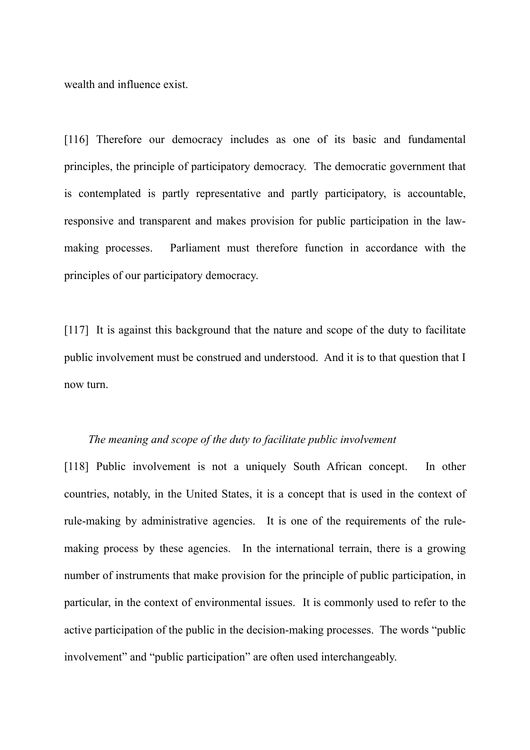wealth and influence exist.

[116] Therefore our democracy includes as one of its basic and fundamental principles, the principle of participatory democracy. The democratic government that is contemplated is partly representative and partly participatory, is accountable, responsive and transparent and makes provision for public participation in the lawmaking processes. Parliament must therefore function in accordance with the principles of our participatory democracy.

[117] It is against this background that the nature and scope of the duty to facilitate public involvement must be construed and understood. And it is to that question that I now turn.

#### *The meaning and scope of the duty to facilitate public involvement*

[118] Public involvement is not a uniquely South African concept. In other countries, notably, in the United States, it is a concept that is used in the context of rule-making by administrative agencies. It is one of the requirements of the rulemaking process by these agencies. In the international terrain, there is a growing number of instruments that make provision for the principle of public participation, in particular, in the context of environmental issues. It is commonly used to refer to the active participation of the public in the decision-making processes. The words "public involvement" and "public participation" are often used interchangeably.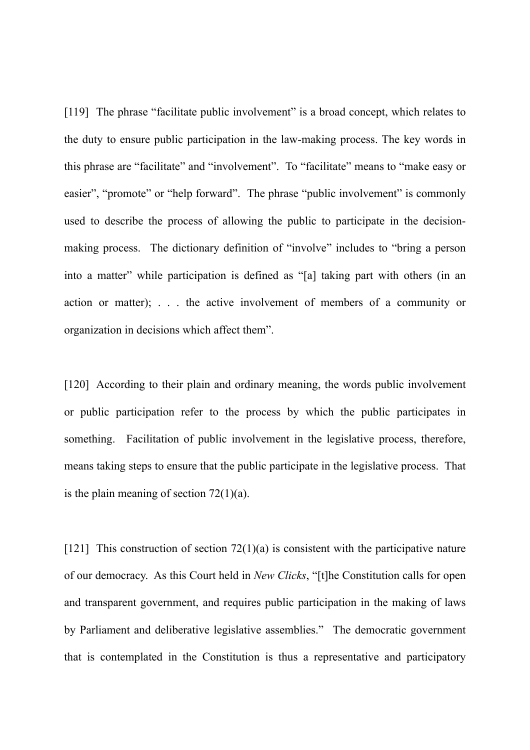[119] The phrase "facilitate public involvement" is a broad concept, which relates to the duty to ensure public participation in the law-making process. The key words in this phrase are "facilitate" and "involvement". To "facilitate" means to "make easy or easier", "promote" or "help forward". The phrase "public involvement" is commonly used to describe the process of allowing the public to participate in the decisionmaking process. The dictionary definition of "involve" includes to "bring a person into a matter" while participation is defined as "[a] taking part with others (in an action or matter); . . . the active involvement of members of a community or organization in decisions which affect them".

[120] According to their plain and ordinary meaning, the words public involvement or public participation refer to the process by which the public participates in something. Facilitation of public involvement in the legislative process, therefore, means taking steps to ensure that the public participate in the legislative process. That is the plain meaning of section  $72(1)(a)$ .

[121] This construction of section  $72(1)(a)$  is consistent with the participative nature of our democracy. As this Court held in *New Clicks*, "[t]he Constitution calls for open and transparent government, and requires public participation in the making of laws by Parliament and deliberative legislative assemblies." The democratic government that is contemplated in the Constitution is thus a representative and participatory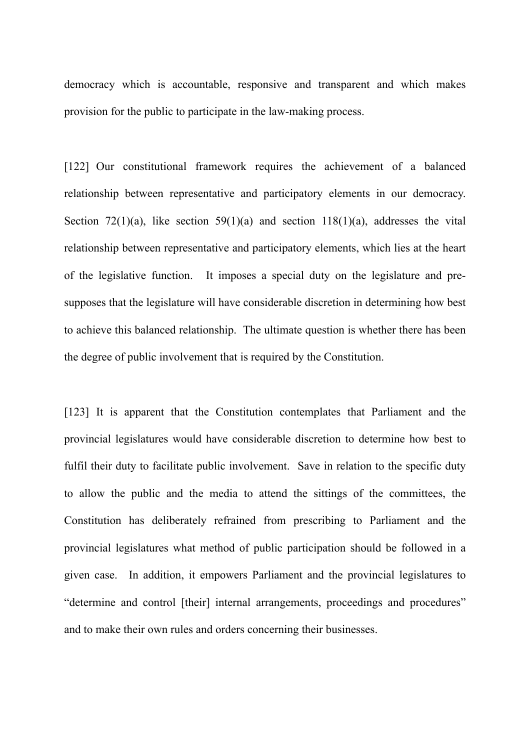democracy which is accountable, responsive and transparent and which makes provision for the public to participate in the law-making process.

[122] Our constitutional framework requires the achievement of a balanced relationship between representative and participatory elements in our democracy. Section 72(1)(a), like section 59(1)(a) and section 118(1)(a), addresses the vital relationship between representative and participatory elements, which lies at the heart of the legislative function. It imposes a special duty on the legislature and presupposes that the legislature will have considerable discretion in determining how best to achieve this balanced relationship. The ultimate question is whether there has been the degree of public involvement that is required by the Constitution.

[123] It is apparent that the Constitution contemplates that Parliament and the provincial legislatures would have considerable discretion to determine how best to fulfil their duty to facilitate public involvement. Save in relation to the specific duty to allow the public and the media to attend the sittings of the committees, the Constitution has deliberately refrained from prescribing to Parliament and the provincial legislatures what method of public participation should be followed in a given case. In addition, it empowers Parliament and the provincial legislatures to "determine and control [their] internal arrangements, proceedings and procedures" and to make their own rules and orders concerning their businesses.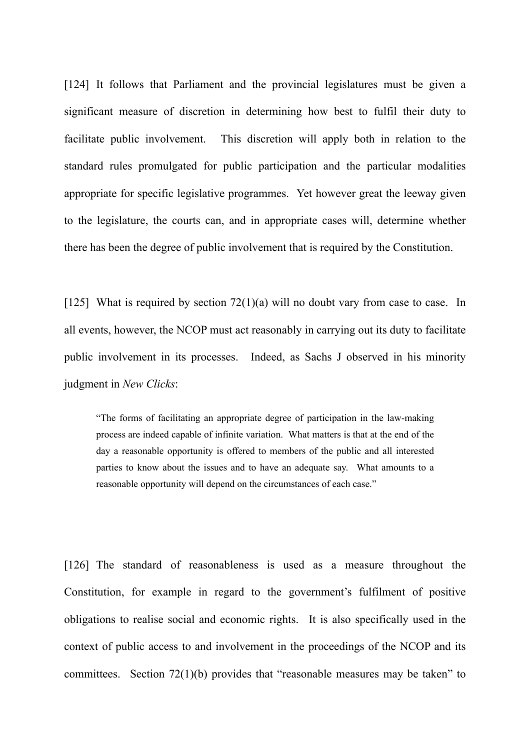[124] It follows that Parliament and the provincial legislatures must be given a significant measure of discretion in determining how best to fulfil their duty to facilitate public involvement. This discretion will apply both in relation to the standard rules promulgated for public participation and the particular modalities appropriate for specific legislative programmes. Yet however great the leeway given to the legislature, the courts can, and in appropriate cases will, determine whether there has been the degree of public involvement that is required by the Constitution.

[125] What is required by section 72(1)(a) will no doubt vary from case to case. In all events, however, the NCOP must act reasonably in carrying out its duty to facilitate public involvement in its processes. Indeed, as Sachs J observed in his minority judgment in *New Clicks*:

"The forms of facilitating an appropriate degree of participation in the law-making process are indeed capable of infinite variation. What matters is that at the end of the day a reasonable opportunity is offered to members of the public and all interested parties to know about the issues and to have an adequate say. What amounts to a reasonable opportunity will depend on the circumstances of each case."

[126] The standard of reasonableness is used as a measure throughout the Constitution, for example in regard to the government's fulfilment of positive obligations to realise social and economic rights. It is also specifically used in the context of public access to and involvement in the proceedings of the NCOP and its committees. Section 72(1)(b) provides that "reasonable measures may be taken" to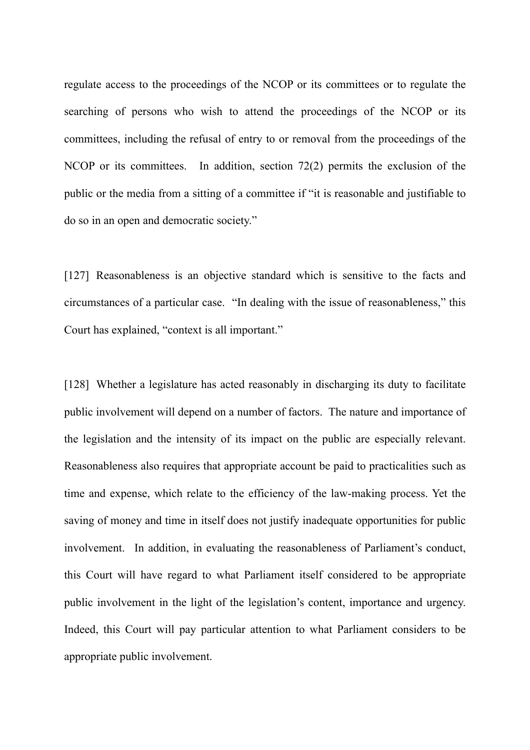regulate access to the proceedings of the NCOP or its committees or to regulate the searching of persons who wish to attend the proceedings of the NCOP or its committees, including the refusal of entry to or removal from the proceedings of the NCOP or its committees. In addition, section 72(2) permits the exclusion of the public or the media from a sitting of a committee if "it is reasonable and justifiable to do so in an open and democratic society."

[127] Reasonableness is an objective standard which is sensitive to the facts and circumstances of a particular case. "In dealing with the issue of reasonableness," this Court has explained, "context is all important."

[128] Whether a legislature has acted reasonably in discharging its duty to facilitate public involvement will depend on a number of factors. The nature and importance of the legislation and the intensity of its impact on the public are especially relevant. Reasonableness also requires that appropriate account be paid to practicalities such as time and expense, which relate to the efficiency of the law-making process. Yet the saving of money and time in itself does not justify inadequate opportunities for public involvement. In addition, in evaluating the reasonableness of Parliament's conduct, this Court will have regard to what Parliament itself considered to be appropriate public involvement in the light of the legislation's content, importance and urgency. Indeed, this Court will pay particular attention to what Parliament considers to be appropriate public involvement.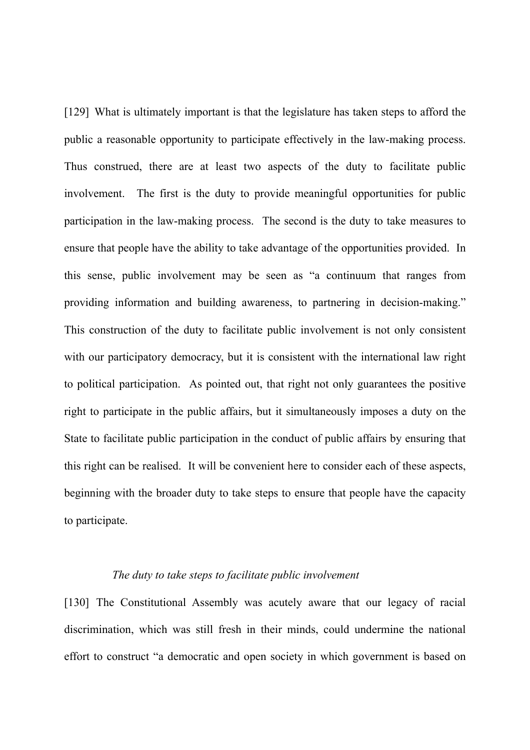[129] What is ultimately important is that the legislature has taken steps to afford the public a reasonable opportunity to participate effectively in the law-making process. Thus construed, there are at least two aspects of the duty to facilitate public involvement. The first is the duty to provide meaningful opportunities for public participation in the law-making process. The second is the duty to take measures to ensure that people have the ability to take advantage of the opportunities provided. In this sense, public involvement may be seen as "a continuum that ranges from providing information and building awareness, to partnering in decision-making." This construction of the duty to facilitate public involvement is not only consistent with our participatory democracy, but it is consistent with the international law right to political participation. As pointed out, that right not only guarantees the positive right to participate in the public affairs, but it simultaneously imposes a duty on the State to facilitate public participation in the conduct of public affairs by ensuring that this right can be realised. It will be convenient here to consider each of these aspects, beginning with the broader duty to take steps to ensure that people have the capacity to participate.

## *The duty to take steps to facilitate public involvement*

[130] The Constitutional Assembly was acutely aware that our legacy of racial discrimination, which was still fresh in their minds, could undermine the national effort to construct "a democratic and open society in which government is based on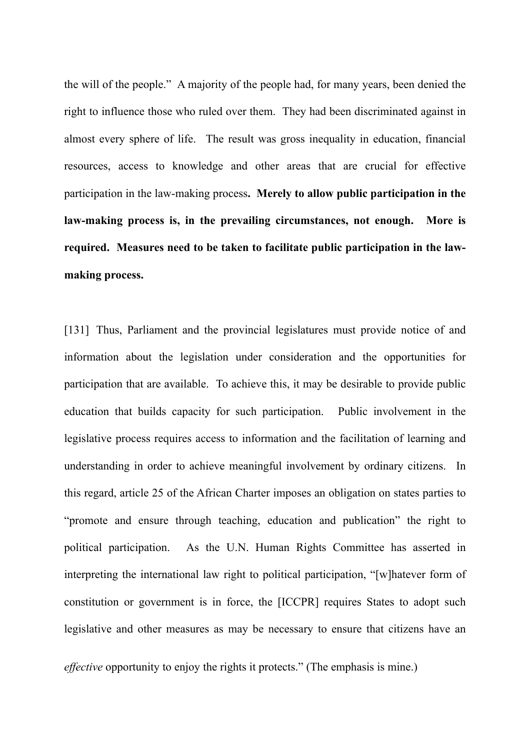the will of the people." A majority of the people had, for many years, been denied the right to influence those who ruled over them. They had been discriminated against in almost every sphere of life. The result was gross inequality in education, financial resources, access to knowledge and other areas that are crucial for effective participation in the law-making process**. Merely to allow public participation in the law-making process is, in the prevailing circumstances, not enough. More is required. Measures need to be taken to facilitate public participation in the lawmaking process.**

[131] Thus, Parliament and the provincial legislatures must provide notice of and information about the legislation under consideration and the opportunities for participation that are available. To achieve this, it may be desirable to provide public education that builds capacity for such participation. Public involvement in the legislative process requires access to information and the facilitation of learning and understanding in order to achieve meaningful involvement by ordinary citizens. In this regard, article 25 of the African Charter imposes an obligation on states parties to "promote and ensure through teaching, education and publication" the right to political participation. As the U.N. Human Rights Committee has asserted in interpreting the international law right to political participation, "[w]hatever form of constitution or government is in force, the [ICCPR] requires States to adopt such legislative and other measures as may be necessary to ensure that citizens have an

*effective* opportunity to enjoy the rights it protects." (The emphasis is mine.)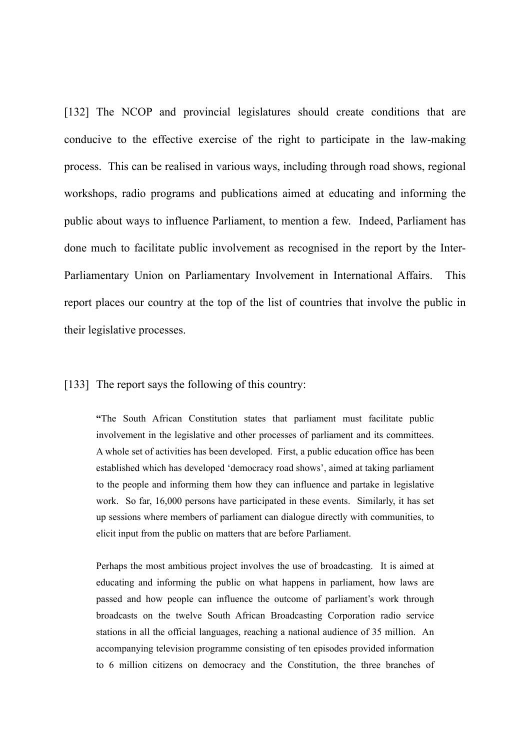[132] The NCOP and provincial legislatures should create conditions that are conducive to the effective exercise of the right to participate in the law-making process. This can be realised in various ways, including through road shows, regional workshops, radio programs and publications aimed at educating and informing the public about ways to influence Parliament, to mention a few. Indeed, Parliament has done much to facilitate public involvement as recognised in the report by the Inter-Parliamentary Union on Parliamentary Involvement in International Affairs. This report places our country at the top of the list of countries that involve the public in their legislative processes.

[133] The report says the following of this country:

**"**The South African Constitution states that parliament must facilitate public involvement in the legislative and other processes of parliament and its committees. A whole set of activities has been developed. First, a public education office has been established which has developed 'democracy road shows', aimed at taking parliament to the people and informing them how they can influence and partake in legislative work. So far, 16,000 persons have participated in these events. Similarly, it has set up sessions where members of parliament can dialogue directly with communities, to elicit input from the public on matters that are before Parliament.

Perhaps the most ambitious project involves the use of broadcasting. It is aimed at educating and informing the public on what happens in parliament, how laws are passed and how people can influence the outcome of parliament's work through broadcasts on the twelve South African Broadcasting Corporation radio service stations in all the official languages, reaching a national audience of 35 million. An accompanying television programme consisting of ten episodes provided information to 6 million citizens on democracy and the Constitution, the three branches of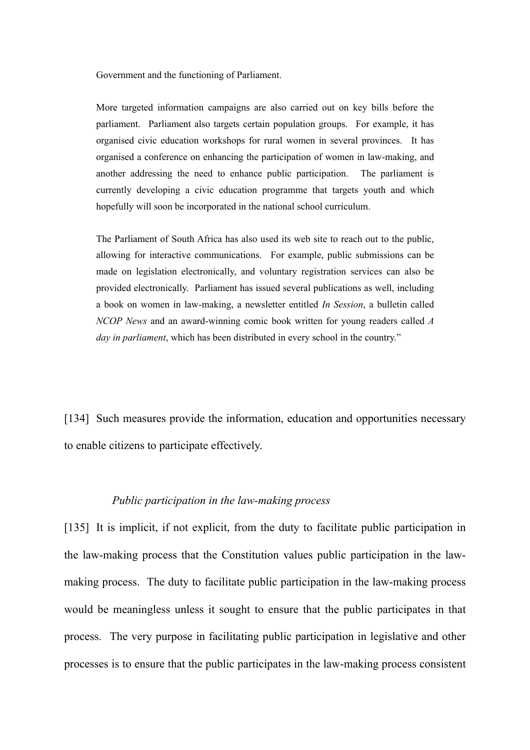Government and the functioning of Parliament.

More targeted information campaigns are also carried out on key bills before the parliament. Parliament also targets certain population groups. For example, it has organised civic education workshops for rural women in several provinces. It has organised a conference on enhancing the participation of women in law-making, and another addressing the need to enhance public participation. The parliament is currently developing a civic education programme that targets youth and which hopefully will soon be incorporated in the national school curriculum.

The Parliament of South Africa has also used its web site to reach out to the public, allowing for interactive communications. For example, public submissions can be made on legislation electronically, and voluntary registration services can also be provided electronically. Parliament has issued several publications as well, including a book on women in law-making, a newsletter entitled *In Session*, a bulletin called *NCOP News* and an award-winning comic book written for young readers called *A day in parliament*, which has been distributed in every school in the country."

[134] Such measures provide the information, education and opportunities necessary to enable citizens to participate effectively.

### *Public participation in the law-making process*

[135] It is implicit, if not explicit, from the duty to facilitate public participation in the law-making process that the Constitution values public participation in the lawmaking process. The duty to facilitate public participation in the law-making process would be meaningless unless it sought to ensure that the public participates in that process. The very purpose in facilitating public participation in legislative and other processes is to ensure that the public participates in the law-making process consistent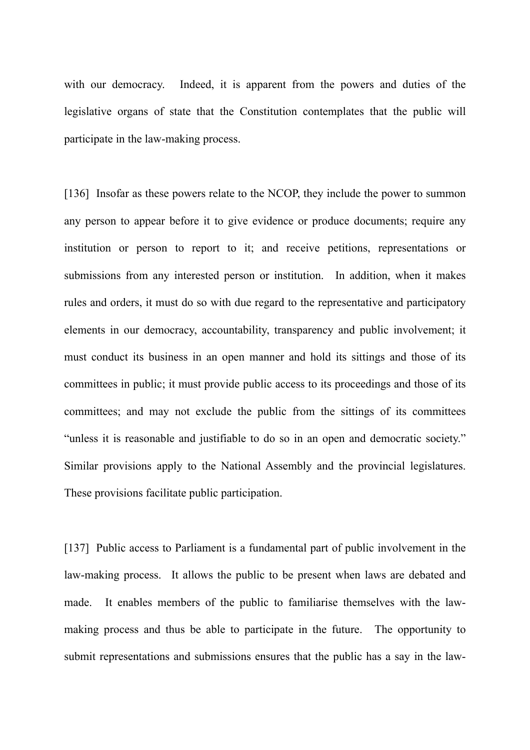with our democracy. Indeed, it is apparent from the powers and duties of the legislative organs of state that the Constitution contemplates that the public will participate in the law-making process.

[136] Insofar as these powers relate to the NCOP, they include the power to summon any person to appear before it to give evidence or produce documents; require any institution or person to report to it; and receive petitions, representations or submissions from any interested person or institution. In addition, when it makes rules and orders, it must do so with due regard to the representative and participatory elements in our democracy, accountability, transparency and public involvement; it must conduct its business in an open manner and hold its sittings and those of its committees in public; it must provide public access to its proceedings and those of its committees; and may not exclude the public from the sittings of its committees "unless it is reasonable and justifiable to do so in an open and democratic society." Similar provisions apply to the National Assembly and the provincial legislatures. These provisions facilitate public participation.

[137] Public access to Parliament is a fundamental part of public involvement in the law-making process. It allows the public to be present when laws are debated and made. It enables members of the public to familiarise themselves with the lawmaking process and thus be able to participate in the future. The opportunity to submit representations and submissions ensures that the public has a say in the law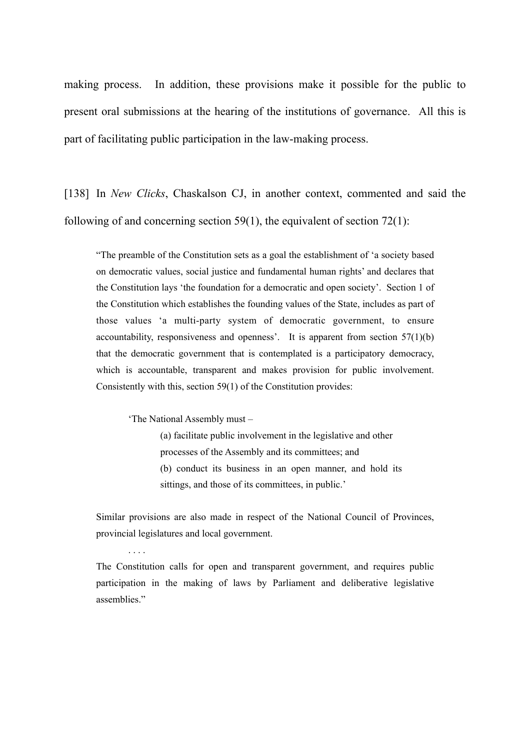making process. In addition, these provisions make it possible for the public to present oral submissions at the hearing of the institutions of governance. All this is part of facilitating public participation in the law-making process.

[138] In *New Clicks*, Chaskalson CJ, in another context, commented and said the following of and concerning section  $59(1)$ , the equivalent of section  $72(1)$ :

"The preamble of the Constitution sets as a goal the establishment of 'a society based on democratic values, social justice and fundamental human rights' and declares that the Constitution lays 'the foundation for a democratic and open society'. Section 1 of the Constitution which establishes the founding values of the State, includes as part of those values 'a multi-party system of democratic government, to ensure accountability, responsiveness and openness'. It is apparent from section  $57(1)(b)$ that the democratic government that is contemplated is a participatory democracy, which is accountable, transparent and makes provision for public involvement. Consistently with this, section 59(1) of the Constitution provides:

'The National Assembly must –

. . . .

(a) facilitate public involvement in the legislative and other processes of the Assembly and its committees; and (b) conduct its business in an open manner, and hold its sittings, and those of its committees, in public.'

Similar provisions are also made in respect of the National Council of Provinces, provincial legislatures and local government.

The Constitution calls for open and transparent government, and requires public participation in the making of laws by Parliament and deliberative legislative assemblies."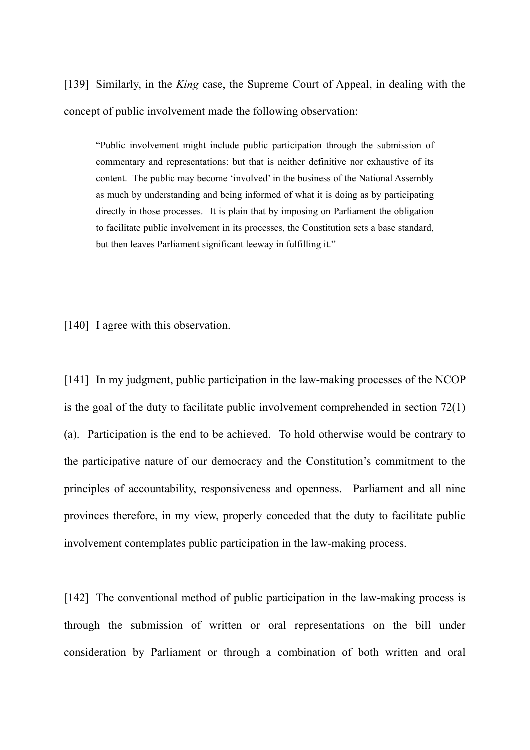[139] Similarly, in the *King* case, the Supreme Court of Appeal, in dealing with the concept of public involvement made the following observation:

"Public involvement might include public participation through the submission of commentary and representations: but that is neither definitive nor exhaustive of its content. The public may become 'involved' in the business of the National Assembly as much by understanding and being informed of what it is doing as by participating directly in those processes. It is plain that by imposing on Parliament the obligation to facilitate public involvement in its processes, the Constitution sets a base standard, but then leaves Parliament significant leeway in fulfilling it."

[140] I agree with this observation.

[141] In my judgment, public participation in the law-making processes of the NCOP is the goal of the duty to facilitate public involvement comprehended in section 72(1) (a). Participation is the end to be achieved. To hold otherwise would be contrary to the participative nature of our democracy and the Constitution's commitment to the principles of accountability, responsiveness and openness. Parliament and all nine provinces therefore, in my view, properly conceded that the duty to facilitate public involvement contemplates public participation in the law-making process.

[142] The conventional method of public participation in the law-making process is through the submission of written or oral representations on the bill under consideration by Parliament or through a combination of both written and oral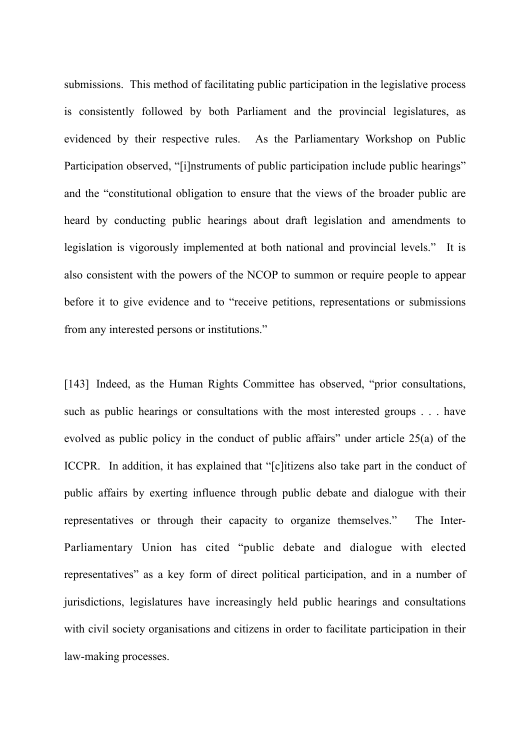submissions. This method of facilitating public participation in the legislative process is consistently followed by both Parliament and the provincial legislatures, as evidenced by their respective rules. As the Parliamentary Workshop on Public Participation observed, "[i]nstruments of public participation include public hearings" and the "constitutional obligation to ensure that the views of the broader public are heard by conducting public hearings about draft legislation and amendments to legislation is vigorously implemented at both national and provincial levels." It is also consistent with the powers of the NCOP to summon or require people to appear before it to give evidence and to "receive petitions, representations or submissions from any interested persons or institutions."

[143] Indeed, as the Human Rights Committee has observed, "prior consultations, such as public hearings or consultations with the most interested groups . . . have evolved as public policy in the conduct of public affairs" under article 25(a) of the ICCPR. In addition, it has explained that "[c]itizens also take part in the conduct of public affairs by exerting influence through public debate and dialogue with their representatives or through their capacity to organize themselves." The Inter-Parliamentary Union has cited "public debate and dialogue with elected representatives" as a key form of direct political participation, and in a number of jurisdictions, legislatures have increasingly held public hearings and consultations with civil society organisations and citizens in order to facilitate participation in their law-making processes.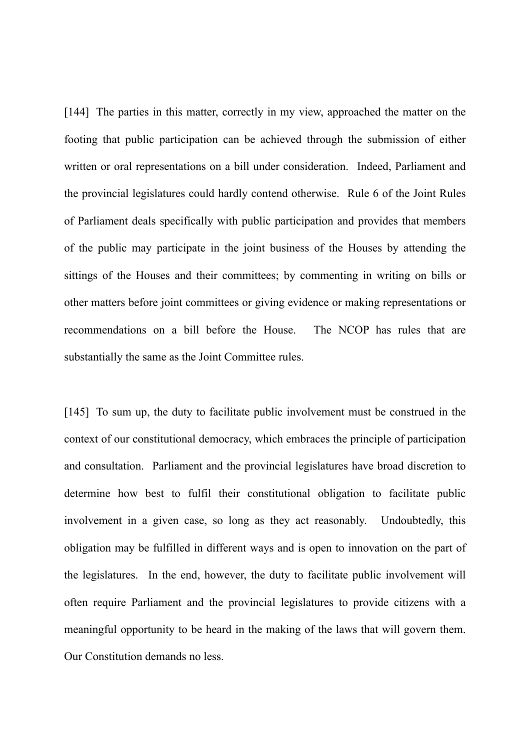[144] The parties in this matter, correctly in my view, approached the matter on the footing that public participation can be achieved through the submission of either written or oral representations on a bill under consideration. Indeed, Parliament and the provincial legislatures could hardly contend otherwise. Rule 6 of the Joint Rules of Parliament deals specifically with public participation and provides that members of the public may participate in the joint business of the Houses by attending the sittings of the Houses and their committees; by commenting in writing on bills or other matters before joint committees or giving evidence or making representations or recommendations on a bill before the House. The NCOP has rules that are substantially the same as the Joint Committee rules.

[145] To sum up, the duty to facilitate public involvement must be construed in the context of our constitutional democracy, which embraces the principle of participation and consultation. Parliament and the provincial legislatures have broad discretion to determine how best to fulfil their constitutional obligation to facilitate public involvement in a given case, so long as they act reasonably. Undoubtedly, this obligation may be fulfilled in different ways and is open to innovation on the part of the legislatures. In the end, however, the duty to facilitate public involvement will often require Parliament and the provincial legislatures to provide citizens with a meaningful opportunity to be heard in the making of the laws that will govern them. Our Constitution demands no less.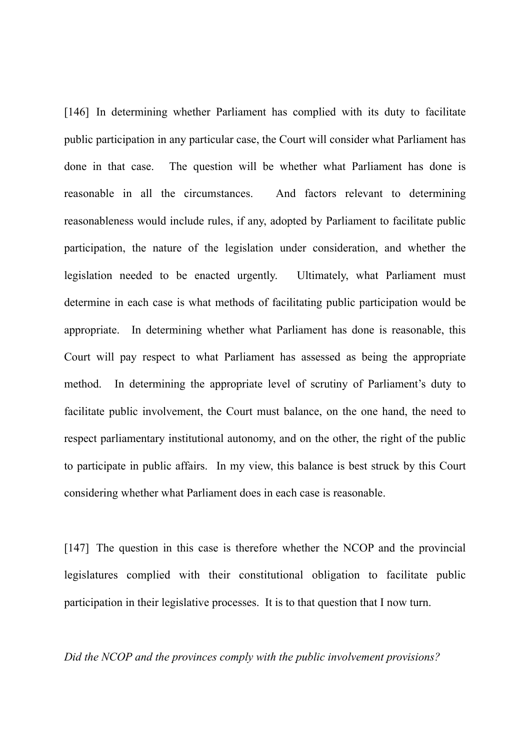[146] In determining whether Parliament has complied with its duty to facilitate public participation in any particular case, the Court will consider what Parliament has done in that case. The question will be whether what Parliament has done is reasonable in all the circumstances. And factors relevant to determining reasonableness would include rules, if any, adopted by Parliament to facilitate public participation, the nature of the legislation under consideration, and whether the legislation needed to be enacted urgently. Ultimately, what Parliament must determine in each case is what methods of facilitating public participation would be appropriate. In determining whether what Parliament has done is reasonable, this Court will pay respect to what Parliament has assessed as being the appropriate method. In determining the appropriate level of scrutiny of Parliament's duty to facilitate public involvement, the Court must balance, on the one hand, the need to respect parliamentary institutional autonomy, and on the other, the right of the public to participate in public affairs. In my view, this balance is best struck by this Court considering whether what Parliament does in each case is reasonable.

[147] The question in this case is therefore whether the NCOP and the provincial legislatures complied with their constitutional obligation to facilitate public participation in their legislative processes. It is to that question that I now turn.

*Did the NCOP and the provinces comply with the public involvement provisions?*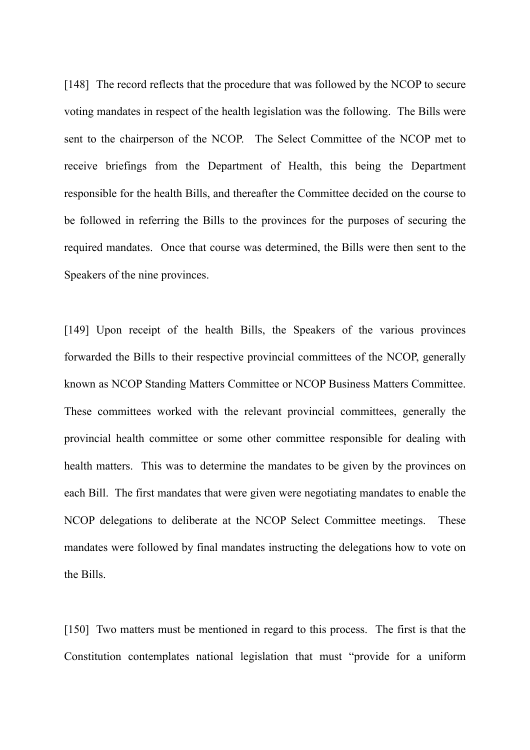[148] The record reflects that the procedure that was followed by the NCOP to secure voting mandates in respect of the health legislation was the following. The Bills were sent to the chairperson of the NCOP. The Select Committee of the NCOP met to receive briefings from the Department of Health, this being the Department responsible for the health Bills, and thereafter the Committee decided on the course to be followed in referring the Bills to the provinces for the purposes of securing the required mandates. Once that course was determined, the Bills were then sent to the Speakers of the nine provinces.

[149] Upon receipt of the health Bills, the Speakers of the various provinces forwarded the Bills to their respective provincial committees of the NCOP, generally known as NCOP Standing Matters Committee or NCOP Business Matters Committee. These committees worked with the relevant provincial committees, generally the provincial health committee or some other committee responsible for dealing with health matters. This was to determine the mandates to be given by the provinces on each Bill. The first mandates that were given were negotiating mandates to enable the NCOP delegations to deliberate at the NCOP Select Committee meetings. These mandates were followed by final mandates instructing the delegations how to vote on the Bills.

[150] Two matters must be mentioned in regard to this process. The first is that the Constitution contemplates national legislation that must "provide for a uniform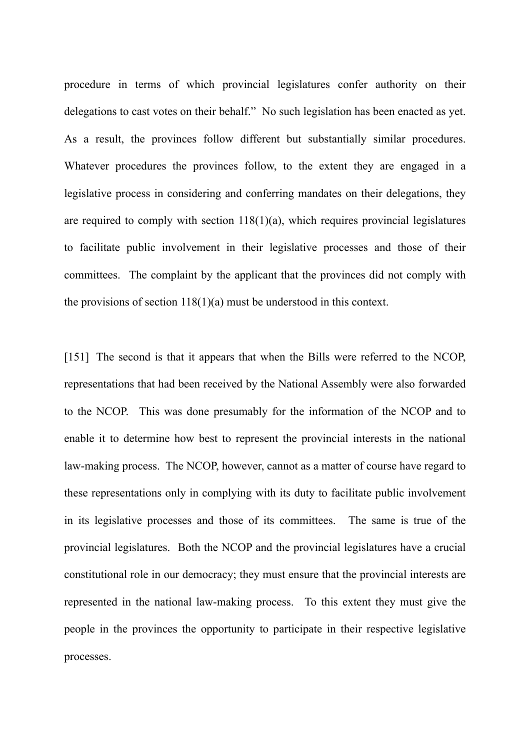procedure in terms of which provincial legislatures confer authority on their delegations to cast votes on their behalf." No such legislation has been enacted as yet. As a result, the provinces follow different but substantially similar procedures. Whatever procedures the provinces follow, to the extent they are engaged in a legislative process in considering and conferring mandates on their delegations, they are required to comply with section  $118(1)(a)$ , which requires provincial legislatures to facilitate public involvement in their legislative processes and those of their committees. The complaint by the applicant that the provinces did not comply with the provisions of section  $118(1)(a)$  must be understood in this context.

[151] The second is that it appears that when the Bills were referred to the NCOP, representations that had been received by the National Assembly were also forwarded to the NCOP. This was done presumably for the information of the NCOP and to enable it to determine how best to represent the provincial interests in the national law-making process. The NCOP, however, cannot as a matter of course have regard to these representations only in complying with its duty to facilitate public involvement in its legislative processes and those of its committees. The same is true of the provincial legislatures. Both the NCOP and the provincial legislatures have a crucial constitutional role in our democracy; they must ensure that the provincial interests are represented in the national law-making process. To this extent they must give the people in the provinces the opportunity to participate in their respective legislative processes.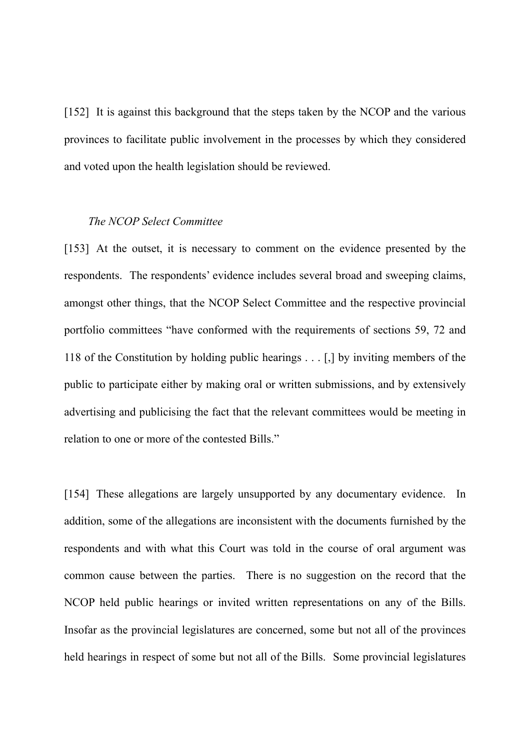[152] It is against this background that the steps taken by the NCOP and the various provinces to facilitate public involvement in the processes by which they considered and voted upon the health legislation should be reviewed.

### *The NCOP Select Committee*

[153] At the outset, it is necessary to comment on the evidence presented by the respondents. The respondents' evidence includes several broad and sweeping claims, amongst other things, that the NCOP Select Committee and the respective provincial portfolio committees "have conformed with the requirements of sections 59, 72 and 118 of the Constitution by holding public hearings . . . [,] by inviting members of the public to participate either by making oral or written submissions, and by extensively advertising and publicising the fact that the relevant committees would be meeting in relation to one or more of the contested Bills."

[154] These allegations are largely unsupported by any documentary evidence. In addition, some of the allegations are inconsistent with the documents furnished by the respondents and with what this Court was told in the course of oral argument was common cause between the parties. There is no suggestion on the record that the NCOP held public hearings or invited written representations on any of the Bills. Insofar as the provincial legislatures are concerned, some but not all of the provinces held hearings in respect of some but not all of the Bills. Some provincial legislatures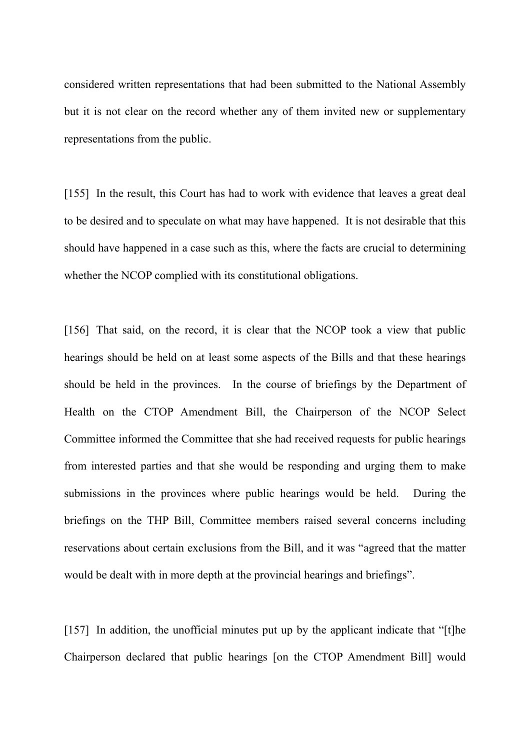considered written representations that had been submitted to the National Assembly but it is not clear on the record whether any of them invited new or supplementary representations from the public.

[155] In the result, this Court has had to work with evidence that leaves a great deal to be desired and to speculate on what may have happened. It is not desirable that this should have happened in a case such as this, where the facts are crucial to determining whether the NCOP complied with its constitutional obligations.

[156] That said, on the record, it is clear that the NCOP took a view that public hearings should be held on at least some aspects of the Bills and that these hearings should be held in the provinces. In the course of briefings by the Department of Health on the CTOP Amendment Bill, the Chairperson of the NCOP Select Committee informed the Committee that she had received requests for public hearings from interested parties and that she would be responding and urging them to make submissions in the provinces where public hearings would be held. During the briefings on the THP Bill, Committee members raised several concerns including reservations about certain exclusions from the Bill, and it was "agreed that the matter would be dealt with in more depth at the provincial hearings and briefings".

[157] In addition, the unofficial minutes put up by the applicant indicate that "[t]he Chairperson declared that public hearings [on the CTOP Amendment Bill] would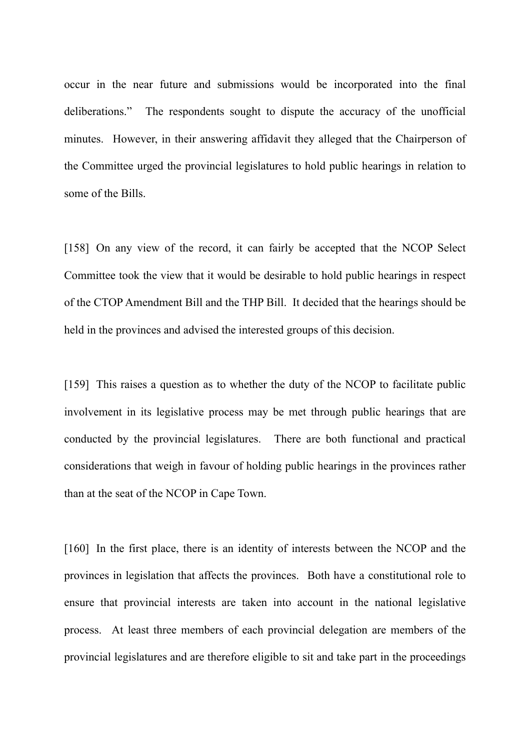occur in the near future and submissions would be incorporated into the final deliberations." The respondents sought to dispute the accuracy of the unofficial minutes. However, in their answering affidavit they alleged that the Chairperson of the Committee urged the provincial legislatures to hold public hearings in relation to some of the Bills.

[158] On any view of the record, it can fairly be accepted that the NCOP Select Committee took the view that it would be desirable to hold public hearings in respect of the CTOP Amendment Bill and the THP Bill. It decided that the hearings should be held in the provinces and advised the interested groups of this decision.

[159] This raises a question as to whether the duty of the NCOP to facilitate public involvement in its legislative process may be met through public hearings that are conducted by the provincial legislatures. There are both functional and practical considerations that weigh in favour of holding public hearings in the provinces rather than at the seat of the NCOP in Cape Town.

[160] In the first place, there is an identity of interests between the NCOP and the provinces in legislation that affects the provinces. Both have a constitutional role to ensure that provincial interests are taken into account in the national legislative process. At least three members of each provincial delegation are members of the provincial legislatures and are therefore eligible to sit and take part in the proceedings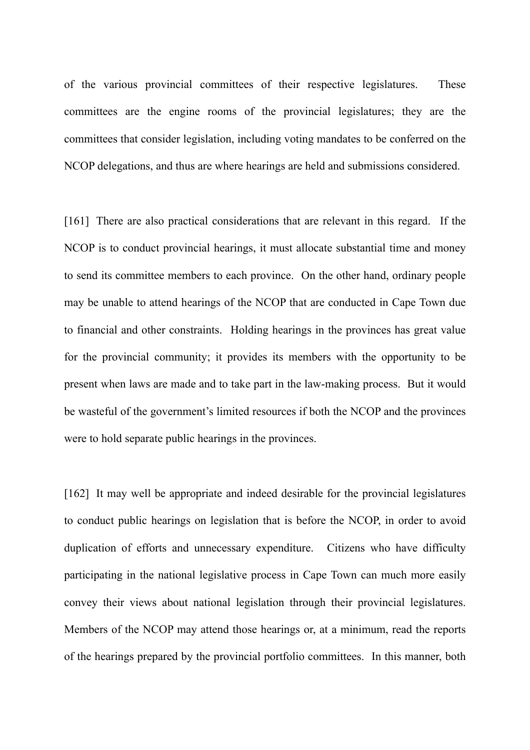of the various provincial committees of their respective legislatures. These committees are the engine rooms of the provincial legislatures; they are the committees that consider legislation, including voting mandates to be conferred on the NCOP delegations, and thus are where hearings are held and submissions considered.

[161] There are also practical considerations that are relevant in this regard. If the NCOP is to conduct provincial hearings, it must allocate substantial time and money to send its committee members to each province. On the other hand, ordinary people may be unable to attend hearings of the NCOP that are conducted in Cape Town due to financial and other constraints. Holding hearings in the provinces has great value for the provincial community; it provides its members with the opportunity to be present when laws are made and to take part in the law-making process. But it would be wasteful of the government's limited resources if both the NCOP and the provinces were to hold separate public hearings in the provinces.

[162] It may well be appropriate and indeed desirable for the provincial legislatures to conduct public hearings on legislation that is before the NCOP, in order to avoid duplication of efforts and unnecessary expenditure. Citizens who have difficulty participating in the national legislative process in Cape Town can much more easily convey their views about national legislation through their provincial legislatures. Members of the NCOP may attend those hearings or, at a minimum, read the reports of the hearings prepared by the provincial portfolio committees. In this manner, both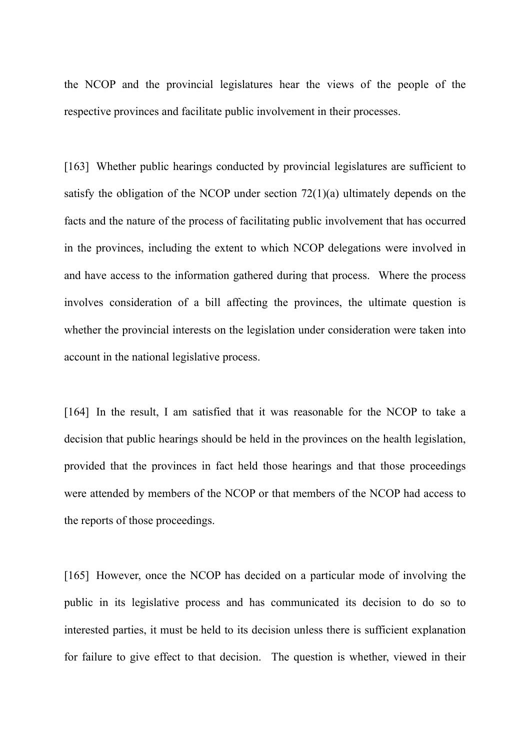the NCOP and the provincial legislatures hear the views of the people of the respective provinces and facilitate public involvement in their processes.

[163] Whether public hearings conducted by provincial legislatures are sufficient to satisfy the obligation of the NCOP under section 72(1)(a) ultimately depends on the facts and the nature of the process of facilitating public involvement that has occurred in the provinces, including the extent to which NCOP delegations were involved in and have access to the information gathered during that process. Where the process involves consideration of a bill affecting the provinces, the ultimate question is whether the provincial interests on the legislation under consideration were taken into account in the national legislative process.

[164] In the result, I am satisfied that it was reasonable for the NCOP to take a decision that public hearings should be held in the provinces on the health legislation, provided that the provinces in fact held those hearings and that those proceedings were attended by members of the NCOP or that members of the NCOP had access to the reports of those proceedings.

[165] However, once the NCOP has decided on a particular mode of involving the public in its legislative process and has communicated its decision to do so to interested parties, it must be held to its decision unless there is sufficient explanation for failure to give effect to that decision. The question is whether, viewed in their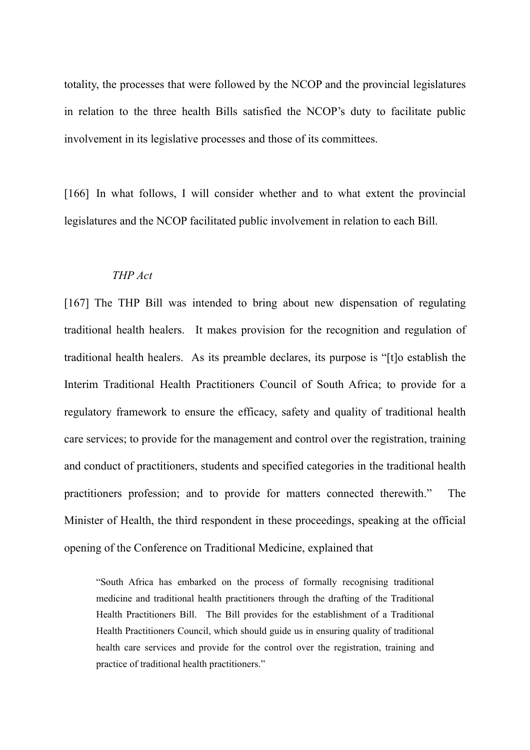totality, the processes that were followed by the NCOP and the provincial legislatures in relation to the three health Bills satisfied the NCOP's duty to facilitate public involvement in its legislative processes and those of its committees.

[166] In what follows, I will consider whether and to what extent the provincial legislatures and the NCOP facilitated public involvement in relation to each Bill.

### *THP Act*

[167] The THP Bill was intended to bring about new dispensation of regulating traditional health healers. It makes provision for the recognition and regulation of traditional health healers. As its preamble declares, its purpose is "[t]o establish the Interim Traditional Health Practitioners Council of South Africa; to provide for a regulatory framework to ensure the efficacy, safety and quality of traditional health care services; to provide for the management and control over the registration, training and conduct of practitioners, students and specified categories in the traditional health practitioners profession; and to provide for matters connected therewith." The Minister of Health, the third respondent in these proceedings, speaking at the official opening of the Conference on Traditional Medicine, explained that

"South Africa has embarked on the process of formally recognising traditional medicine and traditional health practitioners through the drafting of the Traditional Health Practitioners Bill. The Bill provides for the establishment of a Traditional Health Practitioners Council, which should guide us in ensuring quality of traditional health care services and provide for the control over the registration, training and practice of traditional health practitioners."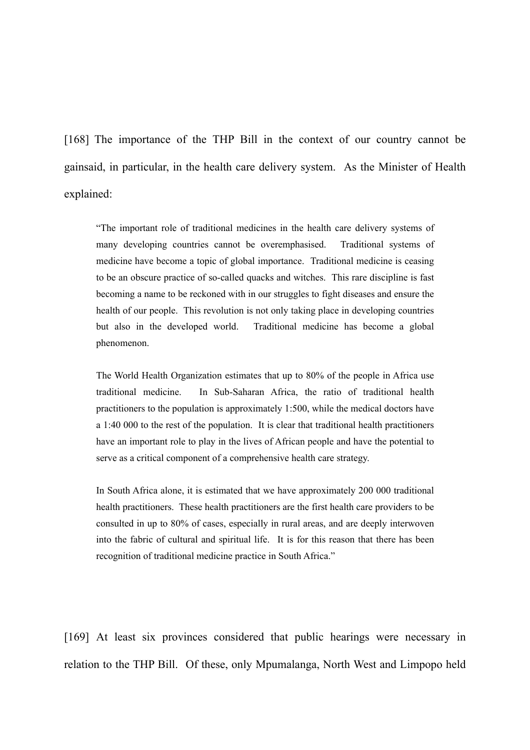[168] The importance of the THP Bill in the context of our country cannot be gainsaid, in particular, in the health care delivery system. As the Minister of Health explained:

"The important role of traditional medicines in the health care delivery systems of many developing countries cannot be overemphasised. Traditional systems of medicine have become a topic of global importance. Traditional medicine is ceasing to be an obscure practice of so-called quacks and witches. This rare discipline is fast becoming a name to be reckoned with in our struggles to fight diseases and ensure the health of our people. This revolution is not only taking place in developing countries but also in the developed world. Traditional medicine has become a global phenomenon.

The World Health Organization estimates that up to 80% of the people in Africa use traditional medicine. In Sub-Saharan Africa, the ratio of traditional health practitioners to the population is approximately 1:500, while the medical doctors have a 1:40 000 to the rest of the population. It is clear that traditional health practitioners have an important role to play in the lives of African people and have the potential to serve as a critical component of a comprehensive health care strategy.

In South Africa alone, it is estimated that we have approximately 200 000 traditional health practitioners. These health practitioners are the first health care providers to be consulted in up to 80% of cases, especially in rural areas, and are deeply interwoven into the fabric of cultural and spiritual life. It is for this reason that there has been recognition of traditional medicine practice in South Africa."

[169] At least six provinces considered that public hearings were necessary in relation to the THP Bill. Of these, only Mpumalanga, North West and Limpopo held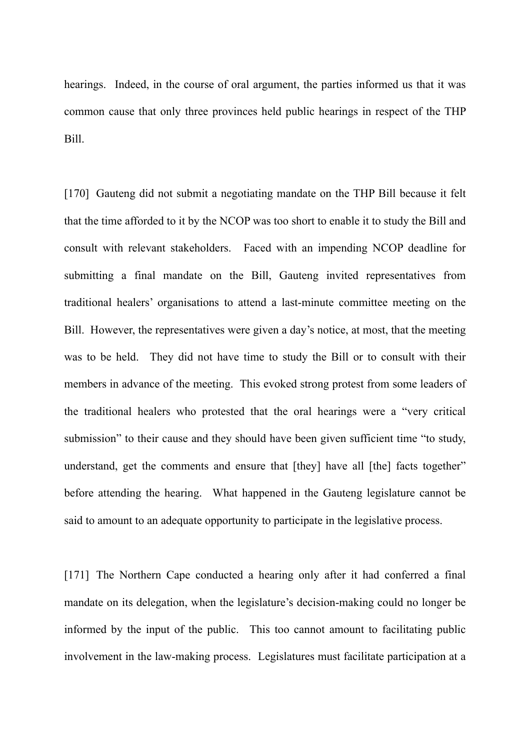hearings. Indeed, in the course of oral argument, the parties informed us that it was common cause that only three provinces held public hearings in respect of the THP Bill.

[170] Gauteng did not submit a negotiating mandate on the THP Bill because it felt that the time afforded to it by the NCOP was too short to enable it to study the Bill and consult with relevant stakeholders. Faced with an impending NCOP deadline for submitting a final mandate on the Bill, Gauteng invited representatives from traditional healers' organisations to attend a last-minute committee meeting on the Bill. However, the representatives were given a day's notice, at most, that the meeting was to be held. They did not have time to study the Bill or to consult with their members in advance of the meeting. This evoked strong protest from some leaders of the traditional healers who protested that the oral hearings were a "very critical submission" to their cause and they should have been given sufficient time "to study, understand, get the comments and ensure that [they] have all [the] facts together" before attending the hearing. What happened in the Gauteng legislature cannot be said to amount to an adequate opportunity to participate in the legislative process.

[171] The Northern Cape conducted a hearing only after it had conferred a final mandate on its delegation, when the legislature's decision-making could no longer be informed by the input of the public. This too cannot amount to facilitating public involvement in the law-making process. Legislatures must facilitate participation at a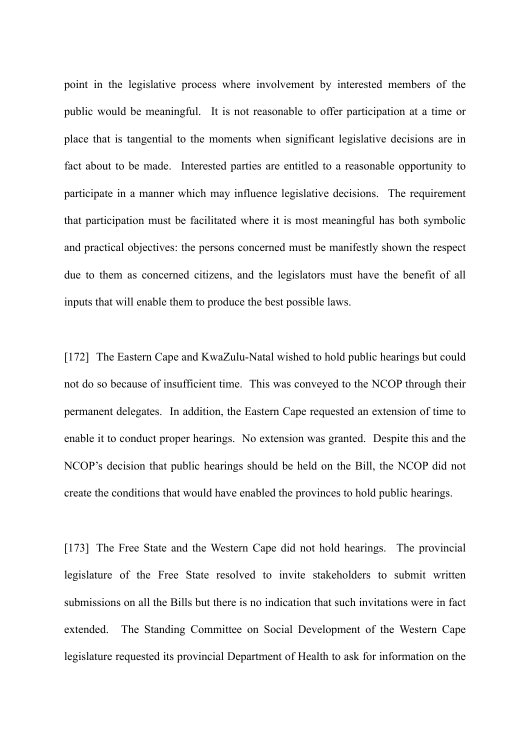point in the legislative process where involvement by interested members of the public would be meaningful. It is not reasonable to offer participation at a time or place that is tangential to the moments when significant legislative decisions are in fact about to be made. Interested parties are entitled to a reasonable opportunity to participate in a manner which may influence legislative decisions. The requirement that participation must be facilitated where it is most meaningful has both symbolic and practical objectives: the persons concerned must be manifestly shown the respect due to them as concerned citizens, and the legislators must have the benefit of all inputs that will enable them to produce the best possible laws.

[172] The Eastern Cape and KwaZulu-Natal wished to hold public hearings but could not do so because of insufficient time. This was conveyed to the NCOP through their permanent delegates. In addition, the Eastern Cape requested an extension of time to enable it to conduct proper hearings. No extension was granted. Despite this and the NCOP's decision that public hearings should be held on the Bill, the NCOP did not create the conditions that would have enabled the provinces to hold public hearings.

[173] The Free State and the Western Cape did not hold hearings. The provincial legislature of the Free State resolved to invite stakeholders to submit written submissions on all the Bills but there is no indication that such invitations were in fact extended. The Standing Committee on Social Development of the Western Cape legislature requested its provincial Department of Health to ask for information on the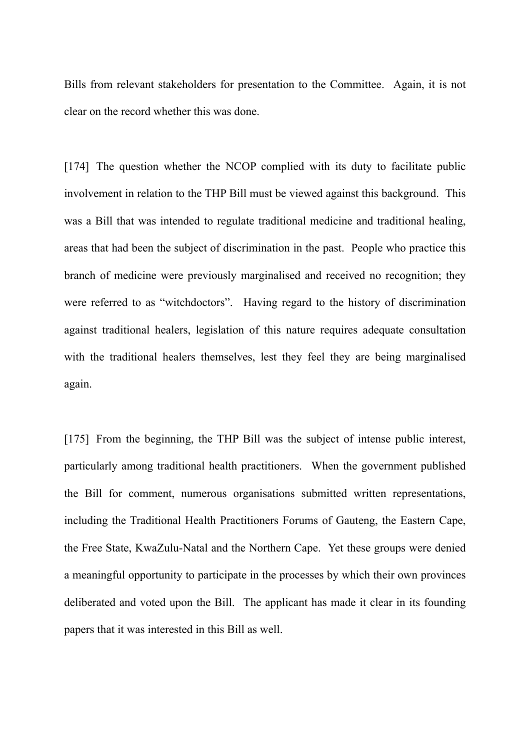Bills from relevant stakeholders for presentation to the Committee. Again, it is not clear on the record whether this was done.

[174] The question whether the NCOP complied with its duty to facilitate public involvement in relation to the THP Bill must be viewed against this background. This was a Bill that was intended to regulate traditional medicine and traditional healing, areas that had been the subject of discrimination in the past. People who practice this branch of medicine were previously marginalised and received no recognition; they were referred to as "witchdoctors". Having regard to the history of discrimination against traditional healers, legislation of this nature requires adequate consultation with the traditional healers themselves, lest they feel they are being marginalised again.

[175] From the beginning, the THP Bill was the subject of intense public interest, particularly among traditional health practitioners. When the government published the Bill for comment, numerous organisations submitted written representations, including the Traditional Health Practitioners Forums of Gauteng, the Eastern Cape, the Free State, KwaZulu-Natal and the Northern Cape. Yet these groups were denied a meaningful opportunity to participate in the processes by which their own provinces deliberated and voted upon the Bill. The applicant has made it clear in its founding papers that it was interested in this Bill as well.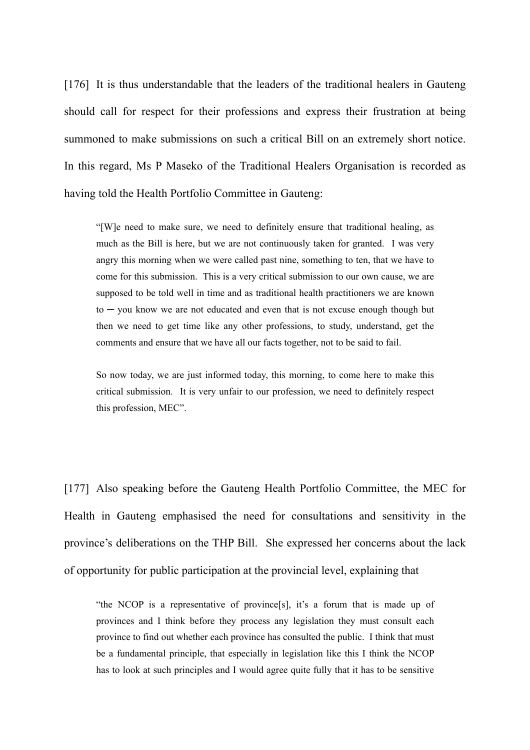[176] It is thus understandable that the leaders of the traditional healers in Gauteng should call for respect for their professions and express their frustration at being summoned to make submissions on such a critical Bill on an extremely short notice. In this regard, Ms P Maseko of the Traditional Healers Organisation is recorded as having told the Health Portfolio Committee in Gauteng:

"[W]e need to make sure, we need to definitely ensure that traditional healing, as much as the Bill is here, but we are not continuously taken for granted. I was very angry this morning when we were called past nine, something to ten, that we have to come for this submission. This is a very critical submission to our own cause, we are supposed to be told well in time and as traditional health practitioners we are known  $to -$  you know we are not educated and even that is not excuse enough though but then we need to get time like any other professions, to study, understand, get the comments and ensure that we have all our facts together, not to be said to fail.

So now today, we are just informed today, this morning, to come here to make this critical submission. It is very unfair to our profession, we need to definitely respect this profession, MEC".

[177] Also speaking before the Gauteng Health Portfolio Committee, the MEC for Health in Gauteng emphasised the need for consultations and sensitivity in the province's deliberations on the THP Bill. She expressed her concerns about the lack of opportunity for public participation at the provincial level, explaining that

"the NCOP is a representative of province[s], it's a forum that is made up of provinces and I think before they process any legislation they must consult each province to find out whether each province has consulted the public. I think that must be a fundamental principle, that especially in legislation like this I think the NCOP has to look at such principles and I would agree quite fully that it has to be sensitive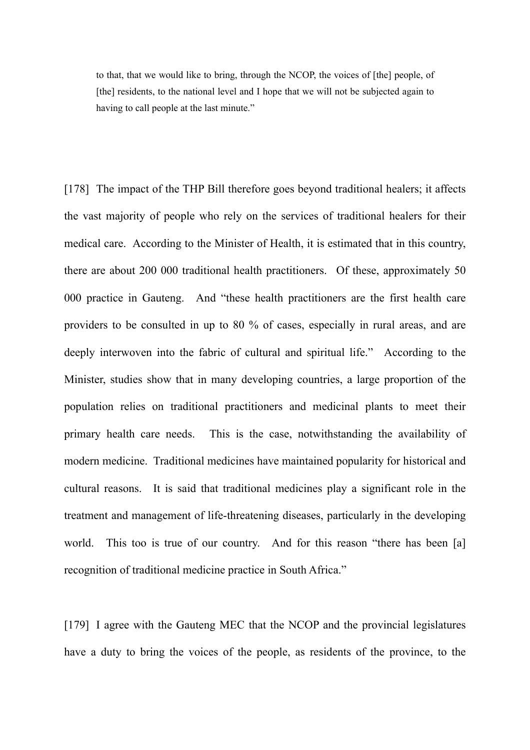to that, that we would like to bring, through the NCOP, the voices of [the] people, of [the] residents, to the national level and I hope that we will not be subjected again to having to call people at the last minute."

[178] The impact of the THP Bill therefore goes beyond traditional healers; it affects the vast majority of people who rely on the services of traditional healers for their medical care. According to the Minister of Health, it is estimated that in this country, there are about 200 000 traditional health practitioners. Of these, approximately 50 000 practice in Gauteng. And "these health practitioners are the first health care providers to be consulted in up to 80 % of cases, especially in rural areas, and are deeply interwoven into the fabric of cultural and spiritual life." According to the Minister, studies show that in many developing countries, a large proportion of the population relies on traditional practitioners and medicinal plants to meet their primary health care needs. This is the case, notwithstanding the availability of modern medicine. Traditional medicines have maintained popularity for historical and cultural reasons. It is said that traditional medicines play a significant role in the treatment and management of life-threatening diseases, particularly in the developing world. This too is true of our country. And for this reason "there has been [a] recognition of traditional medicine practice in South Africa."

[179] I agree with the Gauteng MEC that the NCOP and the provincial legislatures have a duty to bring the voices of the people, as residents of the province, to the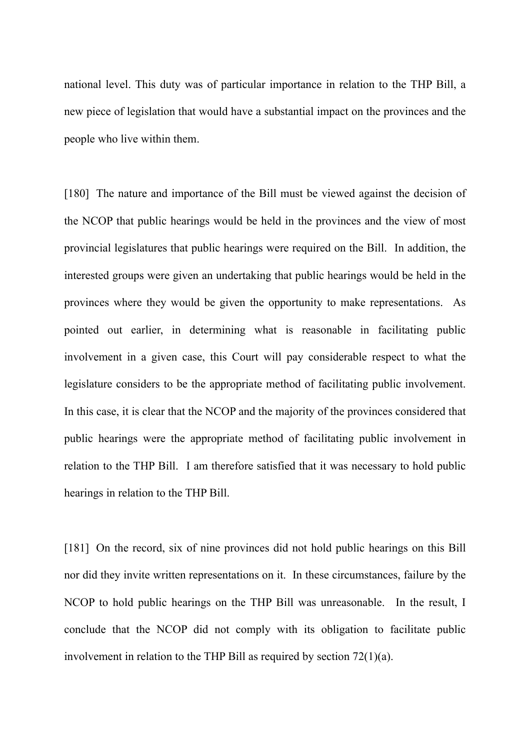national level. This duty was of particular importance in relation to the THP Bill, a new piece of legislation that would have a substantial impact on the provinces and the people who live within them.

[180] The nature and importance of the Bill must be viewed against the decision of the NCOP that public hearings would be held in the provinces and the view of most provincial legislatures that public hearings were required on the Bill. In addition, the interested groups were given an undertaking that public hearings would be held in the provinces where they would be given the opportunity to make representations. As pointed out earlier, in determining what is reasonable in facilitating public involvement in a given case, this Court will pay considerable respect to what the legislature considers to be the appropriate method of facilitating public involvement. In this case, it is clear that the NCOP and the majority of the provinces considered that public hearings were the appropriate method of facilitating public involvement in relation to the THP Bill. I am therefore satisfied that it was necessary to hold public hearings in relation to the THP Bill.

[181] On the record, six of nine provinces did not hold public hearings on this Bill nor did they invite written representations on it. In these circumstances, failure by the NCOP to hold public hearings on the THP Bill was unreasonable. In the result, I conclude that the NCOP did not comply with its obligation to facilitate public involvement in relation to the THP Bill as required by section 72(1)(a).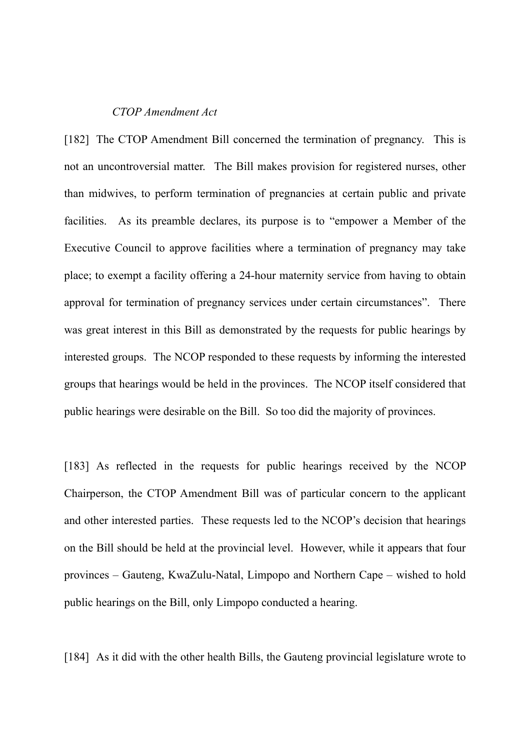### *CTOP Amendment Act*

[182] The CTOP Amendment Bill concerned the termination of pregnancy. This is not an uncontroversial matter. The Bill makes provision for registered nurses, other than midwives, to perform termination of pregnancies at certain public and private facilities. As its preamble declares, its purpose is to "empower a Member of the Executive Council to approve facilities where a termination of pregnancy may take place; to exempt a facility offering a 24-hour maternity service from having to obtain approval for termination of pregnancy services under certain circumstances". There was great interest in this Bill as demonstrated by the requests for public hearings by interested groups. The NCOP responded to these requests by informing the interested groups that hearings would be held in the provinces. The NCOP itself considered that public hearings were desirable on the Bill. So too did the majority of provinces.

[183] As reflected in the requests for public hearings received by the NCOP Chairperson, the CTOP Amendment Bill was of particular concern to the applicant and other interested parties. These requests led to the NCOP's decision that hearings on the Bill should be held at the provincial level. However, while it appears that four provinces – Gauteng, KwaZulu-Natal, Limpopo and Northern Cape – wished to hold public hearings on the Bill, only Limpopo conducted a hearing.

[184] As it did with the other health Bills, the Gauteng provincial legislature wrote to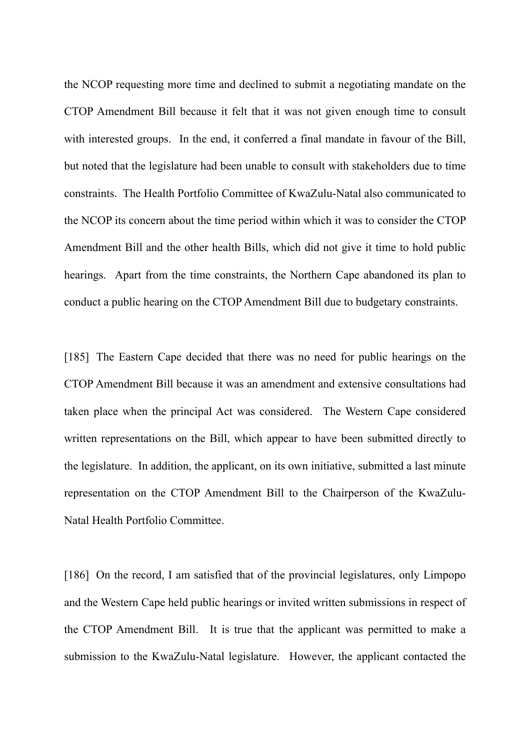the NCOP requesting more time and declined to submit a negotiating mandate on the CTOP Amendment Bill because it felt that it was not given enough time to consult with interested groups. In the end, it conferred a final mandate in favour of the Bill, but noted that the legislature had been unable to consult with stakeholders due to time constraints. The Health Portfolio Committee of KwaZulu-Natal also communicated to the NCOP its concern about the time period within which it was to consider the CTOP Amendment Bill and the other health Bills, which did not give it time to hold public hearings. Apart from the time constraints, the Northern Cape abandoned its plan to conduct a public hearing on the CTOP Amendment Bill due to budgetary constraints.

[185] The Eastern Cape decided that there was no need for public hearings on the CTOP Amendment Bill because it was an amendment and extensive consultations had taken place when the principal Act was considered. The Western Cape considered written representations on the Bill, which appear to have been submitted directly to the legislature. In addition, the applicant, on its own initiative, submitted a last minute representation on the CTOP Amendment Bill to the Chairperson of the KwaZulu-Natal Health Portfolio Committee.

[186] On the record, I am satisfied that of the provincial legislatures, only Limpopo and the Western Cape held public hearings or invited written submissions in respect of the CTOP Amendment Bill. It is true that the applicant was permitted to make a submission to the KwaZulu-Natal legislature. However, the applicant contacted the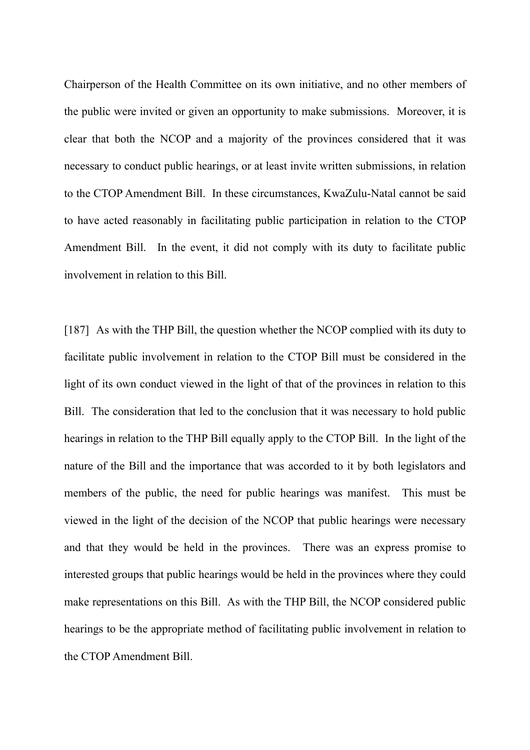Chairperson of the Health Committee on its own initiative, and no other members of the public were invited or given an opportunity to make submissions. Moreover, it is clear that both the NCOP and a majority of the provinces considered that it was necessary to conduct public hearings, or at least invite written submissions, in relation to the CTOP Amendment Bill. In these circumstances, KwaZulu-Natal cannot be said to have acted reasonably in facilitating public participation in relation to the CTOP Amendment Bill. In the event, it did not comply with its duty to facilitate public involvement in relation to this Bill.

[187] As with the THP Bill, the question whether the NCOP complied with its duty to facilitate public involvement in relation to the CTOP Bill must be considered in the light of its own conduct viewed in the light of that of the provinces in relation to this Bill. The consideration that led to the conclusion that it was necessary to hold public hearings in relation to the THP Bill equally apply to the CTOP Bill. In the light of the nature of the Bill and the importance that was accorded to it by both legislators and members of the public, the need for public hearings was manifest. This must be viewed in the light of the decision of the NCOP that public hearings were necessary and that they would be held in the provinces. There was an express promise to interested groups that public hearings would be held in the provinces where they could make representations on this Bill. As with the THP Bill, the NCOP considered public hearings to be the appropriate method of facilitating public involvement in relation to the CTOP Amendment Bill.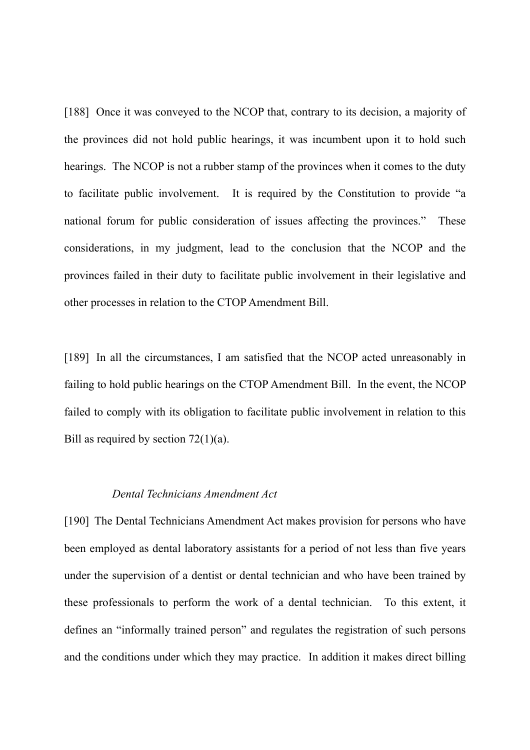[188] Once it was conveyed to the NCOP that, contrary to its decision, a majority of the provinces did not hold public hearings, it was incumbent upon it to hold such hearings. The NCOP is not a rubber stamp of the provinces when it comes to the duty to facilitate public involvement. It is required by the Constitution to provide "a national forum for public consideration of issues affecting the provinces." These considerations, in my judgment, lead to the conclusion that the NCOP and the provinces failed in their duty to facilitate public involvement in their legislative and other processes in relation to the CTOP Amendment Bill.

[189] In all the circumstances, I am satisfied that the NCOP acted unreasonably in failing to hold public hearings on the CTOP Amendment Bill. In the event, the NCOP failed to comply with its obligation to facilitate public involvement in relation to this Bill as required by section  $72(1)(a)$ .

# *Dental Technicians Amendment Act*

[190] The Dental Technicians Amendment Act makes provision for persons who have been employed as dental laboratory assistants for a period of not less than five years under the supervision of a dentist or dental technician and who have been trained by these professionals to perform the work of a dental technician. To this extent, it defines an "informally trained person" and regulates the registration of such persons and the conditions under which they may practice. In addition it makes direct billing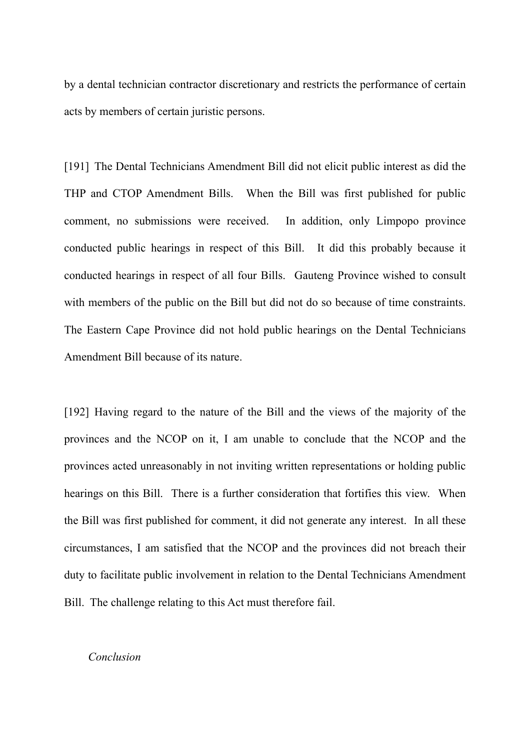by a dental technician contractor discretionary and restricts the performance of certain acts by members of certain juristic persons.

[191] The Dental Technicians Amendment Bill did not elicit public interest as did the THP and CTOP Amendment Bills. When the Bill was first published for public comment, no submissions were received. In addition, only Limpopo province conducted public hearings in respect of this Bill. It did this probably because it conducted hearings in respect of all four Bills. Gauteng Province wished to consult with members of the public on the Bill but did not do so because of time constraints. The Eastern Cape Province did not hold public hearings on the Dental Technicians Amendment Bill because of its nature.

[192] Having regard to the nature of the Bill and the views of the majority of the provinces and the NCOP on it, I am unable to conclude that the NCOP and the provinces acted unreasonably in not inviting written representations or holding public hearings on this Bill. There is a further consideration that fortifies this view. When the Bill was first published for comment, it did not generate any interest. In all these circumstances, I am satisfied that the NCOP and the provinces did not breach their duty to facilitate public involvement in relation to the Dental Technicians Amendment Bill. The challenge relating to this Act must therefore fail.

#### *Conclusion*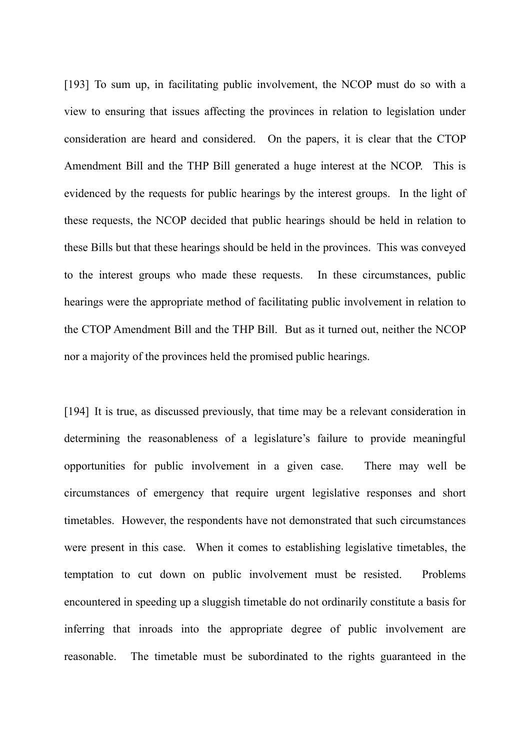[193] To sum up, in facilitating public involvement, the NCOP must do so with a view to ensuring that issues affecting the provinces in relation to legislation under consideration are heard and considered. On the papers, it is clear that the CTOP Amendment Bill and the THP Bill generated a huge interest at the NCOP. This is evidenced by the requests for public hearings by the interest groups. In the light of these requests, the NCOP decided that public hearings should be held in relation to these Bills but that these hearings should be held in the provinces. This was conveyed to the interest groups who made these requests. In these circumstances, public hearings were the appropriate method of facilitating public involvement in relation to the CTOP Amendment Bill and the THP Bill. But as it turned out, neither the NCOP nor a majority of the provinces held the promised public hearings.

[194] It is true, as discussed previously, that time may be a relevant consideration in determining the reasonableness of a legislature's failure to provide meaningful opportunities for public involvement in a given case. There may well be circumstances of emergency that require urgent legislative responses and short timetables. However, the respondents have not demonstrated that such circumstances were present in this case. When it comes to establishing legislative timetables, the temptation to cut down on public involvement must be resisted. Problems encountered in speeding up a sluggish timetable do not ordinarily constitute a basis for inferring that inroads into the appropriate degree of public involvement are reasonable. The timetable must be subordinated to the rights guaranteed in the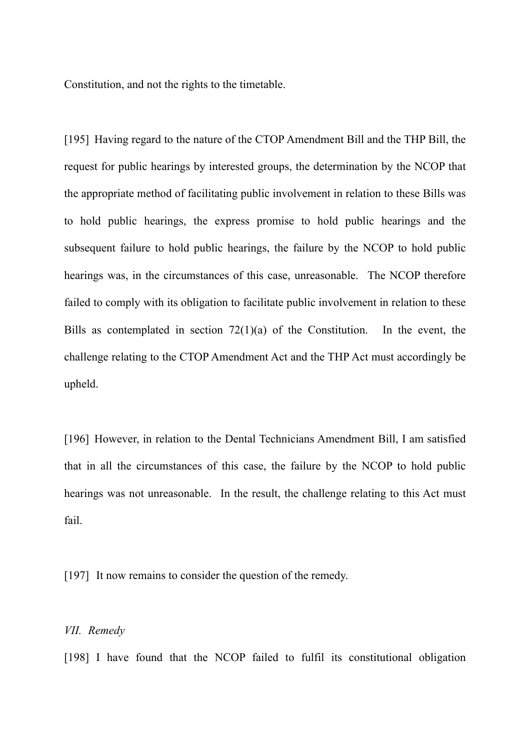Constitution, and not the rights to the timetable.

[195] Having regard to the nature of the CTOP Amendment Bill and the THP Bill, the request for public hearings by interested groups, the determination by the NCOP that the appropriate method of facilitating public involvement in relation to these Bills was to hold public hearings, the express promise to hold public hearings and the subsequent failure to hold public hearings, the failure by the NCOP to hold public hearings was, in the circumstances of this case, unreasonable. The NCOP therefore failed to comply with its obligation to facilitate public involvement in relation to these Bills as contemplated in section  $72(1)(a)$  of the Constitution. In the event, the challenge relating to the CTOP Amendment Act and the THP Act must accordingly be upheld.

[196] However, in relation to the Dental Technicians Amendment Bill, I am satisfied that in all the circumstances of this case, the failure by the NCOP to hold public hearings was not unreasonable. In the result, the challenge relating to this Act must fail.

[197] It now remains to consider the question of the remedy.

## *VII. Remedy*

[198] I have found that the NCOP failed to fulfil its constitutional obligation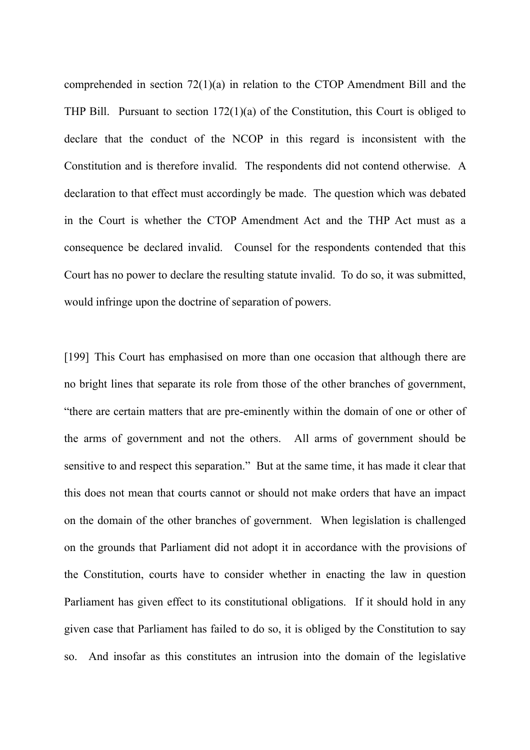comprehended in section 72(1)(a) in relation to the CTOP Amendment Bill and the THP Bill. Pursuant to section 172(1)(a) of the Constitution, this Court is obliged to declare that the conduct of the NCOP in this regard is inconsistent with the Constitution and is therefore invalid. The respondents did not contend otherwise. A declaration to that effect must accordingly be made. The question which was debated in the Court is whether the CTOP Amendment Act and the THP Act must as a consequence be declared invalid. Counsel for the respondents contended that this Court has no power to declare the resulting statute invalid. To do so, it was submitted, would infringe upon the doctrine of separation of powers.

[199] This Court has emphasised on more than one occasion that although there are no bright lines that separate its role from those of the other branches of government, "there are certain matters that are pre-eminently within the domain of one or other of the arms of government and not the others. All arms of government should be sensitive to and respect this separation." But at the same time, it has made it clear that this does not mean that courts cannot or should not make orders that have an impact on the domain of the other branches of government. When legislation is challenged on the grounds that Parliament did not adopt it in accordance with the provisions of the Constitution, courts have to consider whether in enacting the law in question Parliament has given effect to its constitutional obligations. If it should hold in any given case that Parliament has failed to do so, it is obliged by the Constitution to say so. And insofar as this constitutes an intrusion into the domain of the legislative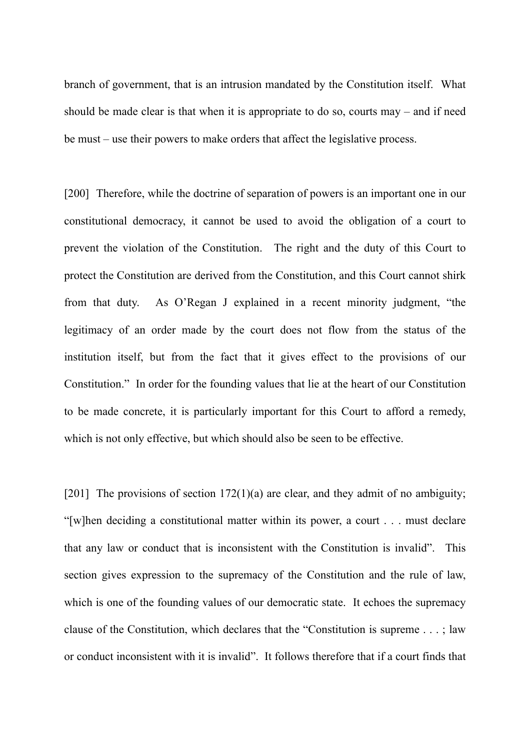branch of government, that is an intrusion mandated by the Constitution itself. What should be made clear is that when it is appropriate to do so, courts may – and if need be must – use their powers to make orders that affect the legislative process.

[200] Therefore, while the doctrine of separation of powers is an important one in our constitutional democracy, it cannot be used to avoid the obligation of a court to prevent the violation of the Constitution. The right and the duty of this Court to protect the Constitution are derived from the Constitution, and this Court cannot shirk from that duty. As O'Regan J explained in a recent minority judgment, "the legitimacy of an order made by the court does not flow from the status of the institution itself, but from the fact that it gives effect to the provisions of our Constitution." In order for the founding values that lie at the heart of our Constitution to be made concrete, it is particularly important for this Court to afford a remedy, which is not only effective, but which should also be seen to be effective.

[201] The provisions of section  $172(1)(a)$  are clear, and they admit of no ambiguity; "[w]hen deciding a constitutional matter within its power, a court . . . must declare that any law or conduct that is inconsistent with the Constitution is invalid". This section gives expression to the supremacy of the Constitution and the rule of law, which is one of the founding values of our democratic state. It echoes the supremacy clause of the Constitution, which declares that the "Constitution is supreme . . . ; law or conduct inconsistent with it is invalid". It follows therefore that if a court finds that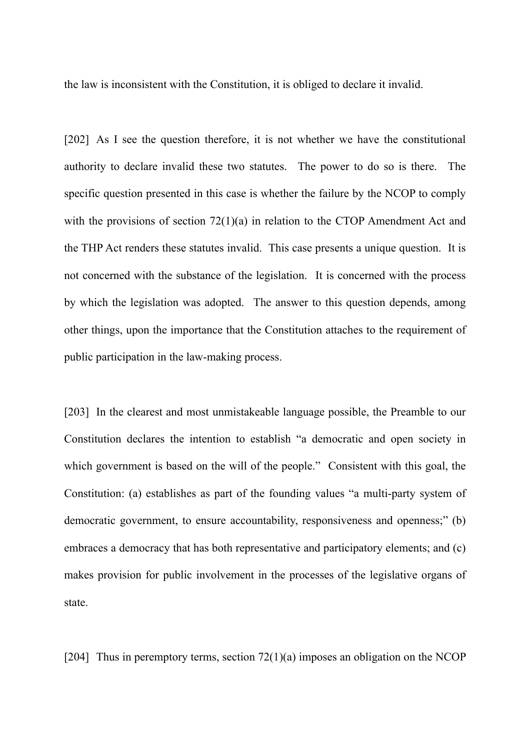the law is inconsistent with the Constitution, it is obliged to declare it invalid.

[202] As I see the question therefore, it is not whether we have the constitutional authority to declare invalid these two statutes. The power to do so is there. The specific question presented in this case is whether the failure by the NCOP to comply with the provisions of section 72(1)(a) in relation to the CTOP Amendment Act and the THP Act renders these statutes invalid. This case presents a unique question. It is not concerned with the substance of the legislation. It is concerned with the process by which the legislation was adopted. The answer to this question depends, among other things, upon the importance that the Constitution attaches to the requirement of public participation in the law-making process.

[203] In the clearest and most unmistakeable language possible, the Preamble to our Constitution declares the intention to establish "a democratic and open society in which government is based on the will of the people." Consistent with this goal, the Constitution: (a) establishes as part of the founding values "a multi-party system of democratic government, to ensure accountability, responsiveness and openness;" (b) embraces a democracy that has both representative and participatory elements; and (c) makes provision for public involvement in the processes of the legislative organs of state.

[204] Thus in peremptory terms, section 72(1)(a) imposes an obligation on the NCOP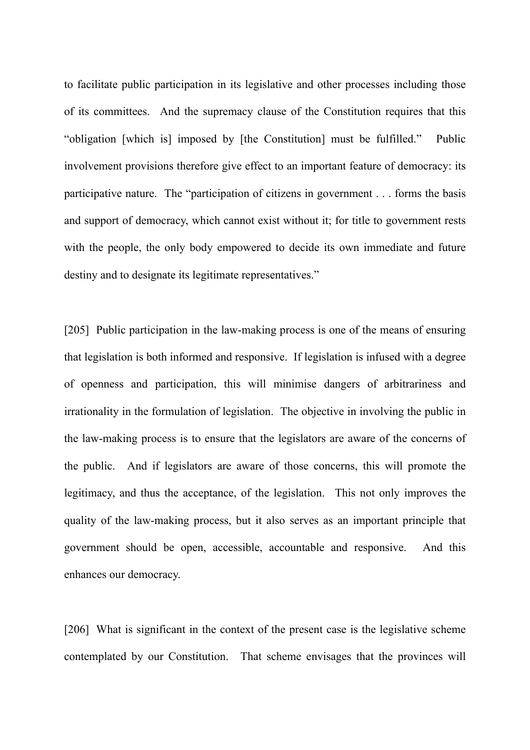to facilitate public participation in its legislative and other processes including those of its committees. And the supremacy clause of the Constitution requires that this "obligation [which is] imposed by [the Constitution] must be fulfilled." Public involvement provisions therefore give effect to an important feature of democracy: its participative nature. The "participation of citizens in government . . . forms the basis and support of democracy, which cannot exist without it; for title to government rests with the people, the only body empowered to decide its own immediate and future destiny and to designate its legitimate representatives."

[205] Public participation in the law-making process is one of the means of ensuring that legislation is both informed and responsive. If legislation is infused with a degree of openness and participation, this will minimise dangers of arbitrariness and irrationality in the formulation of legislation. The objective in involving the public in the law-making process is to ensure that the legislators are aware of the concerns of the public. And if legislators are aware of those concerns, this will promote the legitimacy, and thus the acceptance, of the legislation. This not only improves the quality of the law-making process, but it also serves as an important principle that government should be open, accessible, accountable and responsive. And this enhances our democracy.

[206] What is significant in the context of the present case is the legislative scheme contemplated by our Constitution. That scheme envisages that the provinces will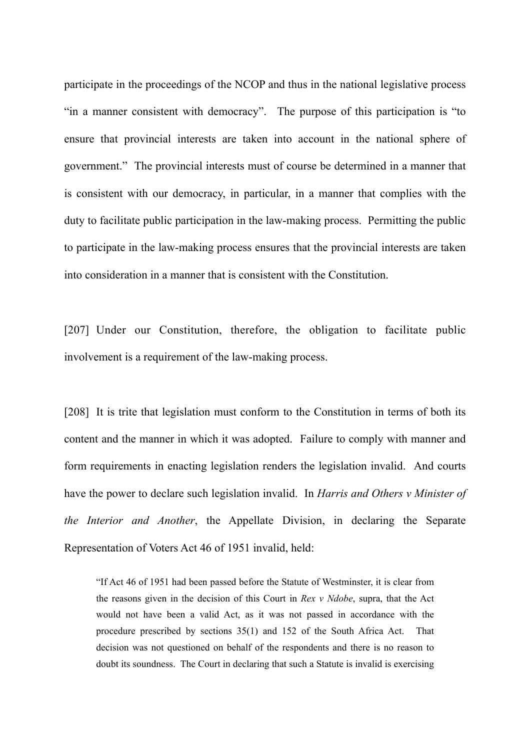participate in the proceedings of the NCOP and thus in the national legislative process "in a manner consistent with democracy". The purpose of this participation is "to ensure that provincial interests are taken into account in the national sphere of government." The provincial interests must of course be determined in a manner that is consistent with our democracy, in particular, in a manner that complies with the duty to facilitate public participation in the law-making process. Permitting the public to participate in the law-making process ensures that the provincial interests are taken into consideration in a manner that is consistent with the Constitution.

[207] Under our Constitution, therefore, the obligation to facilitate public involvement is a requirement of the law-making process.

[208] It is trite that legislation must conform to the Constitution in terms of both its content and the manner in which it was adopted. Failure to comply with manner and form requirements in enacting legislation renders the legislation invalid. And courts have the power to declare such legislation invalid. In *Harris and Others v Minister of the Interior and Another*, the Appellate Division, in declaring the Separate Representation of Voters Act 46 of 1951 invalid, held:

"If Act 46 of 1951 had been passed before the Statute of Westminster, it is clear from the reasons given in the decision of this Court in *Rex v Ndobe*, supra, that the Act would not have been a valid Act, as it was not passed in accordance with the procedure prescribed by sections 35(1) and 152 of the South Africa Act. That decision was not questioned on behalf of the respondents and there is no reason to doubt its soundness. The Court in declaring that such a Statute is invalid is exercising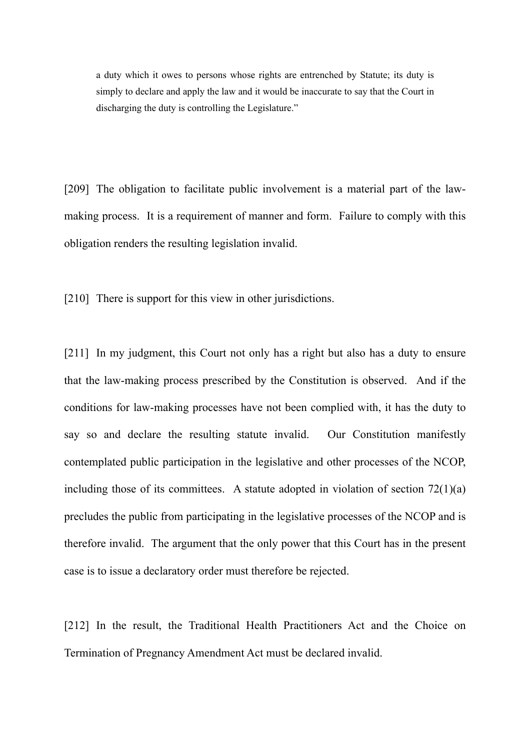a duty which it owes to persons whose rights are entrenched by Statute; its duty is simply to declare and apply the law and it would be inaccurate to say that the Court in discharging the duty is controlling the Legislature."

[209] The obligation to facilitate public involvement is a material part of the lawmaking process. It is a requirement of manner and form. Failure to comply with this obligation renders the resulting legislation invalid.

[210] There is support for this view in other jurisdictions.

[211] In my judgment, this Court not only has a right but also has a duty to ensure that the law-making process prescribed by the Constitution is observed. And if the conditions for law-making processes have not been complied with, it has the duty to say so and declare the resulting statute invalid. Our Constitution manifestly contemplated public participation in the legislative and other processes of the NCOP, including those of its committees. A statute adopted in violation of section  $72(1)(a)$ precludes the public from participating in the legislative processes of the NCOP and is therefore invalid. The argument that the only power that this Court has in the present case is to issue a declaratory order must therefore be rejected.

[212] In the result, the Traditional Health Practitioners Act and the Choice on Termination of Pregnancy Amendment Act must be declared invalid.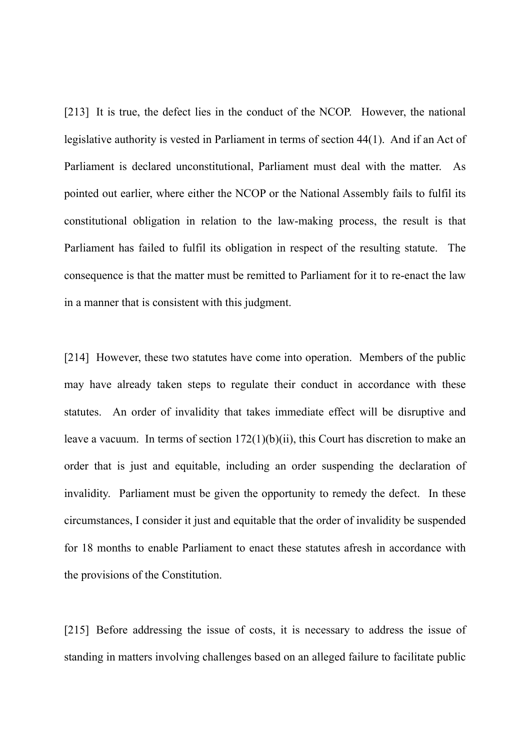[213] It is true, the defect lies in the conduct of the NCOP. However, the national legislative authority is vested in Parliament in terms of section 44(1). And if an Act of Parliament is declared unconstitutional, Parliament must deal with the matter. As pointed out earlier, where either the NCOP or the National Assembly fails to fulfil its constitutional obligation in relation to the law-making process, the result is that Parliament has failed to fulfil its obligation in respect of the resulting statute. The consequence is that the matter must be remitted to Parliament for it to re-enact the law in a manner that is consistent with this judgment.

[214] However, these two statutes have come into operation. Members of the public may have already taken steps to regulate their conduct in accordance with these statutes. An order of invalidity that takes immediate effect will be disruptive and leave a vacuum. In terms of section 172(1)(b)(ii), this Court has discretion to make an order that is just and equitable, including an order suspending the declaration of invalidity. Parliament must be given the opportunity to remedy the defect. In these circumstances, I consider it just and equitable that the order of invalidity be suspended for 18 months to enable Parliament to enact these statutes afresh in accordance with the provisions of the Constitution.

[215] Before addressing the issue of costs, it is necessary to address the issue of standing in matters involving challenges based on an alleged failure to facilitate public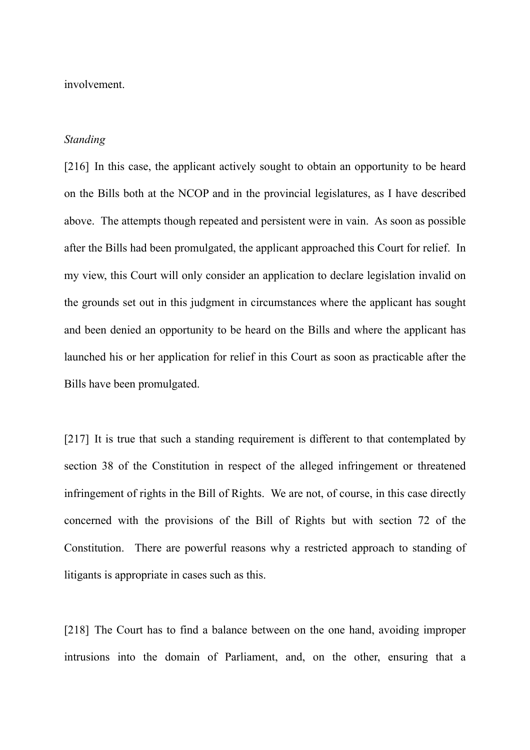involvement.

#### *Standing*

[216] In this case, the applicant actively sought to obtain an opportunity to be heard on the Bills both at the NCOP and in the provincial legislatures, as I have described above. The attempts though repeated and persistent were in vain. As soon as possible after the Bills had been promulgated, the applicant approached this Court for relief. In my view, this Court will only consider an application to declare legislation invalid on the grounds set out in this judgment in circumstances where the applicant has sought and been denied an opportunity to be heard on the Bills and where the applicant has launched his or her application for relief in this Court as soon as practicable after the Bills have been promulgated.

[217] It is true that such a standing requirement is different to that contemplated by section 38 of the Constitution in respect of the alleged infringement or threatened infringement of rights in the Bill of Rights. We are not, of course, in this case directly concerned with the provisions of the Bill of Rights but with section 72 of the Constitution. There are powerful reasons why a restricted approach to standing of litigants is appropriate in cases such as this.

[218] The Court has to find a balance between on the one hand, avoiding improper intrusions into the domain of Parliament, and, on the other, ensuring that a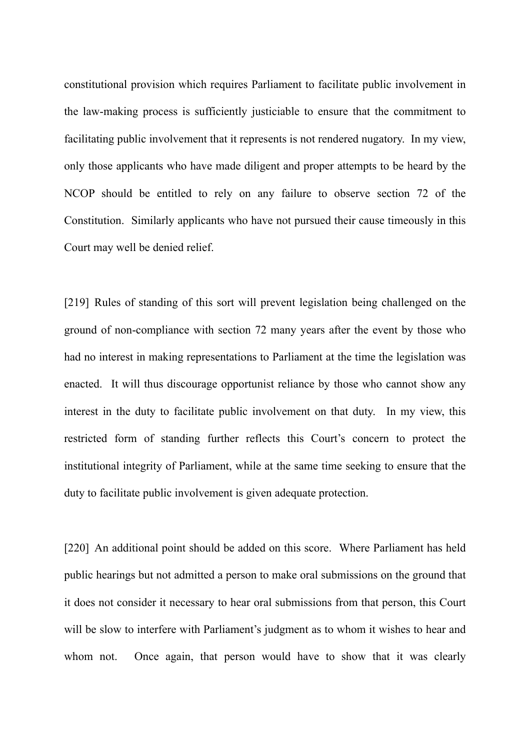constitutional provision which requires Parliament to facilitate public involvement in the law-making process is sufficiently justiciable to ensure that the commitment to facilitating public involvement that it represents is not rendered nugatory. In my view, only those applicants who have made diligent and proper attempts to be heard by the NCOP should be entitled to rely on any failure to observe section 72 of the Constitution. Similarly applicants who have not pursued their cause timeously in this Court may well be denied relief.

[219] Rules of standing of this sort will prevent legislation being challenged on the ground of non-compliance with section 72 many years after the event by those who had no interest in making representations to Parliament at the time the legislation was enacted. It will thus discourage opportunist reliance by those who cannot show any interest in the duty to facilitate public involvement on that duty. In my view, this restricted form of standing further reflects this Court's concern to protect the institutional integrity of Parliament, while at the same time seeking to ensure that the duty to facilitate public involvement is given adequate protection.

[220] An additional point should be added on this score. Where Parliament has held public hearings but not admitted a person to make oral submissions on the ground that it does not consider it necessary to hear oral submissions from that person, this Court will be slow to interfere with Parliament's judgment as to whom it wishes to hear and whom not. Once again, that person would have to show that it was clearly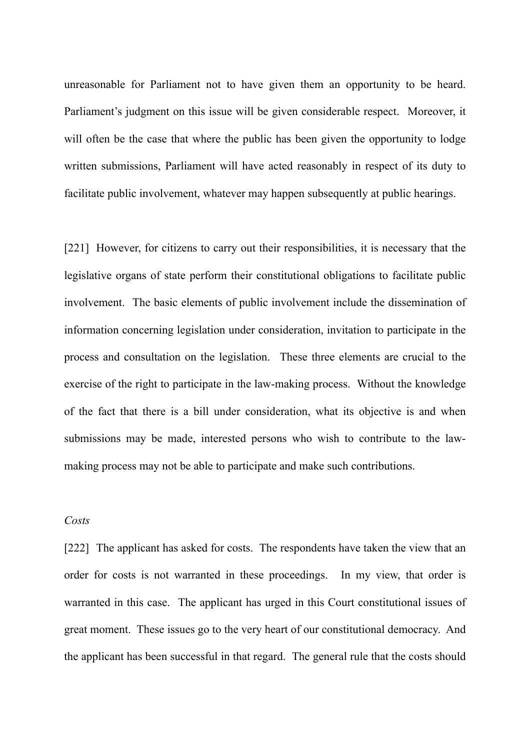unreasonable for Parliament not to have given them an opportunity to be heard. Parliament's judgment on this issue will be given considerable respect. Moreover, it will often be the case that where the public has been given the opportunity to lodge written submissions, Parliament will have acted reasonably in respect of its duty to facilitate public involvement, whatever may happen subsequently at public hearings.

[221] However, for citizens to carry out their responsibilities, it is necessary that the legislative organs of state perform their constitutional obligations to facilitate public involvement. The basic elements of public involvement include the dissemination of information concerning legislation under consideration, invitation to participate in the process and consultation on the legislation. These three elements are crucial to the exercise of the right to participate in the law-making process. Without the knowledge of the fact that there is a bill under consideration, what its objective is and when submissions may be made, interested persons who wish to contribute to the lawmaking process may not be able to participate and make such contributions.

#### *Costs*

[222] The applicant has asked for costs. The respondents have taken the view that an order for costs is not warranted in these proceedings. In my view, that order is warranted in this case. The applicant has urged in this Court constitutional issues of great moment. These issues go to the very heart of our constitutional democracy. And the applicant has been successful in that regard. The general rule that the costs should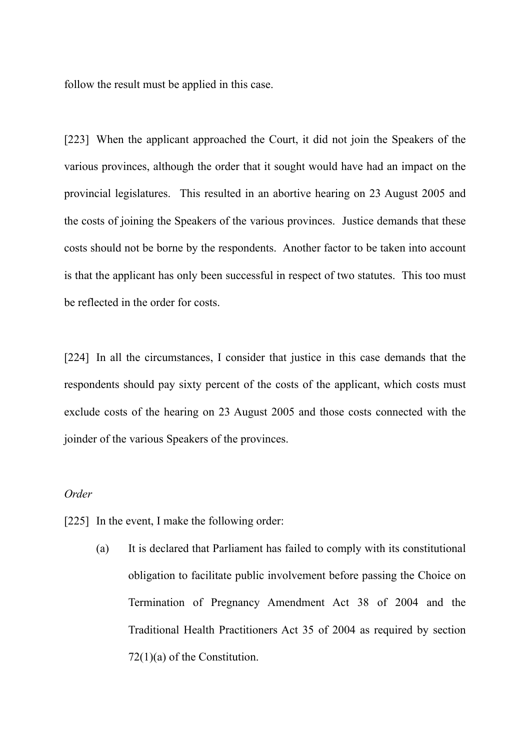follow the result must be applied in this case.

[223] When the applicant approached the Court, it did not join the Speakers of the various provinces, although the order that it sought would have had an impact on the provincial legislatures. This resulted in an abortive hearing on 23 August 2005 and the costs of joining the Speakers of the various provinces. Justice demands that these costs should not be borne by the respondents. Another factor to be taken into account is that the applicant has only been successful in respect of two statutes. This too must be reflected in the order for costs.

[224] In all the circumstances, I consider that justice in this case demands that the respondents should pay sixty percent of the costs of the applicant, which costs must exclude costs of the hearing on 23 August 2005 and those costs connected with the joinder of the various Speakers of the provinces.

# *Order*

- [225] In the event, I make the following order:
	- (a) It is declared that Parliament has failed to comply with its constitutional obligation to facilitate public involvement before passing the Choice on Termination of Pregnancy Amendment Act 38 of 2004 and the Traditional Health Practitioners Act 35 of 2004 as required by section 72(1)(a) of the Constitution.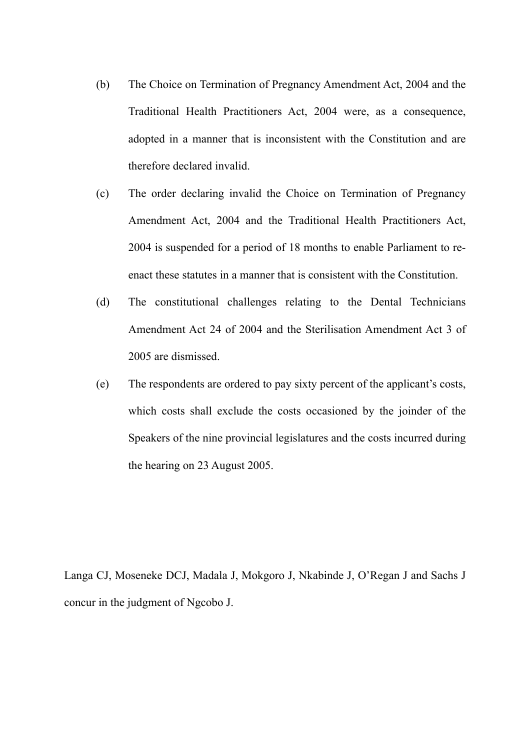- (b) The Choice on Termination of Pregnancy Amendment Act, 2004 and the Traditional Health Practitioners Act, 2004 were, as a consequence, adopted in a manner that is inconsistent with the Constitution and are therefore declared invalid.
- (c) The order declaring invalid the Choice on Termination of Pregnancy Amendment Act, 2004 and the Traditional Health Practitioners Act, 2004 is suspended for a period of 18 months to enable Parliament to reenact these statutes in a manner that is consistent with the Constitution.
- (d) The constitutional challenges relating to the Dental Technicians Amendment Act 24 of 2004 and the Sterilisation Amendment Act 3 of 2005 are dismissed.
- (e) The respondents are ordered to pay sixty percent of the applicant's costs, which costs shall exclude the costs occasioned by the joinder of the Speakers of the nine provincial legislatures and the costs incurred during the hearing on 23 August 2005.

Langa CJ, Moseneke DCJ, Madala J, Mokgoro J, Nkabinde J, O'Regan J and Sachs J concur in the judgment of Ngcobo J.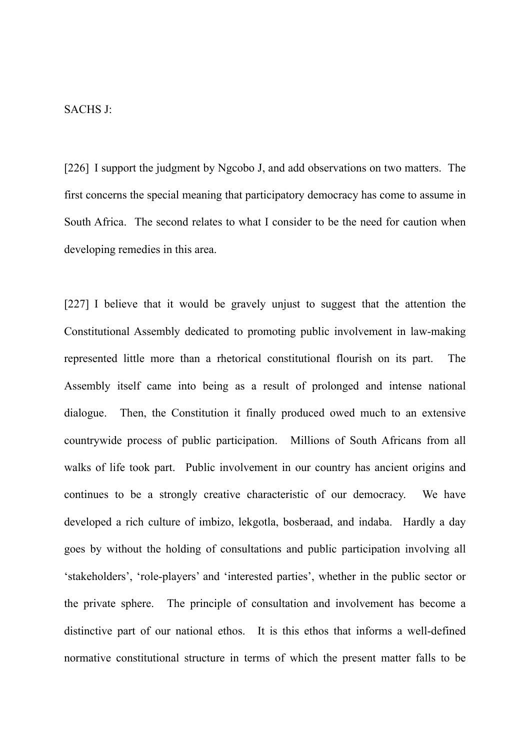### SACHS J:

[226] I support the judgment by Ngcobo J, and add observations on two matters. The first concerns the special meaning that participatory democracy has come to assume in South Africa. The second relates to what I consider to be the need for caution when developing remedies in this area.

[227] I believe that it would be gravely unjust to suggest that the attention the Constitutional Assembly dedicated to promoting public involvement in law-making represented little more than a rhetorical constitutional flourish on its part. The Assembly itself came into being as a result of prolonged and intense national dialogue. Then, the Constitution it finally produced owed much to an extensive countrywide process of public participation. Millions of South Africans from all walks of life took part. Public involvement in our country has ancient origins and continues to be a strongly creative characteristic of our democracy. We have developed a rich culture of imbizo, lekgotla, bosberaad, and indaba. Hardly a day goes by without the holding of consultations and public participation involving all 'stakeholders', 'role-players' and 'interested parties', whether in the public sector or the private sphere. The principle of consultation and involvement has become a distinctive part of our national ethos. It is this ethos that informs a well-defined normative constitutional structure in terms of which the present matter falls to be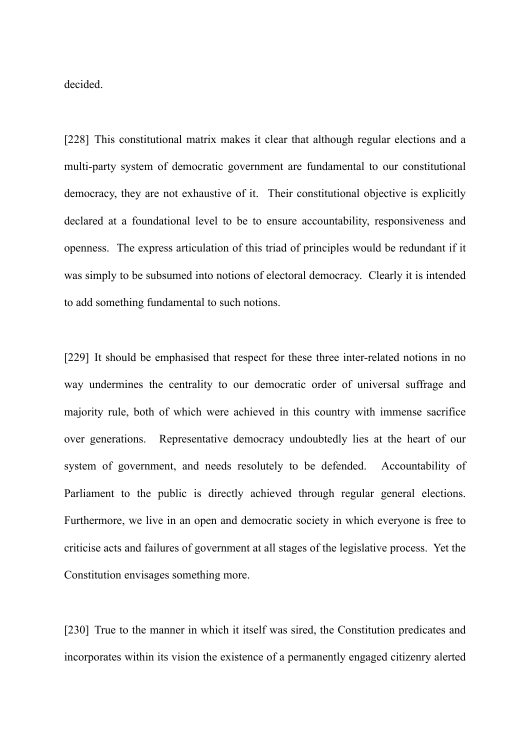decided.

[228] This constitutional matrix makes it clear that although regular elections and a multi-party system of democratic government are fundamental to our constitutional democracy, they are not exhaustive of it. Their constitutional objective is explicitly declared at a foundational level to be to ensure accountability, responsiveness and openness. The express articulation of this triad of principles would be redundant if it was simply to be subsumed into notions of electoral democracy. Clearly it is intended to add something fundamental to such notions.

[229] It should be emphasised that respect for these three inter-related notions in no way undermines the centrality to our democratic order of universal suffrage and majority rule, both of which were achieved in this country with immense sacrifice over generations. Representative democracy undoubtedly lies at the heart of our system of government, and needs resolutely to be defended. Accountability of Parliament to the public is directly achieved through regular general elections. Furthermore, we live in an open and democratic society in which everyone is free to criticise acts and failures of government at all stages of the legislative process. Yet the Constitution envisages something more.

[230] True to the manner in which it itself was sired, the Constitution predicates and incorporates within its vision the existence of a permanently engaged citizenry alerted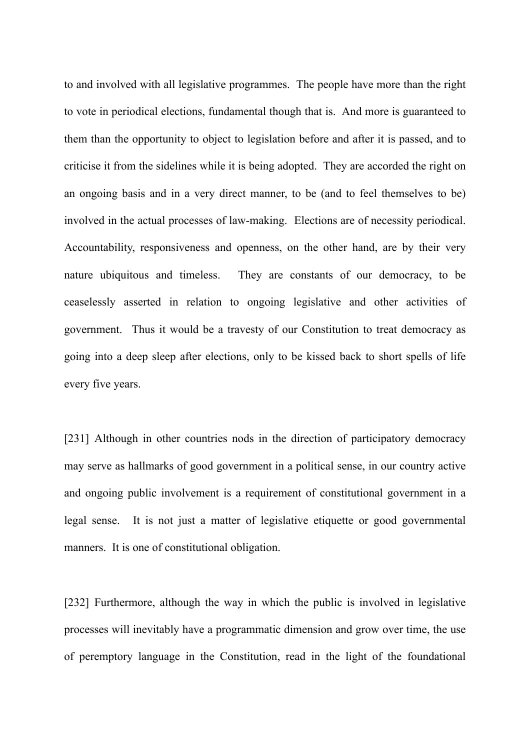to and involved with all legislative programmes. The people have more than the right to vote in periodical elections, fundamental though that is. And more is guaranteed to them than the opportunity to object to legislation before and after it is passed, and to criticise it from the sidelines while it is being adopted. They are accorded the right on an ongoing basis and in a very direct manner, to be (and to feel themselves to be) involved in the actual processes of law-making. Elections are of necessity periodical. Accountability, responsiveness and openness, on the other hand, are by their very nature ubiquitous and timeless. They are constants of our democracy, to be ceaselessly asserted in relation to ongoing legislative and other activities of government. Thus it would be a travesty of our Constitution to treat democracy as going into a deep sleep after elections, only to be kissed back to short spells of life every five years.

[231] Although in other countries nods in the direction of participatory democracy may serve as hallmarks of good government in a political sense, in our country active and ongoing public involvement is a requirement of constitutional government in a legal sense. It is not just a matter of legislative etiquette or good governmental manners. It is one of constitutional obligation.

[232] Furthermore, although the way in which the public is involved in legislative processes will inevitably have a programmatic dimension and grow over time, the use of peremptory language in the Constitution, read in the light of the foundational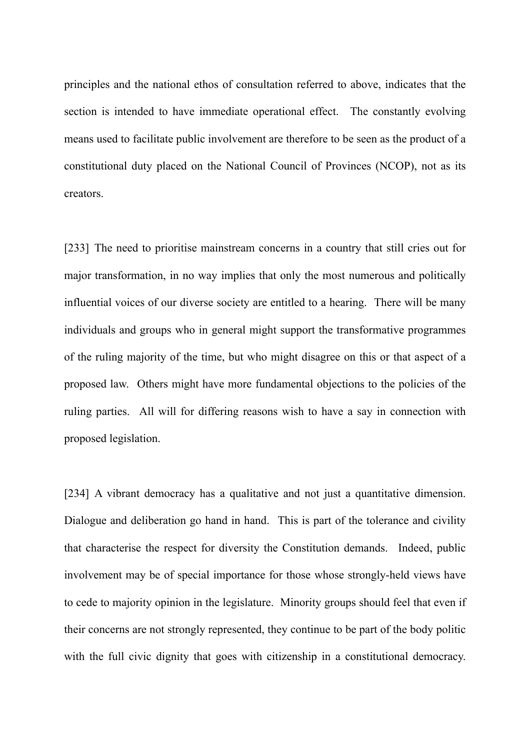principles and the national ethos of consultation referred to above, indicates that the section is intended to have immediate operational effect. The constantly evolving means used to facilitate public involvement are therefore to be seen as the product of a constitutional duty placed on the National Council of Provinces (NCOP), not as its creators.

[233] The need to prioritise mainstream concerns in a country that still cries out for major transformation, in no way implies that only the most numerous and politically influential voices of our diverse society are entitled to a hearing. There will be many individuals and groups who in general might support the transformative programmes of the ruling majority of the time, but who might disagree on this or that aspect of a proposed law. Others might have more fundamental objections to the policies of the ruling parties. All will for differing reasons wish to have a say in connection with proposed legislation.

[234] A vibrant democracy has a qualitative and not just a quantitative dimension. Dialogue and deliberation go hand in hand. This is part of the tolerance and civility that characterise the respect for diversity the Constitution demands. Indeed, public involvement may be of special importance for those whose strongly-held views have to cede to majority opinion in the legislature. Minority groups should feel that even if their concerns are not strongly represented, they continue to be part of the body politic with the full civic dignity that goes with citizenship in a constitutional democracy.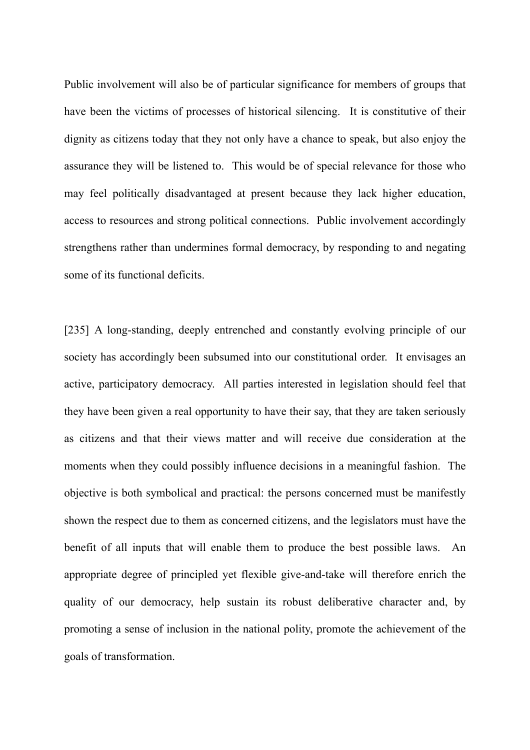Public involvement will also be of particular significance for members of groups that have been the victims of processes of historical silencing. It is constitutive of their dignity as citizens today that they not only have a chance to speak, but also enjoy the assurance they will be listened to. This would be of special relevance for those who may feel politically disadvantaged at present because they lack higher education, access to resources and strong political connections. Public involvement accordingly strengthens rather than undermines formal democracy, by responding to and negating some of its functional deficits.

[235] A long-standing, deeply entrenched and constantly evolving principle of our society has accordingly been subsumed into our constitutional order. It envisages an active, participatory democracy. All parties interested in legislation should feel that they have been given a real opportunity to have their say, that they are taken seriously as citizens and that their views matter and will receive due consideration at the moments when they could possibly influence decisions in a meaningful fashion. The objective is both symbolical and practical: the persons concerned must be manifestly shown the respect due to them as concerned citizens, and the legislators must have the benefit of all inputs that will enable them to produce the best possible laws. An appropriate degree of principled yet flexible give-and-take will therefore enrich the quality of our democracy, help sustain its robust deliberative character and, by promoting a sense of inclusion in the national polity, promote the achievement of the goals of transformation.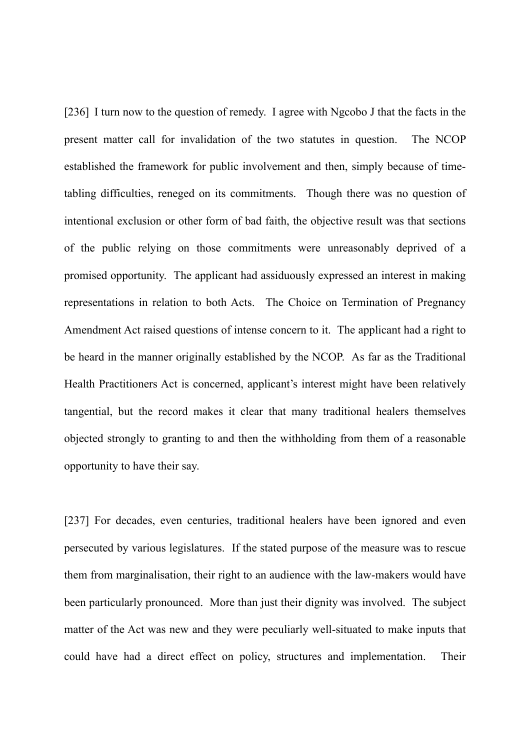[236] I turn now to the question of remedy. I agree with Ngcobo J that the facts in the present matter call for invalidation of the two statutes in question. The NCOP established the framework for public involvement and then, simply because of timetabling difficulties, reneged on its commitments. Though there was no question of intentional exclusion or other form of bad faith, the objective result was that sections of the public relying on those commitments were unreasonably deprived of a promised opportunity. The applicant had assiduously expressed an interest in making representations in relation to both Acts. The Choice on Termination of Pregnancy Amendment Act raised questions of intense concern to it. The applicant had a right to be heard in the manner originally established by the NCOP. As far as the Traditional Health Practitioners Act is concerned, applicant's interest might have been relatively tangential, but the record makes it clear that many traditional healers themselves objected strongly to granting to and then the withholding from them of a reasonable opportunity to have their say.

[237] For decades, even centuries, traditional healers have been ignored and even persecuted by various legislatures. If the stated purpose of the measure was to rescue them from marginalisation, their right to an audience with the law-makers would have been particularly pronounced. More than just their dignity was involved. The subject matter of the Act was new and they were peculiarly well-situated to make inputs that could have had a direct effect on policy, structures and implementation. Their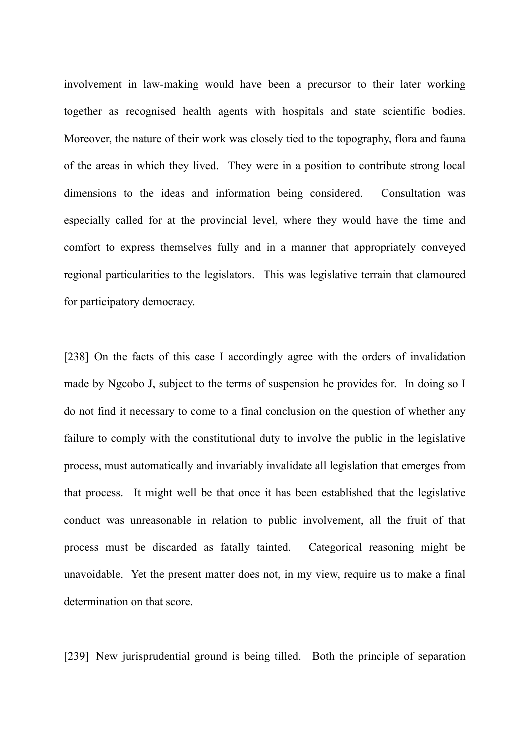involvement in law-making would have been a precursor to their later working together as recognised health agents with hospitals and state scientific bodies. Moreover, the nature of their work was closely tied to the topography, flora and fauna of the areas in which they lived. They were in a position to contribute strong local dimensions to the ideas and information being considered. Consultation was especially called for at the provincial level, where they would have the time and comfort to express themselves fully and in a manner that appropriately conveyed regional particularities to the legislators. This was legislative terrain that clamoured for participatory democracy.

[238] On the facts of this case I accordingly agree with the orders of invalidation made by Ngcobo J, subject to the terms of suspension he provides for. In doing so I do not find it necessary to come to a final conclusion on the question of whether any failure to comply with the constitutional duty to involve the public in the legislative process, must automatically and invariably invalidate all legislation that emerges from that process. It might well be that once it has been established that the legislative conduct was unreasonable in relation to public involvement, all the fruit of that process must be discarded as fatally tainted. Categorical reasoning might be unavoidable. Yet the present matter does not, in my view, require us to make a final determination on that score.

[239] New jurisprudential ground is being tilled. Both the principle of separation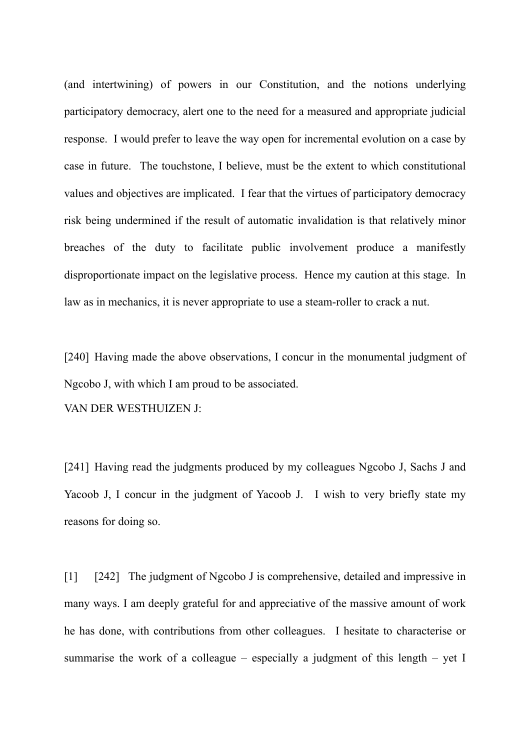(and intertwining) of powers in our Constitution, and the notions underlying participatory democracy, alert one to the need for a measured and appropriate judicial response. I would prefer to leave the way open for incremental evolution on a case by case in future. The touchstone, I believe, must be the extent to which constitutional values and objectives are implicated. I fear that the virtues of participatory democracy risk being undermined if the result of automatic invalidation is that relatively minor breaches of the duty to facilitate public involvement produce a manifestly disproportionate impact on the legislative process. Hence my caution at this stage. In law as in mechanics, it is never appropriate to use a steam-roller to crack a nut.

[240] Having made the above observations, I concur in the monumental judgment of Ngcobo J, with which I am proud to be associated.

VAN DER WESTHUIZEN J:

[241] Having read the judgments produced by my colleagues Ngcobo J, Sachs J and Yacoob J, I concur in the judgment of Yacoob J. I wish to very briefly state my reasons for doing so.

[1] [242] The judgment of Ngcobo J is comprehensive, detailed and impressive in many ways. I am deeply grateful for and appreciative of the massive amount of work he has done, with contributions from other colleagues. I hesitate to characterise or summarise the work of a colleague – especially a judgment of this length – yet I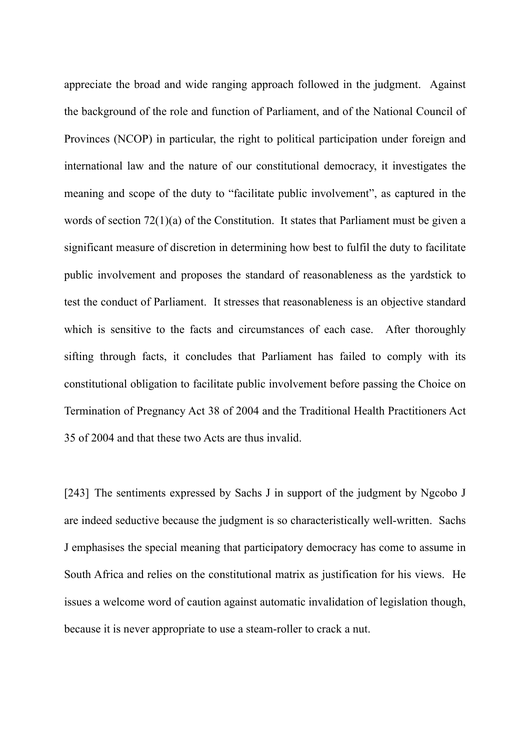appreciate the broad and wide ranging approach followed in the judgment. Against the background of the role and function of Parliament, and of the National Council of Provinces (NCOP) in particular, the right to political participation under foreign and international law and the nature of our constitutional democracy, it investigates the meaning and scope of the duty to "facilitate public involvement", as captured in the words of section 72(1)(a) of the Constitution. It states that Parliament must be given a significant measure of discretion in determining how best to fulfil the duty to facilitate public involvement and proposes the standard of reasonableness as the yardstick to test the conduct of Parliament. It stresses that reasonableness is an objective standard which is sensitive to the facts and circumstances of each case. After thoroughly sifting through facts, it concludes that Parliament has failed to comply with its constitutional obligation to facilitate public involvement before passing the Choice on Termination of Pregnancy Act 38 of 2004 and the Traditional Health Practitioners Act 35 of 2004 and that these two Acts are thus invalid.

[243] The sentiments expressed by Sachs J in support of the judgment by Ngcobo J are indeed seductive because the judgment is so characteristically well-written. Sachs J emphasises the special meaning that participatory democracy has come to assume in South Africa and relies on the constitutional matrix as justification for his views. He issues a welcome word of caution against automatic invalidation of legislation though, because it is never appropriate to use a steam-roller to crack a nut.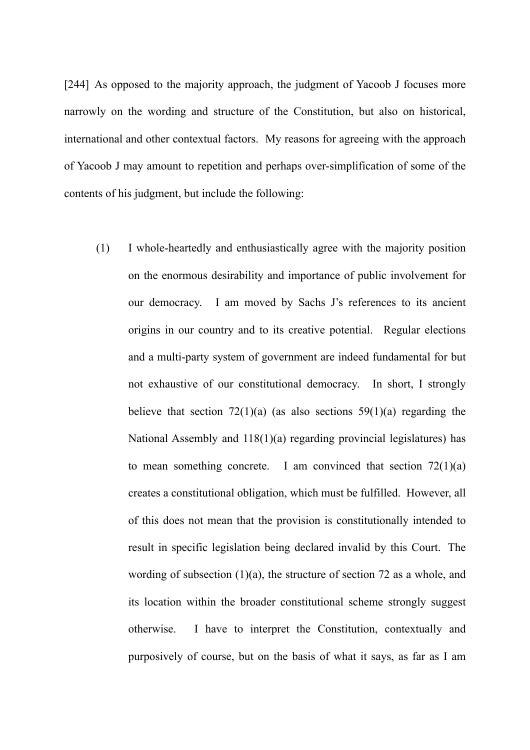[244] As opposed to the majority approach, the judgment of Yacoob J focuses more narrowly on the wording and structure of the Constitution, but also on historical, international and other contextual factors. My reasons for agreeing with the approach of Yacoob J may amount to repetition and perhaps over-simplification of some of the contents of his judgment, but include the following:

(1) I whole-heartedly and enthusiastically agree with the majority position on the enormous desirability and importance of public involvement for our democracy. I am moved by Sachs J's references to its ancient origins in our country and to its creative potential. Regular elections and a multi-party system of government are indeed fundamental for but not exhaustive of our constitutional democracy. In short, I strongly believe that section  $72(1)(a)$  (as also sections  $59(1)(a)$  regarding the National Assembly and 118(1)(a) regarding provincial legislatures) has to mean something concrete. I am convinced that section  $72(1)(a)$ creates a constitutional obligation, which must be fulfilled. However, all of this does not mean that the provision is constitutionally intended to result in specific legislation being declared invalid by this Court. The wording of subsection  $(1)(a)$ , the structure of section 72 as a whole, and its location within the broader constitutional scheme strongly suggest otherwise. I have to interpret the Constitution, contextually and purposively of course, but on the basis of what it says, as far as I am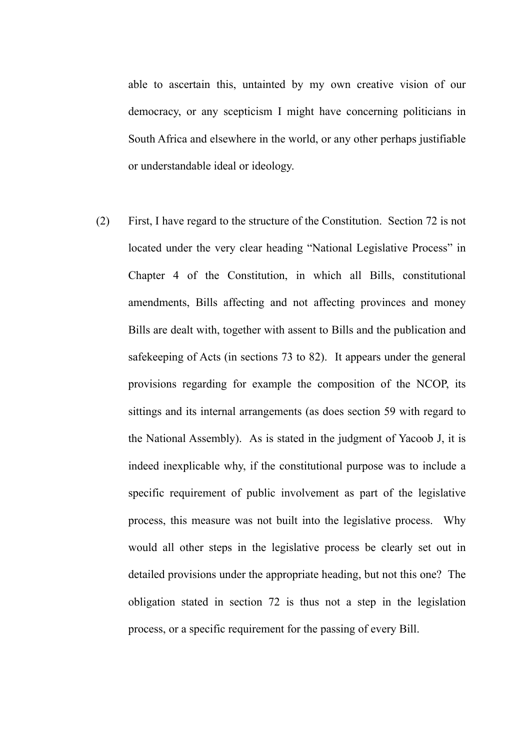able to ascertain this, untainted by my own creative vision of our democracy, or any scepticism I might have concerning politicians in South Africa and elsewhere in the world, or any other perhaps justifiable or understandable ideal or ideology.

(2) First, I have regard to the structure of the Constitution. Section 72 is not located under the very clear heading "National Legislative Process" in Chapter 4 of the Constitution, in which all Bills, constitutional amendments, Bills affecting and not affecting provinces and money Bills are dealt with, together with assent to Bills and the publication and safekeeping of Acts (in sections 73 to 82). It appears under the general provisions regarding for example the composition of the NCOP, its sittings and its internal arrangements (as does section 59 with regard to the National Assembly). As is stated in the judgment of Yacoob J, it is indeed inexplicable why, if the constitutional purpose was to include a specific requirement of public involvement as part of the legislative process, this measure was not built into the legislative process. Why would all other steps in the legislative process be clearly set out in detailed provisions under the appropriate heading, but not this one? The obligation stated in section 72 is thus not a step in the legislation process, or a specific requirement for the passing of every Bill.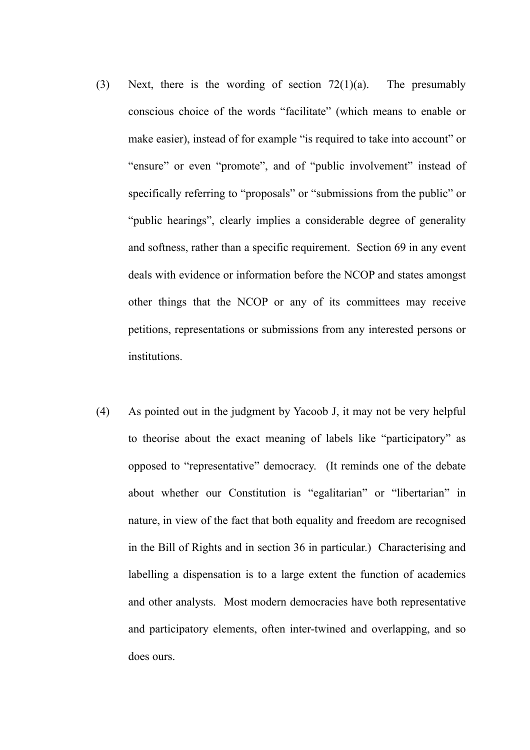- (3) Next, there is the wording of section 72(1)(a). The presumably conscious choice of the words "facilitate" (which means to enable or make easier), instead of for example "is required to take into account" or "ensure" or even "promote", and of "public involvement" instead of specifically referring to "proposals" or "submissions from the public" or "public hearings", clearly implies a considerable degree of generality and softness, rather than a specific requirement. Section 69 in any event deals with evidence or information before the NCOP and states amongst other things that the NCOP or any of its committees may receive petitions, representations or submissions from any interested persons or institutions.
- (4) As pointed out in the judgment by Yacoob J, it may not be very helpful to theorise about the exact meaning of labels like "participatory" as opposed to "representative" democracy. (It reminds one of the debate about whether our Constitution is "egalitarian" or "libertarian" in nature, in view of the fact that both equality and freedom are recognised in the Bill of Rights and in section 36 in particular.) Characterising and labelling a dispensation is to a large extent the function of academics and other analysts. Most modern democracies have both representative and participatory elements, often inter-twined and overlapping, and so does ours.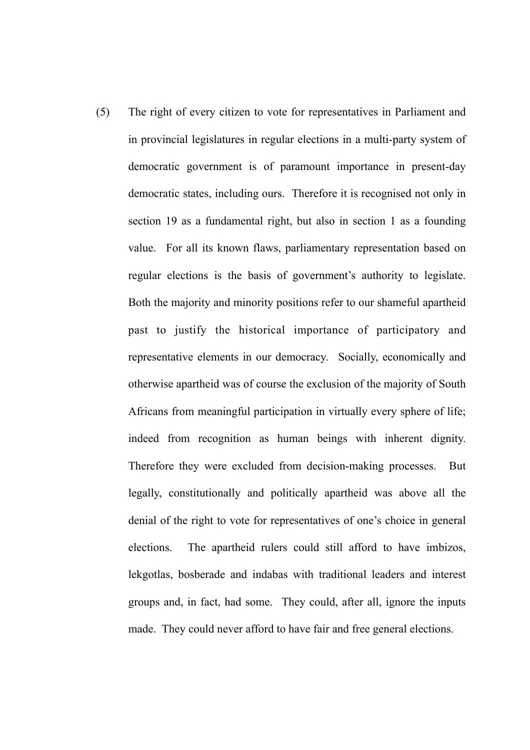(5) The right of every citizen to vote for representatives in Parliament and in provincial legislatures in regular elections in a multi-party system of democratic government is of paramount importance in present-day democratic states, including ours. Therefore it is recognised not only in section 19 as a fundamental right, but also in section 1 as a founding value. For all its known flaws, parliamentary representation based on regular elections is the basis of government's authority to legislate. Both the majority and minority positions refer to our shameful apartheid past to justify the historical importance of participatory and representative elements in our democracy. Socially, economically and otherwise apartheid was of course the exclusion of the majority of South Africans from meaningful participation in virtually every sphere of life; indeed from recognition as human beings with inherent dignity. Therefore they were excluded from decision-making processes. But legally, constitutionally and politically apartheid was above all the denial of the right to vote for representatives of one's choice in general elections. The apartheid rulers could still afford to have imbizos, lekgotlas, bosberade and indabas with traditional leaders and interest groups and, in fact, had some. They could, after all, ignore the inputs made. They could never afford to have fair and free general elections.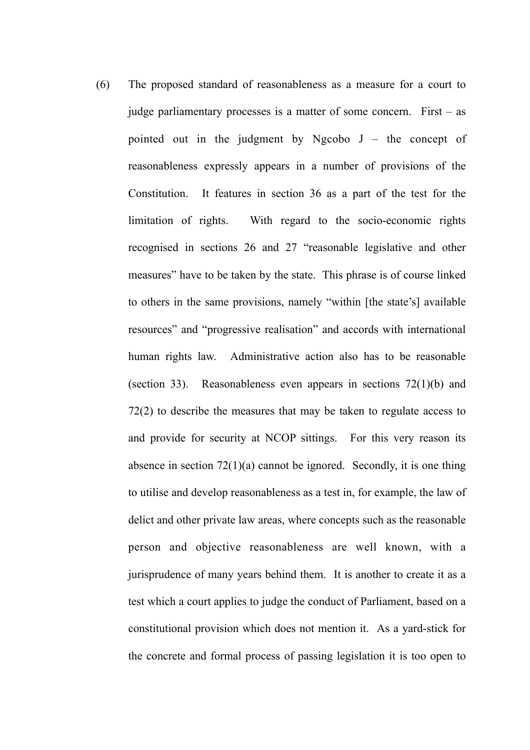(6) The proposed standard of reasonableness as a measure for a court to judge parliamentary processes is a matter of some concern. First – as pointed out in the judgment by Ngcobo  $J -$  the concept of reasonableness expressly appears in a number of provisions of the Constitution. It features in section 36 as a part of the test for the limitation of rights. With regard to the socio-economic rights recognised in sections 26 and 27 "reasonable legislative and other measures" have to be taken by the state. This phrase is of course linked to others in the same provisions, namely "within [the state's] available resources" and "progressive realisation" and accords with international human rights law. Administrative action also has to be reasonable (section 33). Reasonableness even appears in sections 72(1)(b) and 72(2) to describe the measures that may be taken to regulate access to and provide for security at NCOP sittings. For this very reason its absence in section  $72(1)(a)$  cannot be ignored. Secondly, it is one thing to utilise and develop reasonableness as a test in, for example, the law of delict and other private law areas, where concepts such as the reasonable person and objective reasonableness are well known, with a jurisprudence of many years behind them. It is another to create it as a test which a court applies to judge the conduct of Parliament, based on a constitutional provision which does not mention it. As a yard-stick for the concrete and formal process of passing legislation it is too open to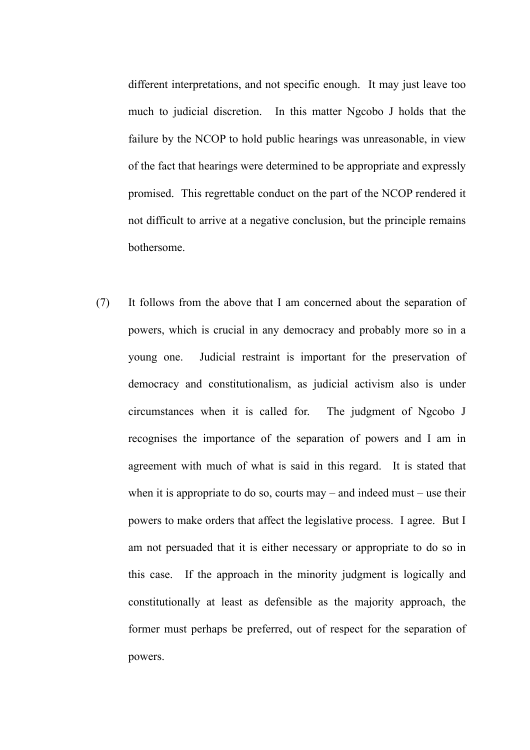different interpretations, and not specific enough. It may just leave too much to judicial discretion. In this matter Ngcobo J holds that the failure by the NCOP to hold public hearings was unreasonable, in view of the fact that hearings were determined to be appropriate and expressly promised. This regrettable conduct on the part of the NCOP rendered it not difficult to arrive at a negative conclusion, but the principle remains bothersome.

(7) It follows from the above that I am concerned about the separation of powers, which is crucial in any democracy and probably more so in a young one. Judicial restraint is important for the preservation of democracy and constitutionalism, as judicial activism also is under circumstances when it is called for. The judgment of Ngcobo J recognises the importance of the separation of powers and I am in agreement with much of what is said in this regard. It is stated that when it is appropriate to do so, courts may – and indeed must – use their powers to make orders that affect the legislative process. I agree. But I am not persuaded that it is either necessary or appropriate to do so in this case. If the approach in the minority judgment is logically and constitutionally at least as defensible as the majority approach, the former must perhaps be preferred, out of respect for the separation of powers.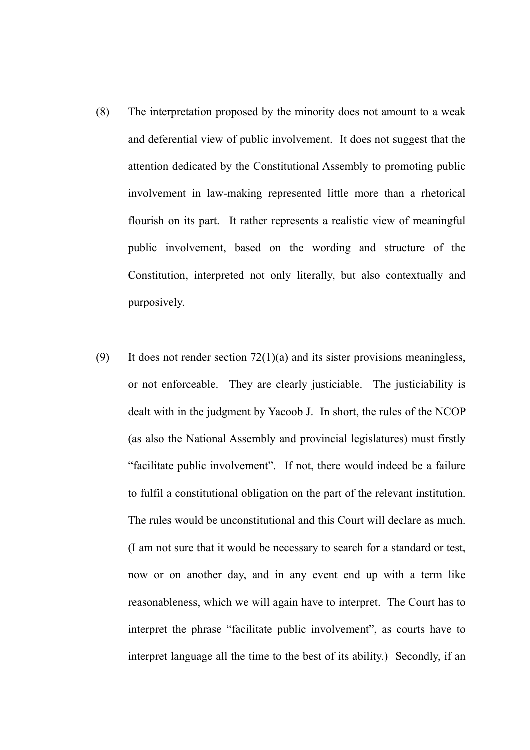- (8) The interpretation proposed by the minority does not amount to a weak and deferential view of public involvement. It does not suggest that the attention dedicated by the Constitutional Assembly to promoting public involvement in law-making represented little more than a rhetorical flourish on its part. It rather represents a realistic view of meaningful public involvement, based on the wording and structure of the Constitution, interpreted not only literally, but also contextually and purposively.
- (9) It does not render section  $72(1)(a)$  and its sister provisions meaningless, or not enforceable. They are clearly justiciable. The justiciability is dealt with in the judgment by Yacoob J. In short, the rules of the NCOP (as also the National Assembly and provincial legislatures) must firstly "facilitate public involvement". If not, there would indeed be a failure to fulfil a constitutional obligation on the part of the relevant institution. The rules would be unconstitutional and this Court will declare as much. (I am not sure that it would be necessary to search for a standard or test, now or on another day, and in any event end up with a term like reasonableness, which we will again have to interpret. The Court has to interpret the phrase "facilitate public involvement", as courts have to interpret language all the time to the best of its ability.) Secondly, if an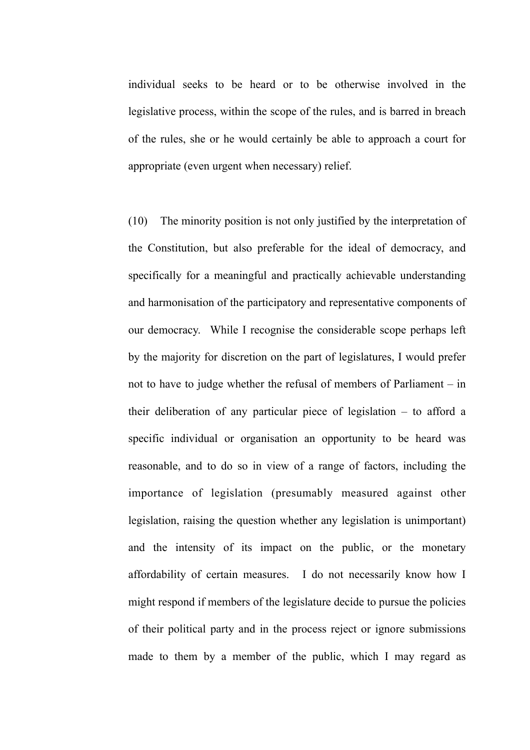individual seeks to be heard or to be otherwise involved in the legislative process, within the scope of the rules, and is barred in breach of the rules, she or he would certainly be able to approach a court for appropriate (even urgent when necessary) relief.

(10) The minority position is not only justified by the interpretation of the Constitution, but also preferable for the ideal of democracy, and specifically for a meaningful and practically achievable understanding and harmonisation of the participatory and representative components of our democracy. While I recognise the considerable scope perhaps left by the majority for discretion on the part of legislatures, I would prefer not to have to judge whether the refusal of members of Parliament – in their deliberation of any particular piece of legislation – to afford a specific individual or organisation an opportunity to be heard was reasonable, and to do so in view of a range of factors, including the importance of legislation (presumably measured against other legislation, raising the question whether any legislation is unimportant) and the intensity of its impact on the public, or the monetary affordability of certain measures. I do not necessarily know how I might respond if members of the legislature decide to pursue the policies of their political party and in the process reject or ignore submissions made to them by a member of the public, which I may regard as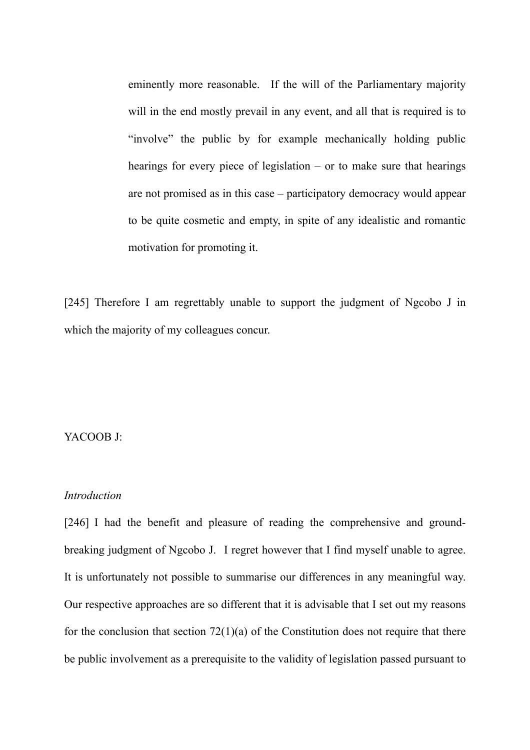eminently more reasonable. If the will of the Parliamentary majority will in the end mostly prevail in any event, and all that is required is to "involve" the public by for example mechanically holding public hearings for every piece of legislation – or to make sure that hearings are not promised as in this case – participatory democracy would appear to be quite cosmetic and empty, in spite of any idealistic and romantic motivation for promoting it.

[245] Therefore I am regrettably unable to support the judgment of Ngcobo J in which the majority of my colleagues concur.

# YACOOB J:

### *Introduction*

[246] I had the benefit and pleasure of reading the comprehensive and groundbreaking judgment of Ngcobo J. I regret however that I find myself unable to agree. It is unfortunately not possible to summarise our differences in any meaningful way. Our respective approaches are so different that it is advisable that I set out my reasons for the conclusion that section  $72(1)(a)$  of the Constitution does not require that there be public involvement as a prerequisite to the validity of legislation passed pursuant to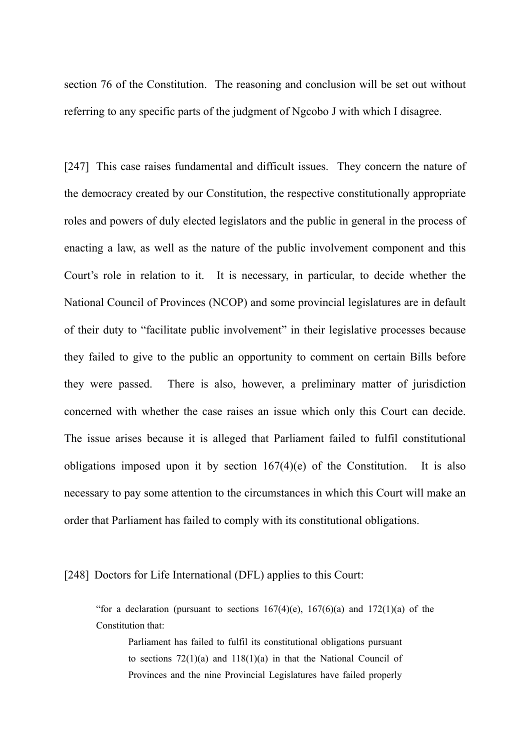section 76 of the Constitution. The reasoning and conclusion will be set out without referring to any specific parts of the judgment of Ngcobo J with which I disagree.

[247] This case raises fundamental and difficult issues. They concern the nature of the democracy created by our Constitution, the respective constitutionally appropriate roles and powers of duly elected legislators and the public in general in the process of enacting a law, as well as the nature of the public involvement component and this Court's role in relation to it. It is necessary, in particular, to decide whether the National Council of Provinces (NCOP) and some provincial legislatures are in default of their duty to "facilitate public involvement" in their legislative processes because they failed to give to the public an opportunity to comment on certain Bills before they were passed. There is also, however, a preliminary matter of jurisdiction concerned with whether the case raises an issue which only this Court can decide. The issue arises because it is alleged that Parliament failed to fulfil constitutional obligations imposed upon it by section 167(4)(e) of the Constitution. It is also necessary to pay some attention to the circumstances in which this Court will make an order that Parliament has failed to comply with its constitutional obligations.

### [248] Doctors for Life International (DFL) applies to this Court:

"for a declaration (pursuant to sections  $167(4)(e)$ ,  $167(6)(a)$  and  $172(1)(a)$  of the Constitution that:

Parliament has failed to fulfil its constitutional obligations pursuant to sections  $72(1)(a)$  and  $118(1)(a)$  in that the National Council of Provinces and the nine Provincial Legislatures have failed properly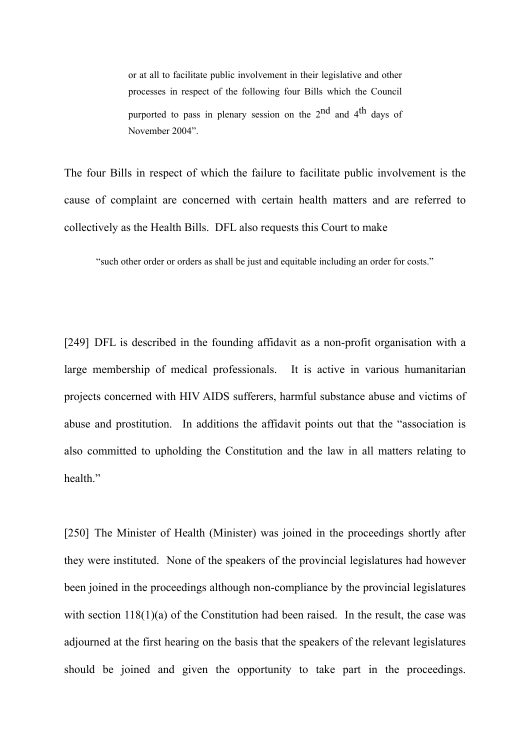or at all to facilitate public involvement in their legislative and other processes in respect of the following four Bills which the Council purported to pass in plenary session on the  $2<sup>nd</sup>$  and  $4<sup>th</sup>$  days of November 2004".

The four Bills in respect of which the failure to facilitate public involvement is the cause of complaint are concerned with certain health matters and are referred to collectively as the Health Bills. DFL also requests this Court to make

"such other order or orders as shall be just and equitable including an order for costs."

[249] DFL is described in the founding affidavit as a non-profit organisation with a large membership of medical professionals. It is active in various humanitarian projects concerned with HIV AIDS sufferers, harmful substance abuse and victims of abuse and prostitution. In additions the affidavit points out that the "association is also committed to upholding the Constitution and the law in all matters relating to health."

[250] The Minister of Health (Minister) was joined in the proceedings shortly after they were instituted. None of the speakers of the provincial legislatures had however been joined in the proceedings although non-compliance by the provincial legislatures with section 118(1)(a) of the Constitution had been raised. In the result, the case was adjourned at the first hearing on the basis that the speakers of the relevant legislatures should be joined and given the opportunity to take part in the proceedings.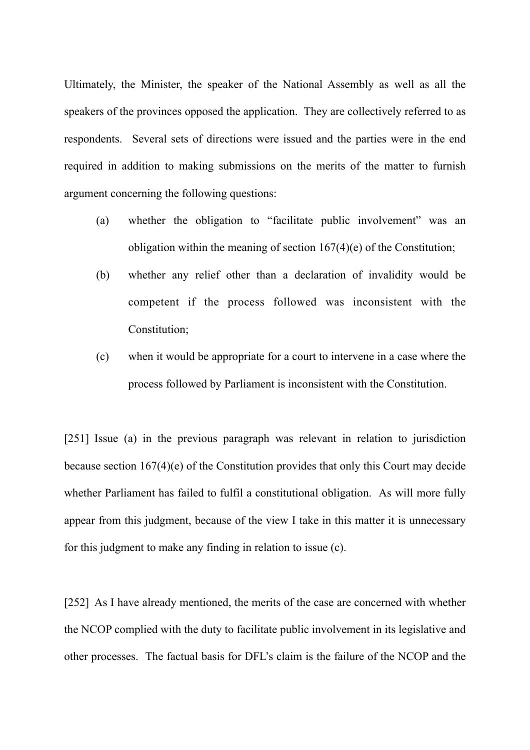Ultimately, the Minister, the speaker of the National Assembly as well as all the speakers of the provinces opposed the application. They are collectively referred to as respondents. Several sets of directions were issued and the parties were in the end required in addition to making submissions on the merits of the matter to furnish argument concerning the following questions:

- (a) whether the obligation to "facilitate public involvement" was an obligation within the meaning of section 167(4)(e) of the Constitution;
- (b) whether any relief other than a declaration of invalidity would be competent if the process followed was inconsistent with the Constitution;
- (c) when it would be appropriate for a court to intervene in a case where the process followed by Parliament is inconsistent with the Constitution.

[251] Issue (a) in the previous paragraph was relevant in relation to jurisdiction because section 167(4)(e) of the Constitution provides that only this Court may decide whether Parliament has failed to fulfil a constitutional obligation. As will more fully appear from this judgment, because of the view I take in this matter it is unnecessary for this judgment to make any finding in relation to issue (c).

[252] As I have already mentioned, the merits of the case are concerned with whether the NCOP complied with the duty to facilitate public involvement in its legislative and other processes. The factual basis for DFL's claim is the failure of the NCOP and the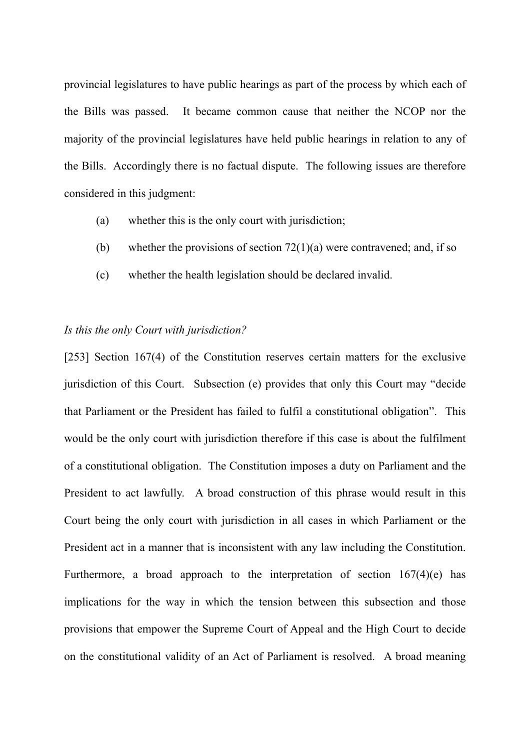provincial legislatures to have public hearings as part of the process by which each of the Bills was passed. It became common cause that neither the NCOP nor the majority of the provincial legislatures have held public hearings in relation to any of the Bills. Accordingly there is no factual dispute. The following issues are therefore considered in this judgment:

- (a) whether this is the only court with jurisdiction;
- (b) whether the provisions of section  $72(1)(a)$  were contravened; and, if so
- (c) whether the health legislation should be declared invalid.

# *Is this the only Court with jurisdiction?*

[253] Section 167(4) of the Constitution reserves certain matters for the exclusive jurisdiction of this Court. Subsection (e) provides that only this Court may "decide that Parliament or the President has failed to fulfil a constitutional obligation". This would be the only court with jurisdiction therefore if this case is about the fulfilment of a constitutional obligation. The Constitution imposes a duty on Parliament and the President to act lawfully. A broad construction of this phrase would result in this Court being the only court with jurisdiction in all cases in which Parliament or the President act in a manner that is inconsistent with any law including the Constitution. Furthermore, a broad approach to the interpretation of section  $167(4)(e)$  has implications for the way in which the tension between this subsection and those provisions that empower the Supreme Court of Appeal and the High Court to decide on the constitutional validity of an Act of Parliament is resolved. A broad meaning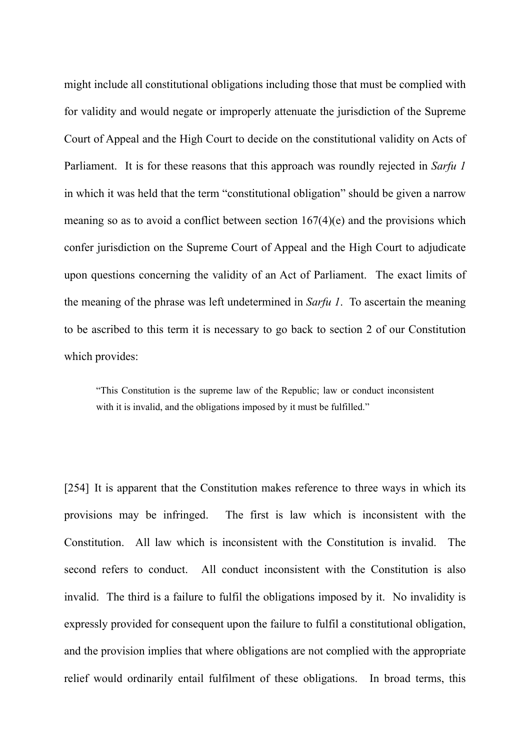might include all constitutional obligations including those that must be complied with for validity and would negate or improperly attenuate the jurisdiction of the Supreme Court of Appeal and the High Court to decide on the constitutional validity on Acts of Parliament. It is for these reasons that this approach was roundly rejected in *Sarfu 1* in which it was held that the term "constitutional obligation" should be given a narrow meaning so as to avoid a conflict between section 167(4)(e) and the provisions which confer jurisdiction on the Supreme Court of Appeal and the High Court to adjudicate upon questions concerning the validity of an Act of Parliament. The exact limits of the meaning of the phrase was left undetermined in *Sarfu 1*. To ascertain the meaning to be ascribed to this term it is necessary to go back to section 2 of our Constitution which provides:

"This Constitution is the supreme law of the Republic; law or conduct inconsistent with it is invalid, and the obligations imposed by it must be fulfilled."

[254] It is apparent that the Constitution makes reference to three ways in which its provisions may be infringed. The first is law which is inconsistent with the Constitution. All law which is inconsistent with the Constitution is invalid. The second refers to conduct. All conduct inconsistent with the Constitution is also invalid. The third is a failure to fulfil the obligations imposed by it. No invalidity is expressly provided for consequent upon the failure to fulfil a constitutional obligation, and the provision implies that where obligations are not complied with the appropriate relief would ordinarily entail fulfilment of these obligations. In broad terms, this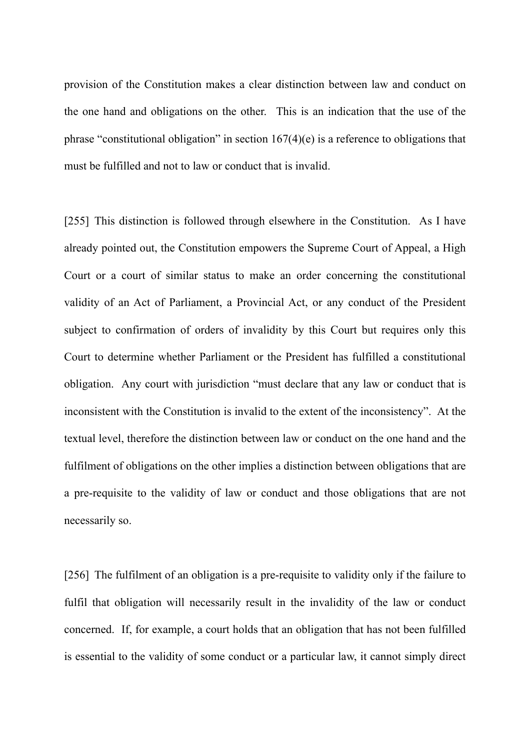provision of the Constitution makes a clear distinction between law and conduct on the one hand and obligations on the other. This is an indication that the use of the phrase "constitutional obligation" in section 167(4)(e) is a reference to obligations that must be fulfilled and not to law or conduct that is invalid.

[255] This distinction is followed through elsewhere in the Constitution. As I have already pointed out, the Constitution empowers the Supreme Court of Appeal, a High Court or a court of similar status to make an order concerning the constitutional validity of an Act of Parliament, a Provincial Act, or any conduct of the President subject to confirmation of orders of invalidity by this Court but requires only this Court to determine whether Parliament or the President has fulfilled a constitutional obligation. Any court with jurisdiction "must declare that any law or conduct that is inconsistent with the Constitution is invalid to the extent of the inconsistency". At the textual level, therefore the distinction between law or conduct on the one hand and the fulfilment of obligations on the other implies a distinction between obligations that are a pre-requisite to the validity of law or conduct and those obligations that are not necessarily so.

[256] The fulfilment of an obligation is a pre-requisite to validity only if the failure to fulfil that obligation will necessarily result in the invalidity of the law or conduct concerned. If, for example, a court holds that an obligation that has not been fulfilled is essential to the validity of some conduct or a particular law, it cannot simply direct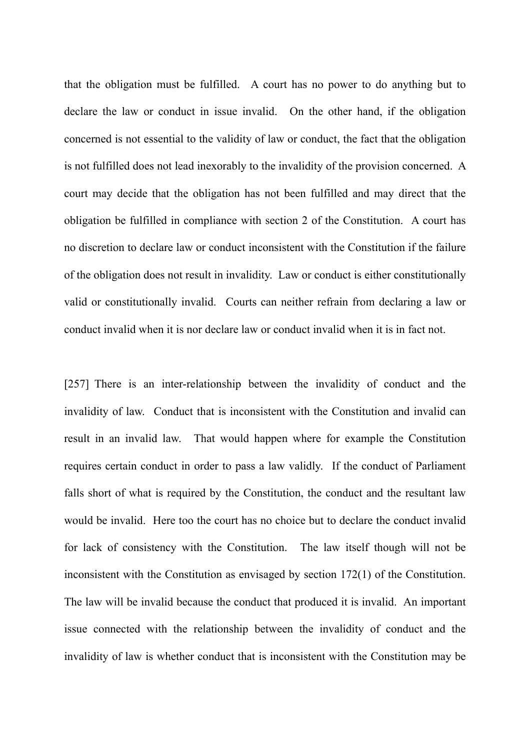that the obligation must be fulfilled. A court has no power to do anything but to declare the law or conduct in issue invalid. On the other hand, if the obligation concerned is not essential to the validity of law or conduct, the fact that the obligation is not fulfilled does not lead inexorably to the invalidity of the provision concerned. A court may decide that the obligation has not been fulfilled and may direct that the obligation be fulfilled in compliance with section 2 of the Constitution. A court has no discretion to declare law or conduct inconsistent with the Constitution if the failure of the obligation does not result in invalidity. Law or conduct is either constitutionally valid or constitutionally invalid. Courts can neither refrain from declaring a law or conduct invalid when it is nor declare law or conduct invalid when it is in fact not.

[257] There is an inter-relationship between the invalidity of conduct and the invalidity of law. Conduct that is inconsistent with the Constitution and invalid can result in an invalid law. That would happen where for example the Constitution requires certain conduct in order to pass a law validly. If the conduct of Parliament falls short of what is required by the Constitution, the conduct and the resultant law would be invalid. Here too the court has no choice but to declare the conduct invalid for lack of consistency with the Constitution. The law itself though will not be inconsistent with the Constitution as envisaged by section 172(1) of the Constitution. The law will be invalid because the conduct that produced it is invalid. An important issue connected with the relationship between the invalidity of conduct and the invalidity of law is whether conduct that is inconsistent with the Constitution may be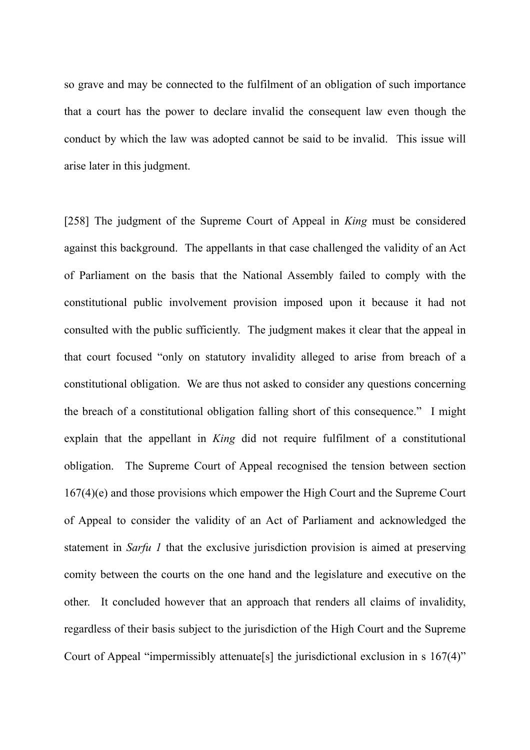so grave and may be connected to the fulfilment of an obligation of such importance that a court has the power to declare invalid the consequent law even though the conduct by which the law was adopted cannot be said to be invalid. This issue will arise later in this judgment.

[258] The judgment of the Supreme Court of Appeal in *King* must be considered against this background. The appellants in that case challenged the validity of an Act of Parliament on the basis that the National Assembly failed to comply with the constitutional public involvement provision imposed upon it because it had not consulted with the public sufficiently. The judgment makes it clear that the appeal in that court focused "only on statutory invalidity alleged to arise from breach of a constitutional obligation. We are thus not asked to consider any questions concerning the breach of a constitutional obligation falling short of this consequence." I might explain that the appellant in *King* did not require fulfilment of a constitutional obligation. The Supreme Court of Appeal recognised the tension between section 167(4)(e) and those provisions which empower the High Court and the Supreme Court of Appeal to consider the validity of an Act of Parliament and acknowledged the statement in *Sarfu 1* that the exclusive jurisdiction provision is aimed at preserving comity between the courts on the one hand and the legislature and executive on the other. It concluded however that an approach that renders all claims of invalidity, regardless of their basis subject to the jurisdiction of the High Court and the Supreme Court of Appeal "impermissibly attenuate[s] the jurisdictional exclusion in s 167(4)"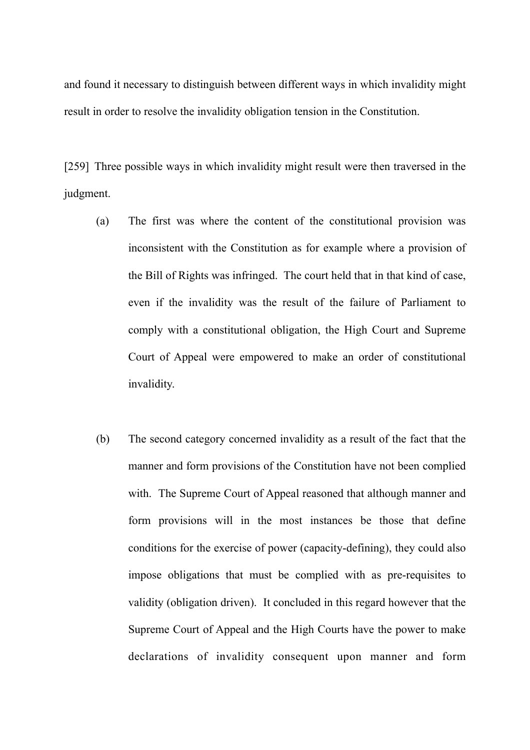and found it necessary to distinguish between different ways in which invalidity might result in order to resolve the invalidity obligation tension in the Constitution.

[259] Three possible ways in which invalidity might result were then traversed in the judgment.

- (a) The first was where the content of the constitutional provision was inconsistent with the Constitution as for example where a provision of the Bill of Rights was infringed. The court held that in that kind of case, even if the invalidity was the result of the failure of Parliament to comply with a constitutional obligation, the High Court and Supreme Court of Appeal were empowered to make an order of constitutional invalidity.
- (b) The second category concerned invalidity as a result of the fact that the manner and form provisions of the Constitution have not been complied with. The Supreme Court of Appeal reasoned that although manner and form provisions will in the most instances be those that define conditions for the exercise of power (capacity-defining), they could also impose obligations that must be complied with as pre-requisites to validity (obligation driven). It concluded in this regard however that the Supreme Court of Appeal and the High Courts have the power to make declarations of invalidity consequent upon manner and form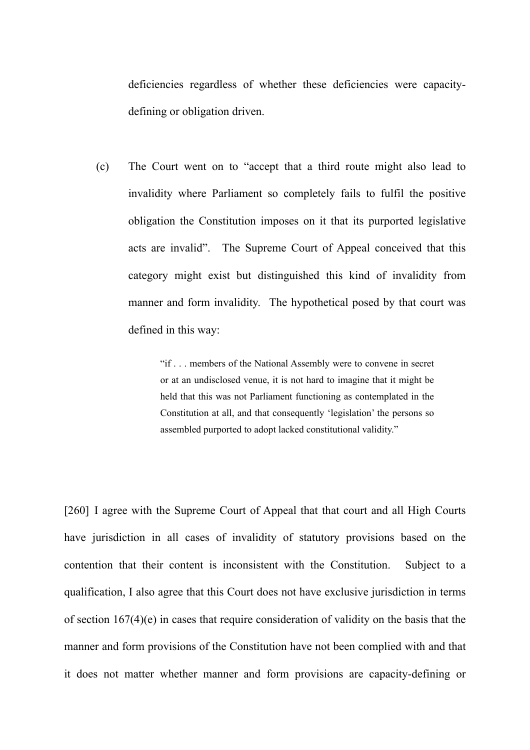deficiencies regardless of whether these deficiencies were capacitydefining or obligation driven.

(c) The Court went on to "accept that a third route might also lead to invalidity where Parliament so completely fails to fulfil the positive obligation the Constitution imposes on it that its purported legislative acts are invalid". The Supreme Court of Appeal conceived that this category might exist but distinguished this kind of invalidity from manner and form invalidity. The hypothetical posed by that court was defined in this way:

> "if . . . members of the National Assembly were to convene in secret or at an undisclosed venue, it is not hard to imagine that it might be held that this was not Parliament functioning as contemplated in the Constitution at all, and that consequently 'legislation' the persons so assembled purported to adopt lacked constitutional validity."

[260] I agree with the Supreme Court of Appeal that that court and all High Courts have jurisdiction in all cases of invalidity of statutory provisions based on the contention that their content is inconsistent with the Constitution. Subject to a qualification, I also agree that this Court does not have exclusive jurisdiction in terms of section 167(4)(e) in cases that require consideration of validity on the basis that the manner and form provisions of the Constitution have not been complied with and that it does not matter whether manner and form provisions are capacity-defining or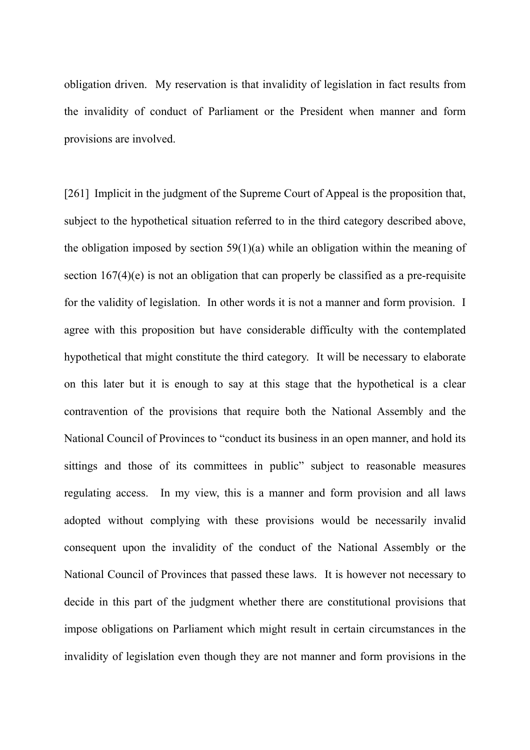obligation driven. My reservation is that invalidity of legislation in fact results from the invalidity of conduct of Parliament or the President when manner and form provisions are involved.

[261] Implicit in the judgment of the Supreme Court of Appeal is the proposition that, subject to the hypothetical situation referred to in the third category described above, the obligation imposed by section 59(1)(a) while an obligation within the meaning of section 167(4)(e) is not an obligation that can properly be classified as a pre-requisite for the validity of legislation. In other words it is not a manner and form provision. I agree with this proposition but have considerable difficulty with the contemplated hypothetical that might constitute the third category. It will be necessary to elaborate on this later but it is enough to say at this stage that the hypothetical is a clear contravention of the provisions that require both the National Assembly and the National Council of Provinces to "conduct its business in an open manner, and hold its sittings and those of its committees in public" subject to reasonable measures regulating access. In my view, this is a manner and form provision and all laws adopted without complying with these provisions would be necessarily invalid consequent upon the invalidity of the conduct of the National Assembly or the National Council of Provinces that passed these laws. It is however not necessary to decide in this part of the judgment whether there are constitutional provisions that impose obligations on Parliament which might result in certain circumstances in the invalidity of legislation even though they are not manner and form provisions in the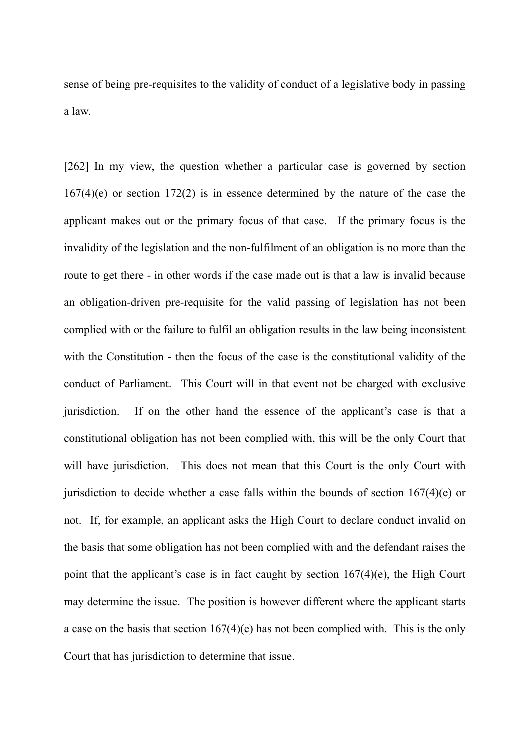sense of being pre-requisites to the validity of conduct of a legislative body in passing a law.

[262] In my view, the question whether a particular case is governed by section 167(4)(e) or section 172(2) is in essence determined by the nature of the case the applicant makes out or the primary focus of that case. If the primary focus is the invalidity of the legislation and the non-fulfilment of an obligation is no more than the route to get there - in other words if the case made out is that a law is invalid because an obligation-driven pre-requisite for the valid passing of legislation has not been complied with or the failure to fulfil an obligation results in the law being inconsistent with the Constitution - then the focus of the case is the constitutional validity of the conduct of Parliament. This Court will in that event not be charged with exclusive jurisdiction. If on the other hand the essence of the applicant's case is that a constitutional obligation has not been complied with, this will be the only Court that will have jurisdiction. This does not mean that this Court is the only Court with jurisdiction to decide whether a case falls within the bounds of section  $167(4)(e)$  or not. If, for example, an applicant asks the High Court to declare conduct invalid on the basis that some obligation has not been complied with and the defendant raises the point that the applicant's case is in fact caught by section 167(4)(e), the High Court may determine the issue. The position is however different where the applicant starts a case on the basis that section 167(4)(e) has not been complied with. This is the only Court that has jurisdiction to determine that issue.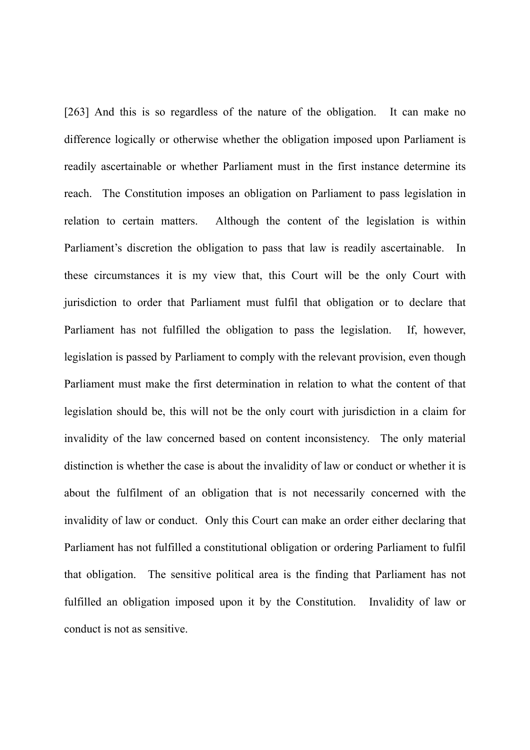[263] And this is so regardless of the nature of the obligation. It can make no difference logically or otherwise whether the obligation imposed upon Parliament is readily ascertainable or whether Parliament must in the first instance determine its reach. The Constitution imposes an obligation on Parliament to pass legislation in relation to certain matters. Although the content of the legislation is within Parliament's discretion the obligation to pass that law is readily ascertainable. In these circumstances it is my view that, this Court will be the only Court with jurisdiction to order that Parliament must fulfil that obligation or to declare that Parliament has not fulfilled the obligation to pass the legislation. If, however, legislation is passed by Parliament to comply with the relevant provision, even though Parliament must make the first determination in relation to what the content of that legislation should be, this will not be the only court with jurisdiction in a claim for invalidity of the law concerned based on content inconsistency. The only material distinction is whether the case is about the invalidity of law or conduct or whether it is about the fulfilment of an obligation that is not necessarily concerned with the invalidity of law or conduct. Only this Court can make an order either declaring that Parliament has not fulfilled a constitutional obligation or ordering Parliament to fulfil that obligation. The sensitive political area is the finding that Parliament has not fulfilled an obligation imposed upon it by the Constitution. Invalidity of law or conduct is not as sensitive.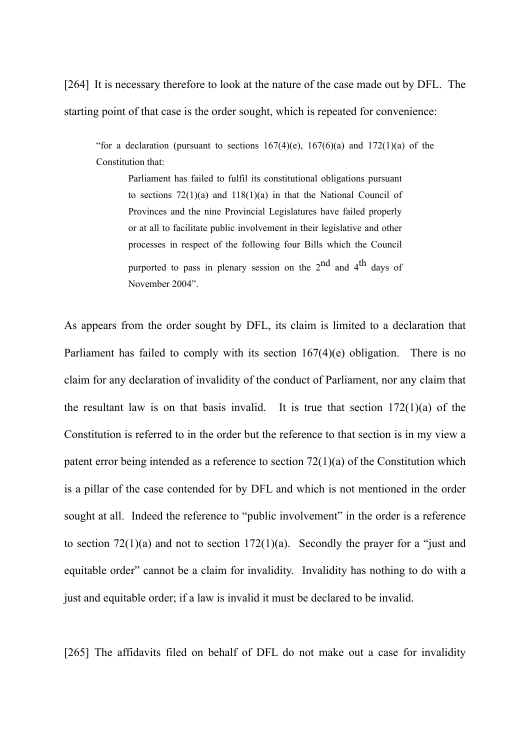[264] It is necessary therefore to look at the nature of the case made out by DFL. The starting point of that case is the order sought, which is repeated for convenience:

"for a declaration (pursuant to sections  $167(4)(e)$ ,  $167(6)(a)$  and  $172(1)(a)$  of the Constitution that:

Parliament has failed to fulfil its constitutional obligations pursuant to sections 72(1)(a) and 118(1)(a) in that the National Council of Provinces and the nine Provincial Legislatures have failed properly or at all to facilitate public involvement in their legislative and other processes in respect of the following four Bills which the Council purported to pass in plenary session on the  $2^{nd}$  and  $4^{th}$  days of November 2004".

As appears from the order sought by DFL, its claim is limited to a declaration that Parliament has failed to comply with its section 167(4)(e) obligation. There is no claim for any declaration of invalidity of the conduct of Parliament, nor any claim that the resultant law is on that basis invalid. It is true that section  $172(1)(a)$  of the Constitution is referred to in the order but the reference to that section is in my view a patent error being intended as a reference to section 72(1)(a) of the Constitution which is a pillar of the case contended for by DFL and which is not mentioned in the order sought at all. Indeed the reference to "public involvement" in the order is a reference to section  $72(1)(a)$  and not to section  $172(1)(a)$ . Secondly the prayer for a "just and equitable order" cannot be a claim for invalidity. Invalidity has nothing to do with a just and equitable order; if a law is invalid it must be declared to be invalid.

[265] The affidavits filed on behalf of DFL do not make out a case for invalidity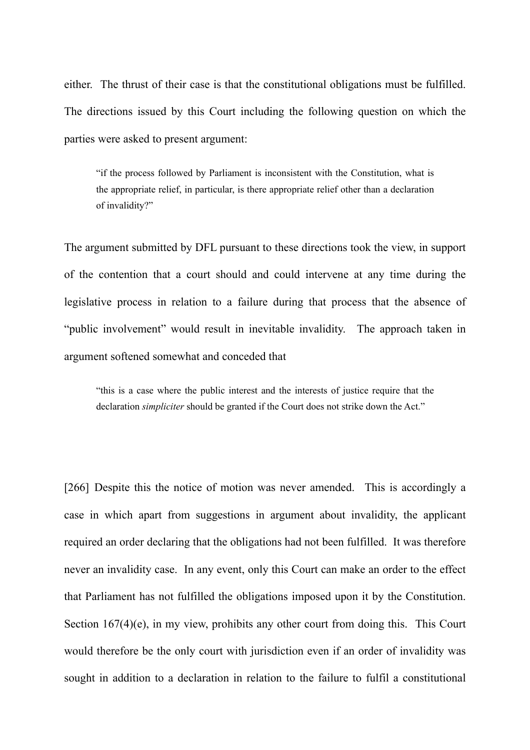either. The thrust of their case is that the constitutional obligations must be fulfilled. The directions issued by this Court including the following question on which the parties were asked to present argument:

"if the process followed by Parliament is inconsistent with the Constitution, what is the appropriate relief, in particular, is there appropriate relief other than a declaration of invalidity?"

The argument submitted by DFL pursuant to these directions took the view, in support of the contention that a court should and could intervene at any time during the legislative process in relation to a failure during that process that the absence of "public involvement" would result in inevitable invalidity. The approach taken in argument softened somewhat and conceded that

"this is a case where the public interest and the interests of justice require that the declaration *simpliciter* should be granted if the Court does not strike down the Act."

[266] Despite this the notice of motion was never amended. This is accordingly a case in which apart from suggestions in argument about invalidity, the applicant required an order declaring that the obligations had not been fulfilled. It was therefore never an invalidity case. In any event, only this Court can make an order to the effect that Parliament has not fulfilled the obligations imposed upon it by the Constitution. Section 167(4)(e), in my view, prohibits any other court from doing this. This Court would therefore be the only court with jurisdiction even if an order of invalidity was sought in addition to a declaration in relation to the failure to fulfil a constitutional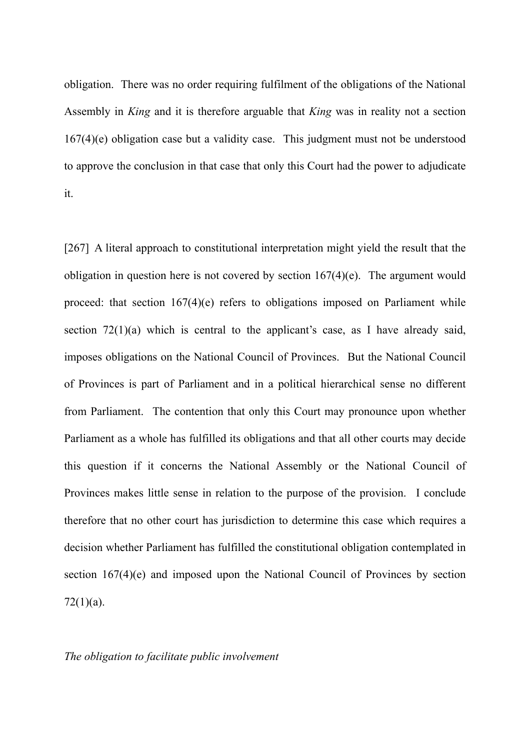obligation. There was no order requiring fulfilment of the obligations of the National Assembly in *King* and it is therefore arguable that *King* was in reality not a section 167(4)(e) obligation case but a validity case. This judgment must not be understood to approve the conclusion in that case that only this Court had the power to adjudicate it.

[267] A literal approach to constitutional interpretation might yield the result that the obligation in question here is not covered by section 167(4)(e). The argument would proceed: that section 167(4)(e) refers to obligations imposed on Parliament while section  $72(1)(a)$  which is central to the applicant's case, as I have already said, imposes obligations on the National Council of Provinces. But the National Council of Provinces is part of Parliament and in a political hierarchical sense no different from Parliament. The contention that only this Court may pronounce upon whether Parliament as a whole has fulfilled its obligations and that all other courts may decide this question if it concerns the National Assembly or the National Council of Provinces makes little sense in relation to the purpose of the provision. I conclude therefore that no other court has jurisdiction to determine this case which requires a decision whether Parliament has fulfilled the constitutional obligation contemplated in section 167(4)(e) and imposed upon the National Council of Provinces by section  $72(1)(a)$ .

#### *The obligation to facilitate public involvement*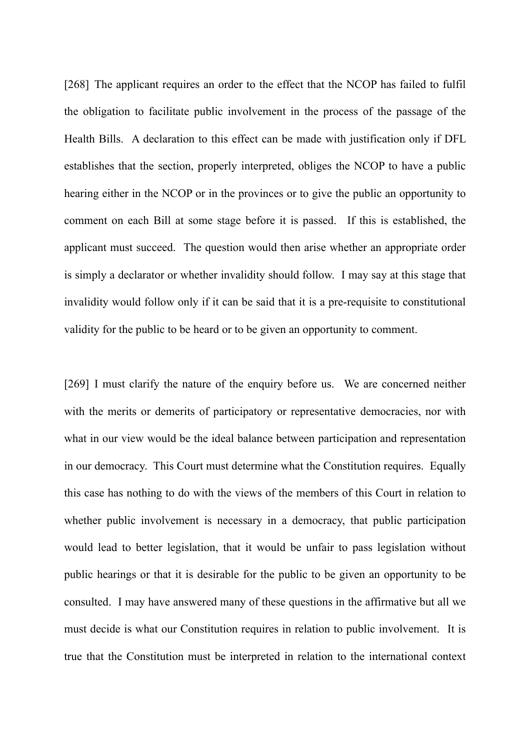[268] The applicant requires an order to the effect that the NCOP has failed to fulfil the obligation to facilitate public involvement in the process of the passage of the Health Bills. A declaration to this effect can be made with justification only if DFL establishes that the section, properly interpreted, obliges the NCOP to have a public hearing either in the NCOP or in the provinces or to give the public an opportunity to comment on each Bill at some stage before it is passed. If this is established, the applicant must succeed. The question would then arise whether an appropriate order is simply a declarator or whether invalidity should follow. I may say at this stage that invalidity would follow only if it can be said that it is a pre-requisite to constitutional validity for the public to be heard or to be given an opportunity to comment.

[269] I must clarify the nature of the enquiry before us. We are concerned neither with the merits or demerits of participatory or representative democracies, nor with what in our view would be the ideal balance between participation and representation in our democracy. This Court must determine what the Constitution requires. Equally this case has nothing to do with the views of the members of this Court in relation to whether public involvement is necessary in a democracy, that public participation would lead to better legislation, that it would be unfair to pass legislation without public hearings or that it is desirable for the public to be given an opportunity to be consulted. I may have answered many of these questions in the affirmative but all we must decide is what our Constitution requires in relation to public involvement. It is true that the Constitution must be interpreted in relation to the international context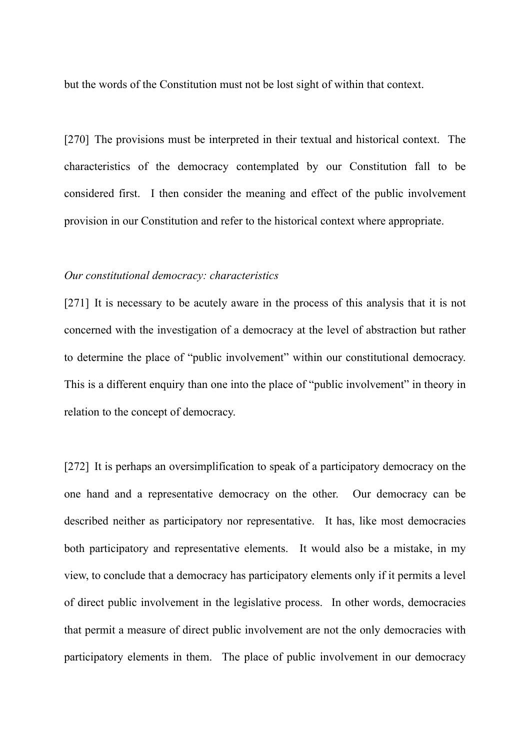but the words of the Constitution must not be lost sight of within that context.

[270] The provisions must be interpreted in their textual and historical context. The characteristics of the democracy contemplated by our Constitution fall to be considered first. I then consider the meaning and effect of the public involvement provision in our Constitution and refer to the historical context where appropriate.

#### *Our constitutional democracy: characteristics*

[271] It is necessary to be acutely aware in the process of this analysis that it is not concerned with the investigation of a democracy at the level of abstraction but rather to determine the place of "public involvement" within our constitutional democracy. This is a different enquiry than one into the place of "public involvement" in theory in relation to the concept of democracy.

[272] It is perhaps an oversimplification to speak of a participatory democracy on the one hand and a representative democracy on the other. Our democracy can be described neither as participatory nor representative. It has, like most democracies both participatory and representative elements. It would also be a mistake, in my view, to conclude that a democracy has participatory elements only if it permits a level of direct public involvement in the legislative process. In other words, democracies that permit a measure of direct public involvement are not the only democracies with participatory elements in them. The place of public involvement in our democracy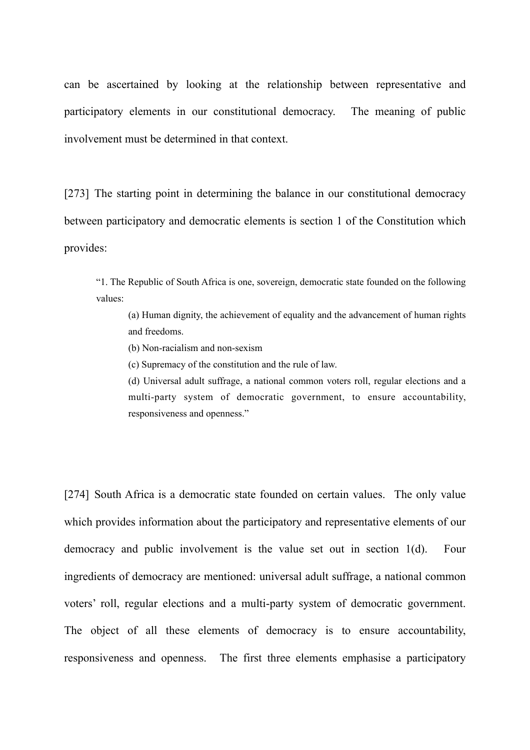can be ascertained by looking at the relationship between representative and participatory elements in our constitutional democracy. The meaning of public involvement must be determined in that context.

[273] The starting point in determining the balance in our constitutional democracy between participatory and democratic elements is section 1 of the Constitution which provides:

"1. The Republic of South Africa is one, sovereign, democratic state founded on the following values:

(a) Human dignity, the achievement of equality and the advancement of human rights and freedoms.

(b) Non-racialism and non-sexism

(c) Supremacy of the constitution and the rule of law.

(d) Universal adult suffrage, a national common voters roll, regular elections and a multi-party system of democratic government, to ensure accountability, responsiveness and openness."

[274] South Africa is a democratic state founded on certain values. The only value which provides information about the participatory and representative elements of our democracy and public involvement is the value set out in section 1(d). Four ingredients of democracy are mentioned: universal adult suffrage, a national common voters' roll, regular elections and a multi-party system of democratic government. The object of all these elements of democracy is to ensure accountability, responsiveness and openness. The first three elements emphasise a participatory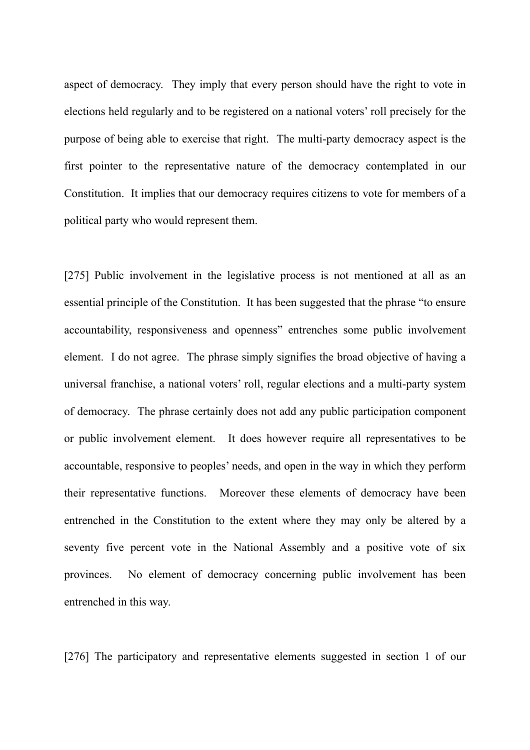aspect of democracy. They imply that every person should have the right to vote in elections held regularly and to be registered on a national voters' roll precisely for the purpose of being able to exercise that right. The multi-party democracy aspect is the first pointer to the representative nature of the democracy contemplated in our Constitution. It implies that our democracy requires citizens to vote for members of a political party who would represent them.

[275] Public involvement in the legislative process is not mentioned at all as an essential principle of the Constitution. It has been suggested that the phrase "to ensure accountability, responsiveness and openness" entrenches some public involvement element. I do not agree. The phrase simply signifies the broad objective of having a universal franchise, a national voters' roll, regular elections and a multi-party system of democracy. The phrase certainly does not add any public participation component or public involvement element. It does however require all representatives to be accountable, responsive to peoples' needs, and open in the way in which they perform their representative functions. Moreover these elements of democracy have been entrenched in the Constitution to the extent where they may only be altered by a seventy five percent vote in the National Assembly and a positive vote of six provinces. No element of democracy concerning public involvement has been entrenched in this way.

[276] The participatory and representative elements suggested in section 1 of our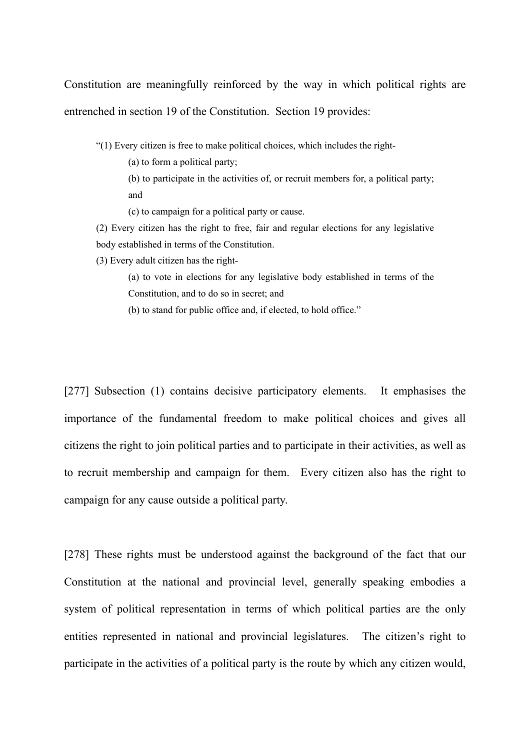Constitution are meaningfully reinforced by the way in which political rights are entrenched in section 19 of the Constitution. Section 19 provides:

"(1) Every citizen is free to make political choices, which includes the right-

(a) to form a political party;

(b) to participate in the activities of, or recruit members for, a political party; and

(c) to campaign for a political party or cause.

(2) Every citizen has the right to free, fair and regular elections for any legislative body established in terms of the Constitution.

(3) Every adult citizen has the right-

(a) to vote in elections for any legislative body established in terms of the Constitution, and to do so in secret; and

(b) to stand for public office and, if elected, to hold office."

[277] Subsection (1) contains decisive participatory elements. It emphasises the importance of the fundamental freedom to make political choices and gives all citizens the right to join political parties and to participate in their activities, as well as to recruit membership and campaign for them. Every citizen also has the right to campaign for any cause outside a political party.

[278] These rights must be understood against the background of the fact that our Constitution at the national and provincial level, generally speaking embodies a system of political representation in terms of which political parties are the only entities represented in national and provincial legislatures. The citizen's right to participate in the activities of a political party is the route by which any citizen would,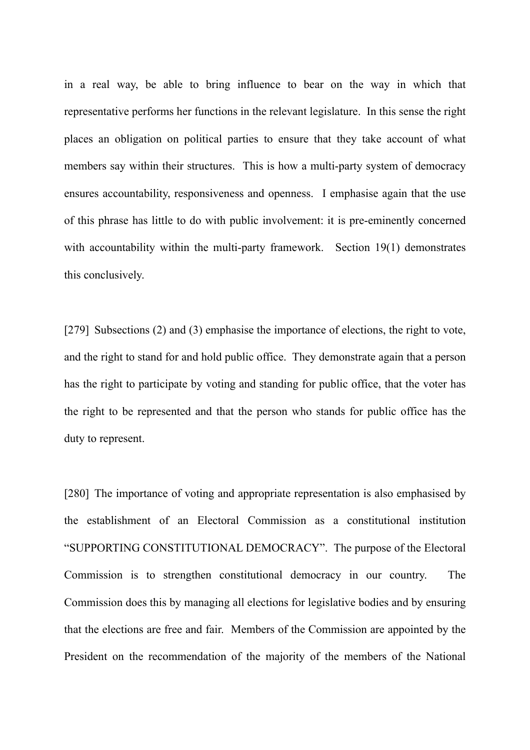in a real way, be able to bring influence to bear on the way in which that representative performs her functions in the relevant legislature. In this sense the right places an obligation on political parties to ensure that they take account of what members say within their structures. This is how a multi-party system of democracy ensures accountability, responsiveness and openness. I emphasise again that the use of this phrase has little to do with public involvement: it is pre-eminently concerned with accountability within the multi-party framework. Section 19(1) demonstrates this conclusively.

[279] Subsections (2) and (3) emphasise the importance of elections, the right to vote, and the right to stand for and hold public office. They demonstrate again that a person has the right to participate by voting and standing for public office, that the voter has the right to be represented and that the person who stands for public office has the duty to represent.

[280] The importance of voting and appropriate representation is also emphasised by the establishment of an Electoral Commission as a constitutional institution "SUPPORTING CONSTITUTIONAL DEMOCRACY". The purpose of the Electoral Commission is to strengthen constitutional democracy in our country. The Commission does this by managing all elections for legislative bodies and by ensuring that the elections are free and fair. Members of the Commission are appointed by the President on the recommendation of the majority of the members of the National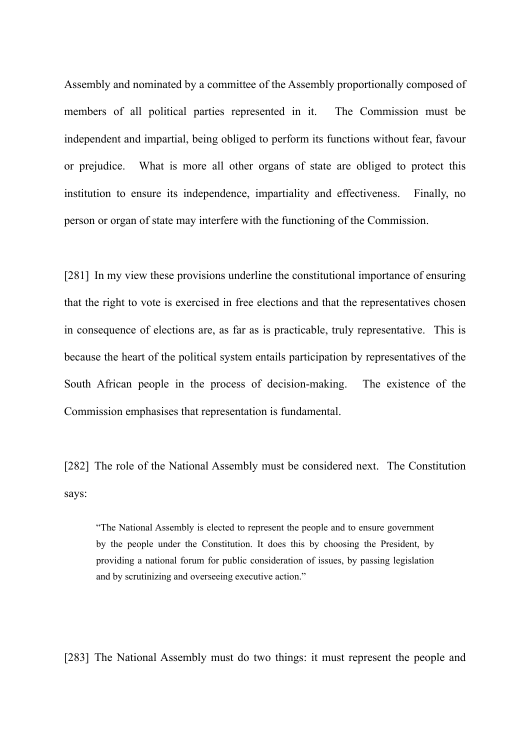Assembly and nominated by a committee of the Assembly proportionally composed of members of all political parties represented in it. The Commission must be independent and impartial, being obliged to perform its functions without fear, favour or prejudice. What is more all other organs of state are obliged to protect this institution to ensure its independence, impartiality and effectiveness. Finally, no person or organ of state may interfere with the functioning of the Commission.

[281] In my view these provisions underline the constitutional importance of ensuring that the right to vote is exercised in free elections and that the representatives chosen in consequence of elections are, as far as is practicable, truly representative. This is because the heart of the political system entails participation by representatives of the South African people in the process of decision-making. The existence of the Commission emphasises that representation is fundamental.

[282] The role of the National Assembly must be considered next. The Constitution says:

"The National Assembly is elected to represent the people and to ensure government by the people under the Constitution. It does this by choosing the President, by providing a national forum for public consideration of issues, by passing legislation and by scrutinizing and overseeing executive action."

[283] The National Assembly must do two things: it must represent the people and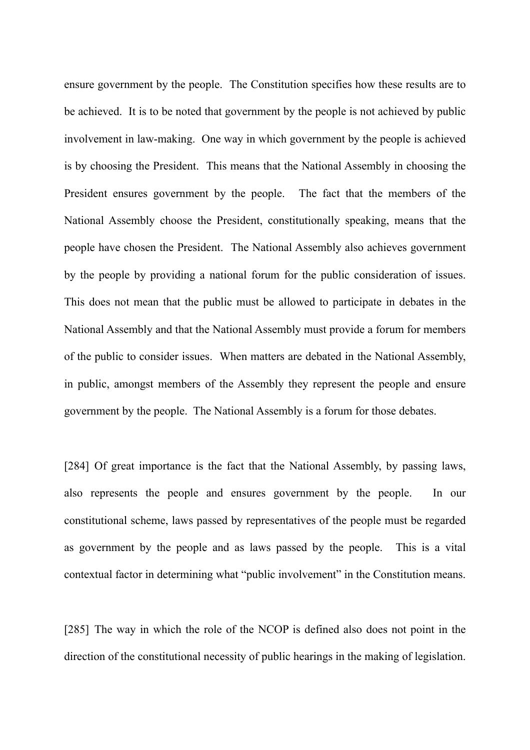ensure government by the people. The Constitution specifies how these results are to be achieved. It is to be noted that government by the people is not achieved by public involvement in law-making. One way in which government by the people is achieved is by choosing the President. This means that the National Assembly in choosing the President ensures government by the people. The fact that the members of the National Assembly choose the President, constitutionally speaking, means that the people have chosen the President. The National Assembly also achieves government by the people by providing a national forum for the public consideration of issues. This does not mean that the public must be allowed to participate in debates in the National Assembly and that the National Assembly must provide a forum for members of the public to consider issues. When matters are debated in the National Assembly, in public, amongst members of the Assembly they represent the people and ensure government by the people. The National Assembly is a forum for those debates.

[284] Of great importance is the fact that the National Assembly, by passing laws, also represents the people and ensures government by the people. In our constitutional scheme, laws passed by representatives of the people must be regarded as government by the people and as laws passed by the people. This is a vital contextual factor in determining what "public involvement" in the Constitution means.

[285] The way in which the role of the NCOP is defined also does not point in the direction of the constitutional necessity of public hearings in the making of legislation.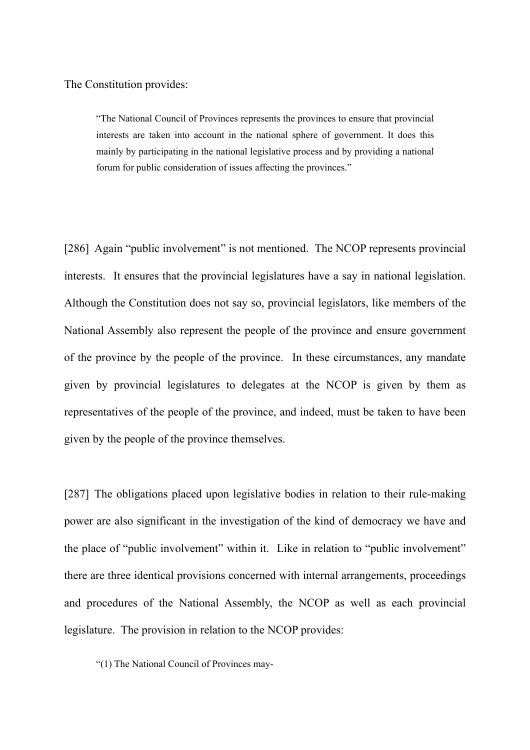The Constitution provides:

"The National Council of Provinces represents the provinces to ensure that provincial interests are taken into account in the national sphere of government. It does this mainly by participating in the national legislative process and by providing a national forum for public consideration of issues affecting the provinces."

[286] Again "public involvement" is not mentioned. The NCOP represents provincial interests. It ensures that the provincial legislatures have a say in national legislation. Although the Constitution does not say so, provincial legislators, like members of the National Assembly also represent the people of the province and ensure government of the province by the people of the province. In these circumstances, any mandate given by provincial legislatures to delegates at the NCOP is given by them as representatives of the people of the province, and indeed, must be taken to have been given by the people of the province themselves.

[287] The obligations placed upon legislative bodies in relation to their rule-making power are also significant in the investigation of the kind of democracy we have and the place of "public involvement" within it. Like in relation to "public involvement" there are three identical provisions concerned with internal arrangements, proceedings and procedures of the National Assembly, the NCOP as well as each provincial legislature. The provision in relation to the NCOP provides:

"(1) The National Council of Provinces may-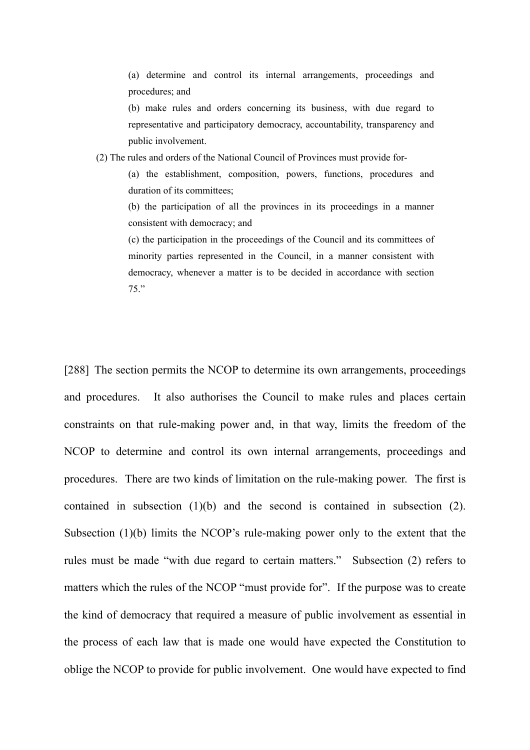(a) determine and control its internal arrangements, proceedings and procedures; and

(b) make rules and orders concerning its business, with due regard to representative and participatory democracy, accountability, transparency and public involvement.

(2) The rules and orders of the National Council of Provinces must provide for-

(a) the establishment, composition, powers, functions, procedures and duration of its committees;

(b) the participation of all the provinces in its proceedings in a manner consistent with democracy; and

(c) the participation in the proceedings of the Council and its committees of minority parties represented in the Council, in a manner consistent with democracy, whenever a matter is to be decided in accordance with section 75."

[288] The section permits the NCOP to determine its own arrangements, proceedings and procedures. It also authorises the Council to make rules and places certain constraints on that rule-making power and, in that way, limits the freedom of the NCOP to determine and control its own internal arrangements, proceedings and procedures. There are two kinds of limitation on the rule-making power. The first is contained in subsection (1)(b) and the second is contained in subsection (2). Subsection (1)(b) limits the NCOP's rule-making power only to the extent that the rules must be made "with due regard to certain matters." Subsection (2) refers to matters which the rules of the NCOP "must provide for". If the purpose was to create the kind of democracy that required a measure of public involvement as essential in the process of each law that is made one would have expected the Constitution to oblige the NCOP to provide for public involvement. One would have expected to find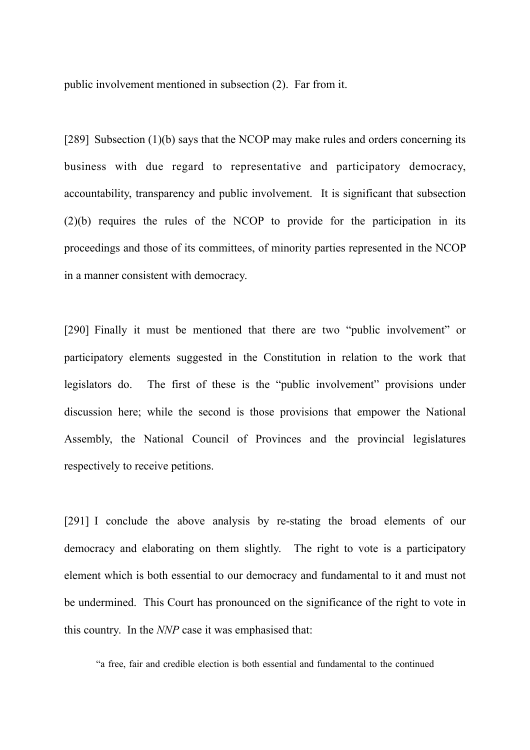public involvement mentioned in subsection (2). Far from it.

[289] Subsection (1)(b) says that the NCOP may make rules and orders concerning its business with due regard to representative and participatory democracy, accountability, transparency and public involvement. It is significant that subsection (2)(b) requires the rules of the NCOP to provide for the participation in its proceedings and those of its committees, of minority parties represented in the NCOP in a manner consistent with democracy.

[290] Finally it must be mentioned that there are two "public involvement" or participatory elements suggested in the Constitution in relation to the work that legislators do. The first of these is the "public involvement" provisions under discussion here; while the second is those provisions that empower the National Assembly, the National Council of Provinces and the provincial legislatures respectively to receive petitions.

[291] I conclude the above analysis by re-stating the broad elements of our democracy and elaborating on them slightly. The right to vote is a participatory element which is both essential to our democracy and fundamental to it and must not be undermined. This Court has pronounced on the significance of the right to vote in this country. In the *NNP* case it was emphasised that:

"a free, fair and credible election is both essential and fundamental to the continued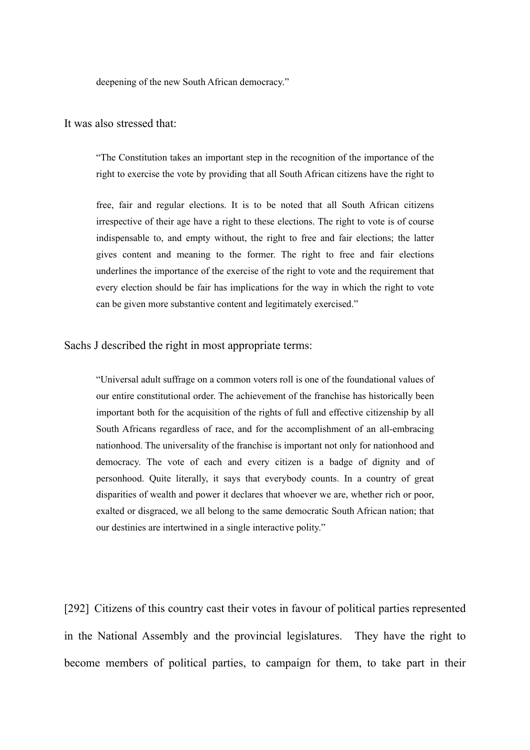deepening of the new South African democracy."

### It was also stressed that:

"The Constitution takes an important step in the recognition of the importance of the right to exercise the vote by providing that all South African citizens have the right to

free, fair and regular elections. It is to be noted that all South African citizens irrespective of their age have a right to these elections. The right to vote is of course indispensable to, and empty without, the right to free and fair elections; the latter gives content and meaning to the former. The right to free and fair elections underlines the importance of the exercise of the right to vote and the requirement that every election should be fair has implications for the way in which the right to vote can be given more substantive content and legitimately exercised."

#### Sachs J described the right in most appropriate terms:

"Universal adult suffrage on a common voters roll is one of the foundational values of our entire constitutional order. The achievement of the franchise has historically been important both for the acquisition of the rights of full and effective citizenship by all South Africans regardless of race, and for the accomplishment of an all-embracing nationhood. The universality of the franchise is important not only for nationhood and democracy. The vote of each and every citizen is a badge of dignity and of personhood. Quite literally, it says that everybody counts. In a country of great disparities of wealth and power it declares that whoever we are, whether rich or poor, exalted or disgraced, we all belong to the same democratic South African nation; that our destinies are intertwined in a single interactive polity."

[292] Citizens of this country cast their votes in favour of political parties represented in the National Assembly and the provincial legislatures. They have the right to become members of political parties, to campaign for them, to take part in their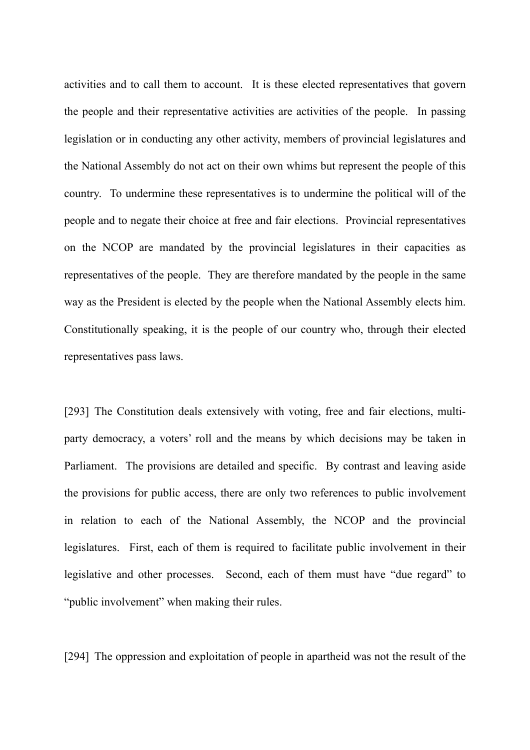activities and to call them to account. It is these elected representatives that govern the people and their representative activities are activities of the people. In passing legislation or in conducting any other activity, members of provincial legislatures and the National Assembly do not act on their own whims but represent the people of this country. To undermine these representatives is to undermine the political will of the people and to negate their choice at free and fair elections. Provincial representatives on the NCOP are mandated by the provincial legislatures in their capacities as representatives of the people. They are therefore mandated by the people in the same way as the President is elected by the people when the National Assembly elects him. Constitutionally speaking, it is the people of our country who, through their elected representatives pass laws.

[293] The Constitution deals extensively with voting, free and fair elections, multiparty democracy, a voters' roll and the means by which decisions may be taken in Parliament. The provisions are detailed and specific. By contrast and leaving aside the provisions for public access, there are only two references to public involvement in relation to each of the National Assembly, the NCOP and the provincial legislatures. First, each of them is required to facilitate public involvement in their legislative and other processes. Second, each of them must have "due regard" to "public involvement" when making their rules.

[294] The oppression and exploitation of people in apartheid was not the result of the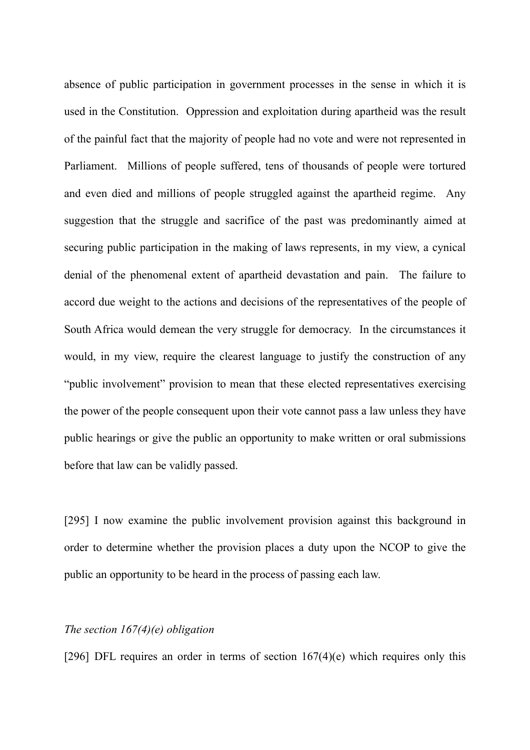absence of public participation in government processes in the sense in which it is used in the Constitution. Oppression and exploitation during apartheid was the result of the painful fact that the majority of people had no vote and were not represented in Parliament. Millions of people suffered, tens of thousands of people were tortured and even died and millions of people struggled against the apartheid regime. Any suggestion that the struggle and sacrifice of the past was predominantly aimed at securing public participation in the making of laws represents, in my view, a cynical denial of the phenomenal extent of apartheid devastation and pain. The failure to accord due weight to the actions and decisions of the representatives of the people of South Africa would demean the very struggle for democracy. In the circumstances it would, in my view, require the clearest language to justify the construction of any "public involvement" provision to mean that these elected representatives exercising the power of the people consequent upon their vote cannot pass a law unless they have public hearings or give the public an opportunity to make written or oral submissions before that law can be validly passed.

[295] I now examine the public involvement provision against this background in order to determine whether the provision places a duty upon the NCOP to give the public an opportunity to be heard in the process of passing each law.

# *The section 167(4)(e) obligation*

[296] DFL requires an order in terms of section  $167(4)(e)$  which requires only this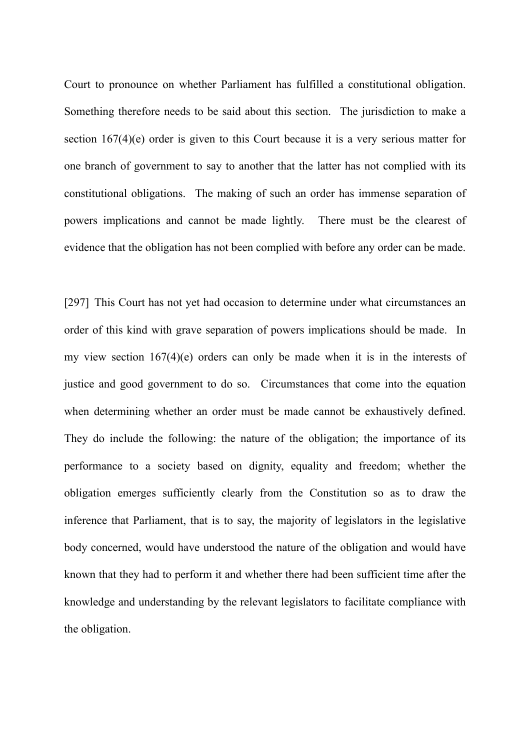Court to pronounce on whether Parliament has fulfilled a constitutional obligation. Something therefore needs to be said about this section. The jurisdiction to make a section 167(4)(e) order is given to this Court because it is a very serious matter for one branch of government to say to another that the latter has not complied with its constitutional obligations. The making of such an order has immense separation of powers implications and cannot be made lightly. There must be the clearest of evidence that the obligation has not been complied with before any order can be made.

[297] This Court has not yet had occasion to determine under what circumstances an order of this kind with grave separation of powers implications should be made. In my view section 167(4)(e) orders can only be made when it is in the interests of justice and good government to do so. Circumstances that come into the equation when determining whether an order must be made cannot be exhaustively defined. They do include the following: the nature of the obligation; the importance of its performance to a society based on dignity, equality and freedom; whether the obligation emerges sufficiently clearly from the Constitution so as to draw the inference that Parliament, that is to say, the majority of legislators in the legislative body concerned, would have understood the nature of the obligation and would have known that they had to perform it and whether there had been sufficient time after the knowledge and understanding by the relevant legislators to facilitate compliance with the obligation.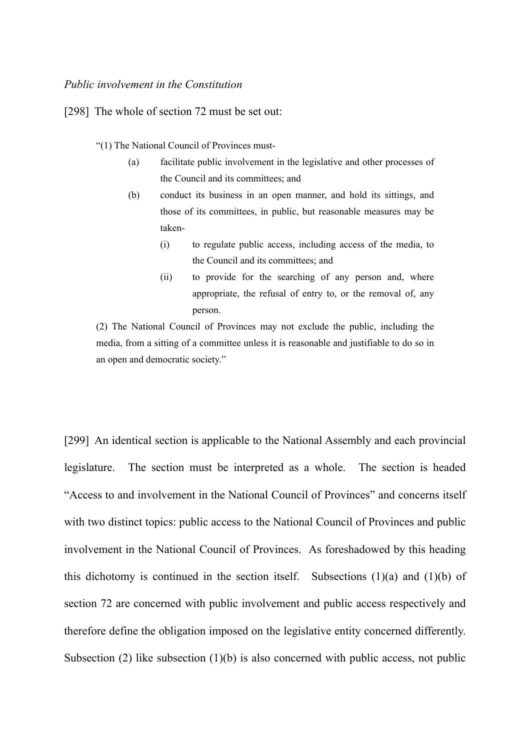#### *Public involvement in the Constitution*

[298] The whole of section 72 must be set out:

- "(1) The National Council of Provinces must-
	- (a) facilitate public involvement in the legislative and other processes of the Council and its committees; and
	- (b) conduct its business in an open manner, and hold its sittings, and those of its committees, in public, but reasonable measures may be taken-
		- (i) to regulate public access, including access of the media, to the Council and its committees; and
		- (ii) to provide for the searching of any person and, where appropriate, the refusal of entry to, or the removal of, any person.

(2) The National Council of Provinces may not exclude the public, including the media, from a sitting of a committee unless it is reasonable and justifiable to do so in an open and democratic society."

[299] An identical section is applicable to the National Assembly and each provincial legislature. The section must be interpreted as a whole. The section is headed "Access to and involvement in the National Council of Provinces" and concerns itself with two distinct topics: public access to the National Council of Provinces and public involvement in the National Council of Provinces. As foreshadowed by this heading this dichotomy is continued in the section itself. Subsections  $(1)(a)$  and  $(1)(b)$  of section 72 are concerned with public involvement and public access respectively and therefore define the obligation imposed on the legislative entity concerned differently. Subsection (2) like subsection (1)(b) is also concerned with public access, not public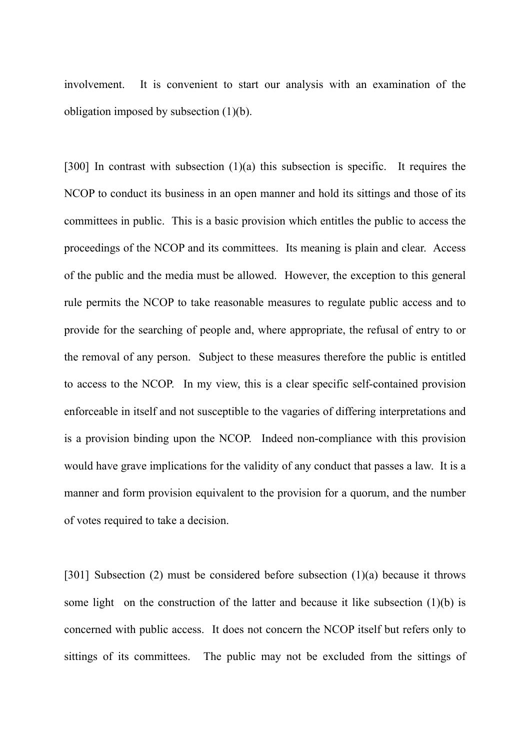involvement. It is convenient to start our analysis with an examination of the obligation imposed by subsection (1)(b).

[300] In contrast with subsection (1)(a) this subsection is specific. It requires the NCOP to conduct its business in an open manner and hold its sittings and those of its committees in public. This is a basic provision which entitles the public to access the proceedings of the NCOP and its committees. Its meaning is plain and clear. Access of the public and the media must be allowed. However, the exception to this general rule permits the NCOP to take reasonable measures to regulate public access and to provide for the searching of people and, where appropriate, the refusal of entry to or the removal of any person. Subject to these measures therefore the public is entitled to access to the NCOP. In my view, this is a clear specific self-contained provision enforceable in itself and not susceptible to the vagaries of differing interpretations and is a provision binding upon the NCOP. Indeed non-compliance with this provision would have grave implications for the validity of any conduct that passes a law. It is a manner and form provision equivalent to the provision for a quorum, and the number of votes required to take a decision.

[301] Subsection (2) must be considered before subsection (1)(a) because it throws some light on the construction of the latter and because it like subsection  $(1)(b)$  is concerned with public access. It does not concern the NCOP itself but refers only to sittings of its committees. The public may not be excluded from the sittings of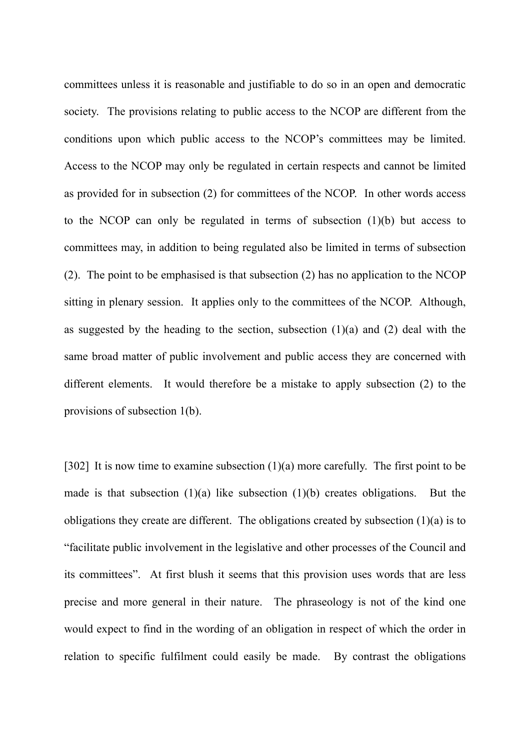committees unless it is reasonable and justifiable to do so in an open and democratic society. The provisions relating to public access to the NCOP are different from the conditions upon which public access to the NCOP's committees may be limited. Access to the NCOP may only be regulated in certain respects and cannot be limited as provided for in subsection (2) for committees of the NCOP. In other words access to the NCOP can only be regulated in terms of subsection (1)(b) but access to committees may, in addition to being regulated also be limited in terms of subsection (2). The point to be emphasised is that subsection (2) has no application to the NCOP sitting in plenary session. It applies only to the committees of the NCOP. Although, as suggested by the heading to the section, subsection  $(1)(a)$  and  $(2)$  deal with the same broad matter of public involvement and public access they are concerned with different elements. It would therefore be a mistake to apply subsection (2) to the provisions of subsection 1(b).

[302] It is now time to examine subsection  $(1)(a)$  more carefully. The first point to be made is that subsection (1)(a) like subsection (1)(b) creates obligations. But the obligations they create are different. The obligations created by subsection (1)(a) is to "facilitate public involvement in the legislative and other processes of the Council and its committees". At first blush it seems that this provision uses words that are less precise and more general in their nature. The phraseology is not of the kind one would expect to find in the wording of an obligation in respect of which the order in relation to specific fulfilment could easily be made. By contrast the obligations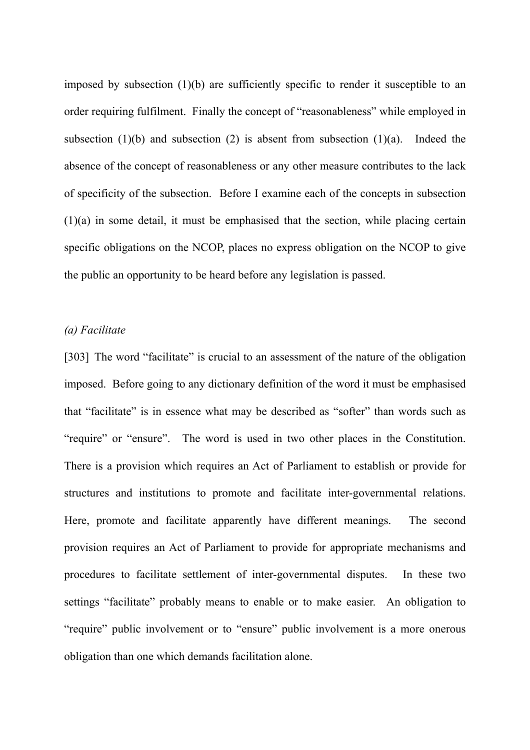imposed by subsection (1)(b) are sufficiently specific to render it susceptible to an order requiring fulfilment. Finally the concept of "reasonableness" while employed in subsection (1)(b) and subsection (2) is absent from subsection (1)(a). Indeed the absence of the concept of reasonableness or any other measure contributes to the lack of specificity of the subsection. Before I examine each of the concepts in subsection (1)(a) in some detail, it must be emphasised that the section, while placing certain specific obligations on the NCOP, places no express obligation on the NCOP to give the public an opportunity to be heard before any legislation is passed.

# *(a) Facilitate*

[303] The word "facilitate" is crucial to an assessment of the nature of the obligation imposed. Before going to any dictionary definition of the word it must be emphasised that "facilitate" is in essence what may be described as "softer" than words such as "require" or "ensure". The word is used in two other places in the Constitution. There is a provision which requires an Act of Parliament to establish or provide for structures and institutions to promote and facilitate inter-governmental relations. Here, promote and facilitate apparently have different meanings. The second provision requires an Act of Parliament to provide for appropriate mechanisms and procedures to facilitate settlement of inter-governmental disputes. In these two settings "facilitate" probably means to enable or to make easier. An obligation to "require" public involvement or to "ensure" public involvement is a more onerous obligation than one which demands facilitation alone.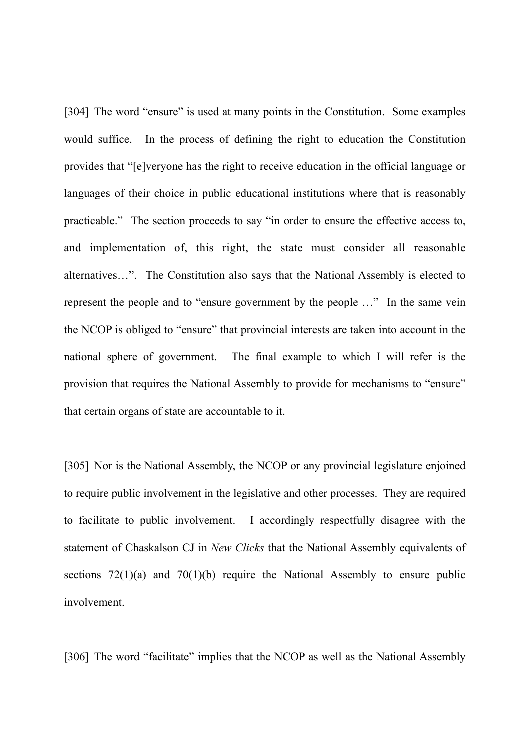[304] The word "ensure" is used at many points in the Constitution. Some examples would suffice. In the process of defining the right to education the Constitution provides that "[e]veryone has the right to receive education in the official language or languages of their choice in public educational institutions where that is reasonably practicable." The section proceeds to say "in order to ensure the effective access to, and implementation of, this right, the state must consider all reasonable alternatives…". The Constitution also says that the National Assembly is elected to represent the people and to "ensure government by the people …" In the same vein the NCOP is obliged to "ensure" that provincial interests are taken into account in the national sphere of government. The final example to which I will refer is the provision that requires the National Assembly to provide for mechanisms to "ensure" that certain organs of state are accountable to it.

[305] Nor is the National Assembly, the NCOP or any provincial legislature enjoined to require public involvement in the legislative and other processes. They are required to facilitate to public involvement. I accordingly respectfully disagree with the statement of Chaskalson CJ in *New Clicks* that the National Assembly equivalents of sections  $72(1)(a)$  and  $70(1)(b)$  require the National Assembly to ensure public involvement.

[306] The word "facilitate" implies that the NCOP as well as the National Assembly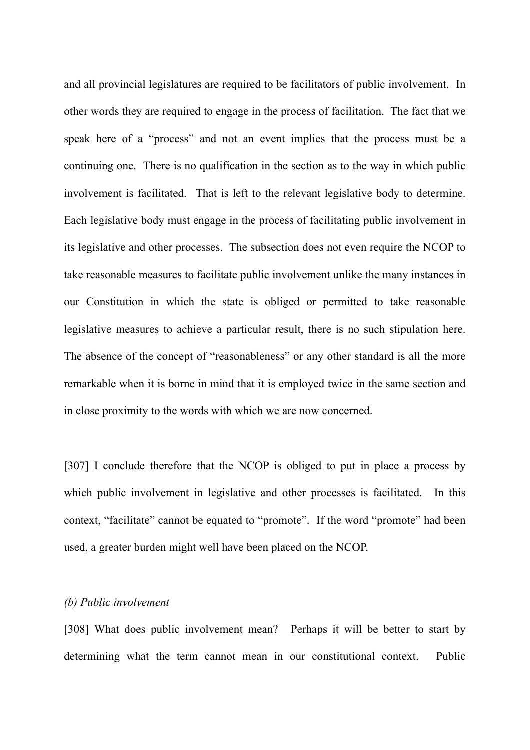and all provincial legislatures are required to be facilitators of public involvement. In other words they are required to engage in the process of facilitation. The fact that we speak here of a "process" and not an event implies that the process must be a continuing one. There is no qualification in the section as to the way in which public involvement is facilitated. That is left to the relevant legislative body to determine. Each legislative body must engage in the process of facilitating public involvement in its legislative and other processes. The subsection does not even require the NCOP to take reasonable measures to facilitate public involvement unlike the many instances in our Constitution in which the state is obliged or permitted to take reasonable legislative measures to achieve a particular result, there is no such stipulation here. The absence of the concept of "reasonableness" or any other standard is all the more remarkable when it is borne in mind that it is employed twice in the same section and in close proximity to the words with which we are now concerned.

[307] I conclude therefore that the NCOP is obliged to put in place a process by which public involvement in legislative and other processes is facilitated. In this context, "facilitate" cannot be equated to "promote". If the word "promote" had been used, a greater burden might well have been placed on the NCOP.

## *(b) Public involvement*

[308] What does public involvement mean? Perhaps it will be better to start by determining what the term cannot mean in our constitutional context. Public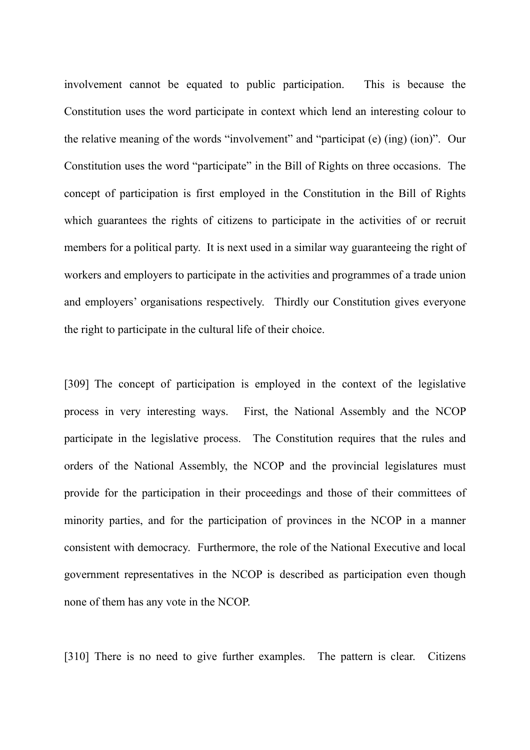involvement cannot be equated to public participation. This is because the Constitution uses the word participate in context which lend an interesting colour to the relative meaning of the words "involvement" and "participat (e) (ing) (ion)". Our Constitution uses the word "participate" in the Bill of Rights on three occasions. The concept of participation is first employed in the Constitution in the Bill of Rights which guarantees the rights of citizens to participate in the activities of or recruit members for a political party. It is next used in a similar way guaranteeing the right of workers and employers to participate in the activities and programmes of a trade union and employers' organisations respectively. Thirdly our Constitution gives everyone the right to participate in the cultural life of their choice.

[309] The concept of participation is employed in the context of the legislative process in very interesting ways. First, the National Assembly and the NCOP participate in the legislative process. The Constitution requires that the rules and orders of the National Assembly, the NCOP and the provincial legislatures must provide for the participation in their proceedings and those of their committees of minority parties, and for the participation of provinces in the NCOP in a manner consistent with democracy. Furthermore, the role of the National Executive and local government representatives in the NCOP is described as participation even though none of them has any vote in the NCOP.

[310] There is no need to give further examples. The pattern is clear. Citizens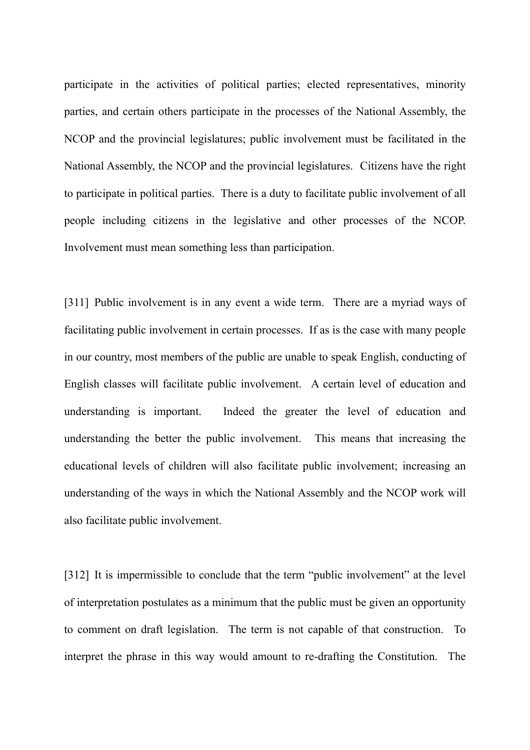participate in the activities of political parties; elected representatives, minority parties, and certain others participate in the processes of the National Assembly, the NCOP and the provincial legislatures; public involvement must be facilitated in the National Assembly, the NCOP and the provincial legislatures. Citizens have the right to participate in political parties. There is a duty to facilitate public involvement of all people including citizens in the legislative and other processes of the NCOP. Involvement must mean something less than participation.

[311] Public involvement is in any event a wide term. There are a myriad ways of facilitating public involvement in certain processes. If as is the case with many people in our country, most members of the public are unable to speak English, conducting of English classes will facilitate public involvement. A certain level of education and understanding is important. Indeed the greater the level of education and understanding the better the public involvement. This means that increasing the educational levels of children will also facilitate public involvement; increasing an understanding of the ways in which the National Assembly and the NCOP work will also facilitate public involvement.

[312] It is impermissible to conclude that the term "public involvement" at the level of interpretation postulates as a minimum that the public must be given an opportunity to comment on draft legislation. The term is not capable of that construction. To interpret the phrase in this way would amount to re-drafting the Constitution. The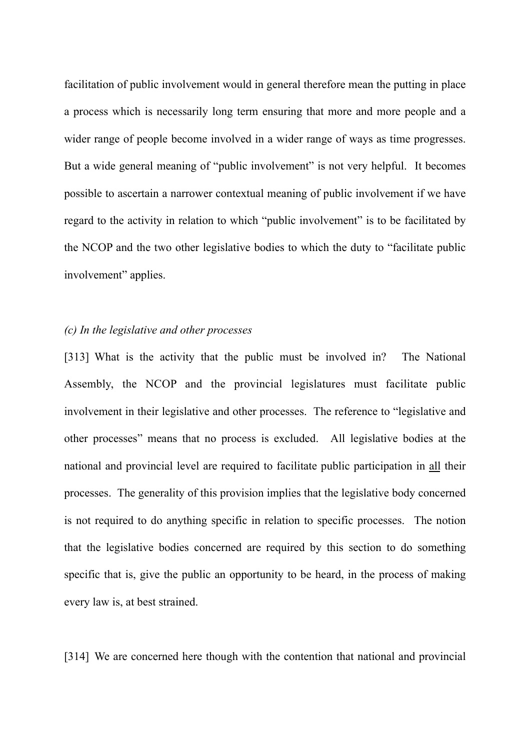facilitation of public involvement would in general therefore mean the putting in place a process which is necessarily long term ensuring that more and more people and a wider range of people become involved in a wider range of ways as time progresses. But a wide general meaning of "public involvement" is not very helpful. It becomes possible to ascertain a narrower contextual meaning of public involvement if we have regard to the activity in relation to which "public involvement" is to be facilitated by the NCOP and the two other legislative bodies to which the duty to "facilitate public involvement" applies.

# *(c) In the legislative and other processes*

[313] What is the activity that the public must be involved in? The National Assembly, the NCOP and the provincial legislatures must facilitate public involvement in their legislative and other processes. The reference to "legislative and other processes" means that no process is excluded. All legislative bodies at the national and provincial level are required to facilitate public participation in all their processes. The generality of this provision implies that the legislative body concerned is not required to do anything specific in relation to specific processes. The notion that the legislative bodies concerned are required by this section to do something specific that is, give the public an opportunity to be heard, in the process of making every law is, at best strained.

[314] We are concerned here though with the contention that national and provincial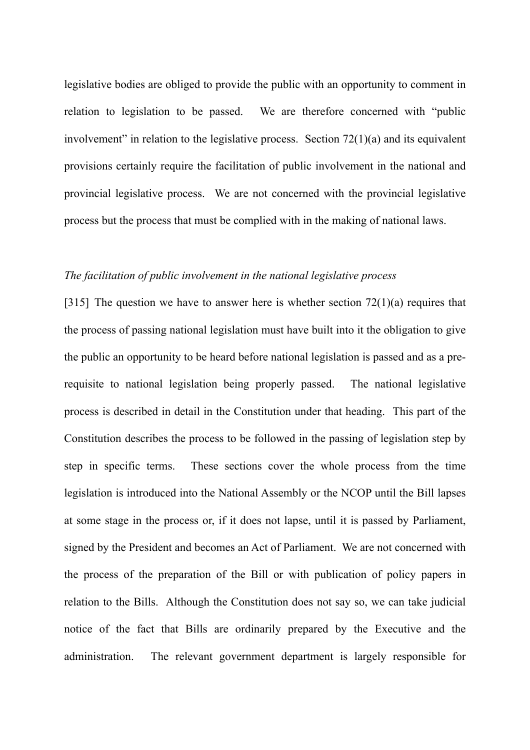legislative bodies are obliged to provide the public with an opportunity to comment in relation to legislation to be passed. We are therefore concerned with "public involvement" in relation to the legislative process. Section  $72(1)(a)$  and its equivalent provisions certainly require the facilitation of public involvement in the national and provincial legislative process. We are not concerned with the provincial legislative process but the process that must be complied with in the making of national laws.

# *The facilitation of public involvement in the national legislative process*

[315] The question we have to answer here is whether section  $72(1)(a)$  requires that the process of passing national legislation must have built into it the obligation to give the public an opportunity to be heard before national legislation is passed and as a prerequisite to national legislation being properly passed. The national legislative process is described in detail in the Constitution under that heading. This part of the Constitution describes the process to be followed in the passing of legislation step by step in specific terms. These sections cover the whole process from the time legislation is introduced into the National Assembly or the NCOP until the Bill lapses at some stage in the process or, if it does not lapse, until it is passed by Parliament, signed by the President and becomes an Act of Parliament. We are not concerned with the process of the preparation of the Bill or with publication of policy papers in relation to the Bills. Although the Constitution does not say so, we can take judicial notice of the fact that Bills are ordinarily prepared by the Executive and the administration. The relevant government department is largely responsible for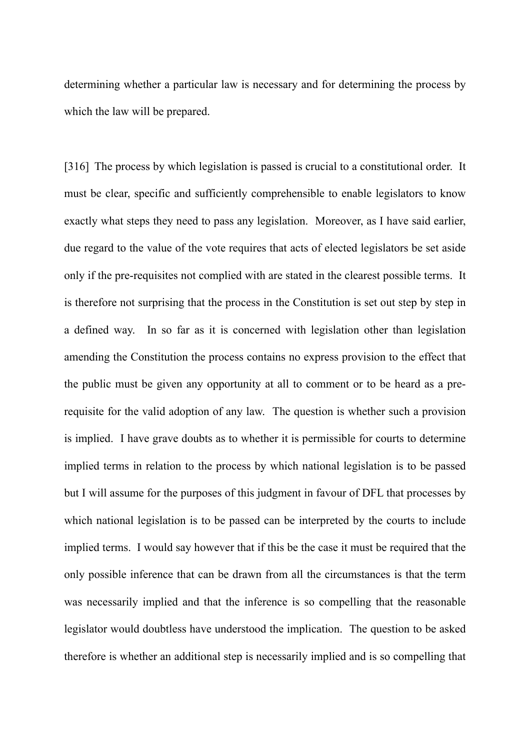determining whether a particular law is necessary and for determining the process by which the law will be prepared.

[316] The process by which legislation is passed is crucial to a constitutional order. It must be clear, specific and sufficiently comprehensible to enable legislators to know exactly what steps they need to pass any legislation. Moreover, as I have said earlier, due regard to the value of the vote requires that acts of elected legislators be set aside only if the pre-requisites not complied with are stated in the clearest possible terms. It is therefore not surprising that the process in the Constitution is set out step by step in a defined way. In so far as it is concerned with legislation other than legislation amending the Constitution the process contains no express provision to the effect that the public must be given any opportunity at all to comment or to be heard as a prerequisite for the valid adoption of any law. The question is whether such a provision is implied. I have grave doubts as to whether it is permissible for courts to determine implied terms in relation to the process by which national legislation is to be passed but I will assume for the purposes of this judgment in favour of DFL that processes by which national legislation is to be passed can be interpreted by the courts to include implied terms. I would say however that if this be the case it must be required that the only possible inference that can be drawn from all the circumstances is that the term was necessarily implied and that the inference is so compelling that the reasonable legislator would doubtless have understood the implication. The question to be asked therefore is whether an additional step is necessarily implied and is so compelling that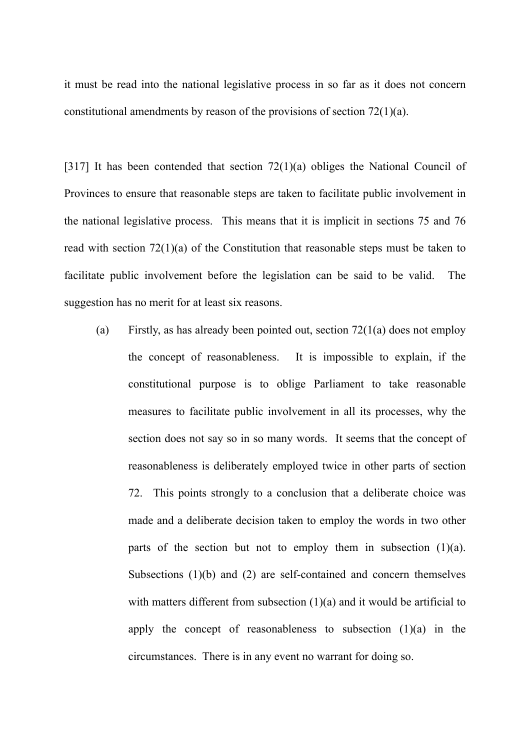it must be read into the national legislative process in so far as it does not concern constitutional amendments by reason of the provisions of section 72(1)(a).

[317] It has been contended that section 72(1)(a) obliges the National Council of Provinces to ensure that reasonable steps are taken to facilitate public involvement in the national legislative process. This means that it is implicit in sections 75 and 76 read with section 72(1)(a) of the Constitution that reasonable steps must be taken to facilitate public involvement before the legislation can be said to be valid. The suggestion has no merit for at least six reasons.

(a) Firstly, as has already been pointed out, section 72(1(a) does not employ the concept of reasonableness. It is impossible to explain, if the constitutional purpose is to oblige Parliament to take reasonable measures to facilitate public involvement in all its processes, why the section does not say so in so many words. It seems that the concept of reasonableness is deliberately employed twice in other parts of section 72. This points strongly to a conclusion that a deliberate choice was made and a deliberate decision taken to employ the words in two other parts of the section but not to employ them in subsection  $(1)(a)$ . Subsections (1)(b) and (2) are self-contained and concern themselves with matters different from subsection (1)(a) and it would be artificial to apply the concept of reasonableness to subsection  $(1)(a)$  in the circumstances. There is in any event no warrant for doing so.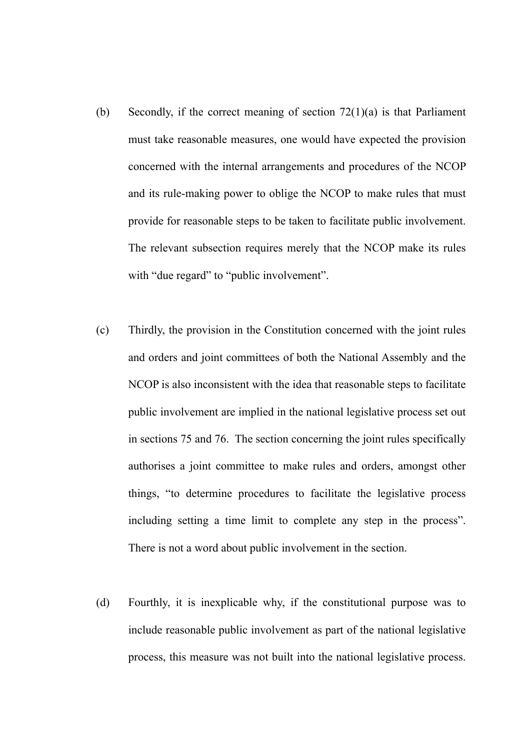- (b) Secondly, if the correct meaning of section 72(1)(a) is that Parliament must take reasonable measures, one would have expected the provision concerned with the internal arrangements and procedures of the NCOP and its rule-making power to oblige the NCOP to make rules that must provide for reasonable steps to be taken to facilitate public involvement. The relevant subsection requires merely that the NCOP make its rules with "due regard" to "public involvement".
- (c) Thirdly, the provision in the Constitution concerned with the joint rules and orders and joint committees of both the National Assembly and the NCOP is also inconsistent with the idea that reasonable steps to facilitate public involvement are implied in the national legislative process set out in sections 75 and 76. The section concerning the joint rules specifically authorises a joint committee to make rules and orders, amongst other things, "to determine procedures to facilitate the legislative process including setting a time limit to complete any step in the process". There is not a word about public involvement in the section.
- (d) Fourthly, it is inexplicable why, if the constitutional purpose was to include reasonable public involvement as part of the national legislative process, this measure was not built into the national legislative process.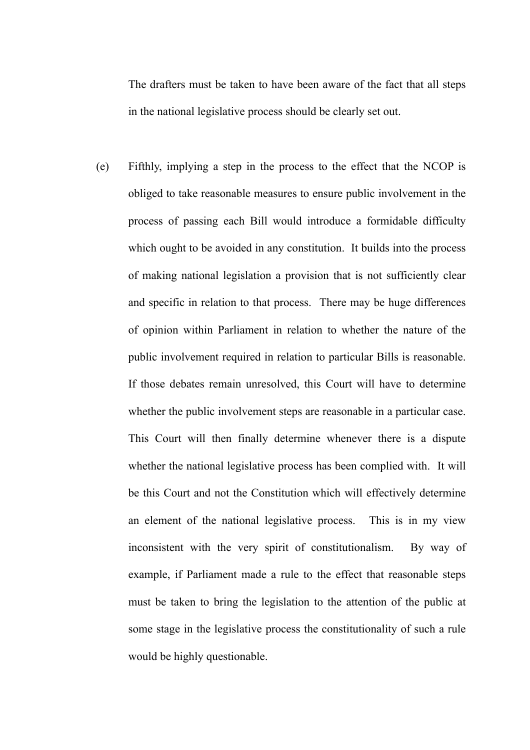The drafters must be taken to have been aware of the fact that all steps in the national legislative process should be clearly set out.

(e) Fifthly, implying a step in the process to the effect that the NCOP is obliged to take reasonable measures to ensure public involvement in the process of passing each Bill would introduce a formidable difficulty which ought to be avoided in any constitution. It builds into the process of making national legislation a provision that is not sufficiently clear and specific in relation to that process. There may be huge differences of opinion within Parliament in relation to whether the nature of the public involvement required in relation to particular Bills is reasonable. If those debates remain unresolved, this Court will have to determine whether the public involvement steps are reasonable in a particular case. This Court will then finally determine whenever there is a dispute whether the national legislative process has been complied with. It will be this Court and not the Constitution which will effectively determine an element of the national legislative process. This is in my view inconsistent with the very spirit of constitutionalism. By way of example, if Parliament made a rule to the effect that reasonable steps must be taken to bring the legislation to the attention of the public at some stage in the legislative process the constitutionality of such a rule would be highly questionable.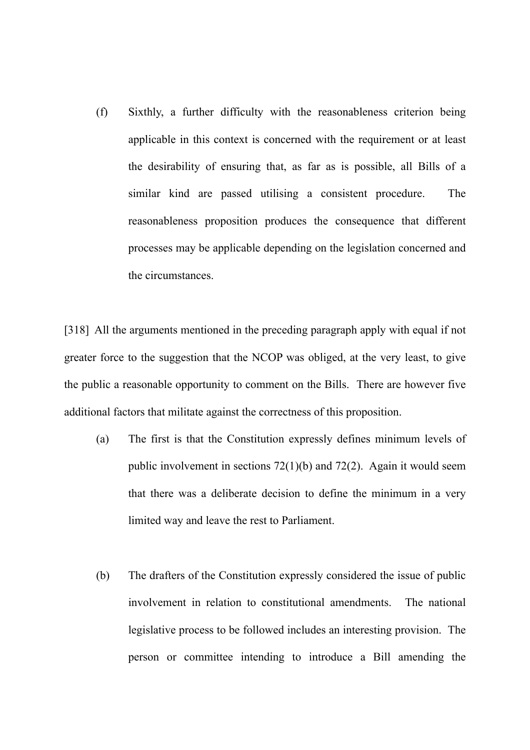(f) Sixthly, a further difficulty with the reasonableness criterion being applicable in this context is concerned with the requirement or at least the desirability of ensuring that, as far as is possible, all Bills of a similar kind are passed utilising a consistent procedure. The reasonableness proposition produces the consequence that different processes may be applicable depending on the legislation concerned and the circumstances.

[318] All the arguments mentioned in the preceding paragraph apply with equal if not greater force to the suggestion that the NCOP was obliged, at the very least, to give the public a reasonable opportunity to comment on the Bills. There are however five additional factors that militate against the correctness of this proposition.

- (a) The first is that the Constitution expressly defines minimum levels of public involvement in sections 72(1)(b) and 72(2). Again it would seem that there was a deliberate decision to define the minimum in a very limited way and leave the rest to Parliament.
- (b) The drafters of the Constitution expressly considered the issue of public involvement in relation to constitutional amendments. The national legislative process to be followed includes an interesting provision. The person or committee intending to introduce a Bill amending the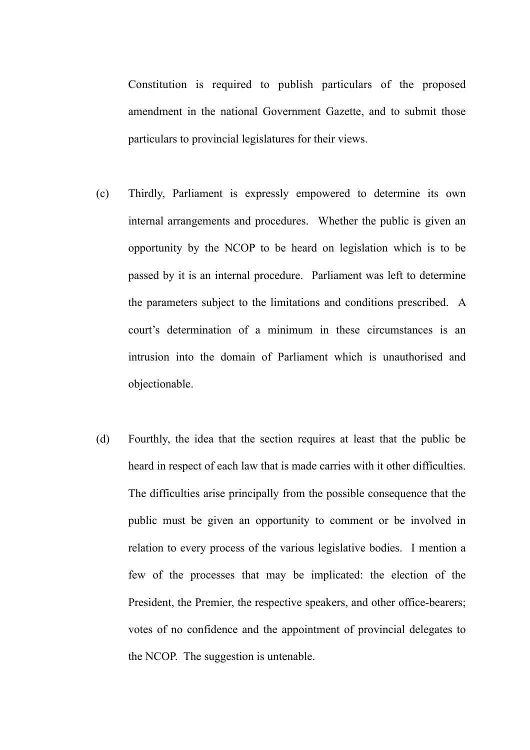Constitution is required to publish particulars of the proposed amendment in the national Government Gazette, and to submit those particulars to provincial legislatures for their views.

- (c) Thirdly, Parliament is expressly empowered to determine its own internal arrangements and procedures. Whether the public is given an opportunity by the NCOP to be heard on legislation which is to be passed by it is an internal procedure. Parliament was left to determine the parameters subject to the limitations and conditions prescribed. A court's determination of a minimum in these circumstances is an intrusion into the domain of Parliament which is unauthorised and objectionable.
- (d) Fourthly, the idea that the section requires at least that the public be heard in respect of each law that is made carries with it other difficulties. The difficulties arise principally from the possible consequence that the public must be given an opportunity to comment or be involved in relation to every process of the various legislative bodies. I mention a few of the processes that may be implicated: the election of the President, the Premier, the respective speakers, and other office-bearers; votes of no confidence and the appointment of provincial delegates to the NCOP. The suggestion is untenable.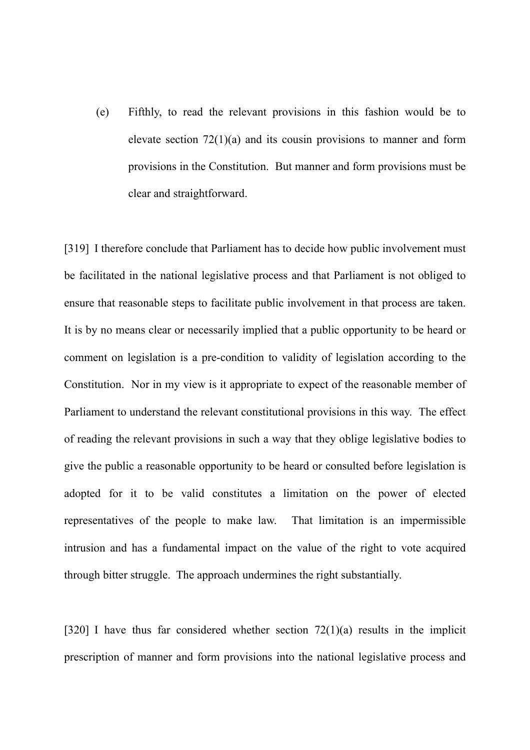(e) Fifthly, to read the relevant provisions in this fashion would be to elevate section  $72(1)(a)$  and its cousin provisions to manner and form provisions in the Constitution. But manner and form provisions must be clear and straightforward.

[319] I therefore conclude that Parliament has to decide how public involvement must be facilitated in the national legislative process and that Parliament is not obliged to ensure that reasonable steps to facilitate public involvement in that process are taken. It is by no means clear or necessarily implied that a public opportunity to be heard or comment on legislation is a pre-condition to validity of legislation according to the Constitution. Nor in my view is it appropriate to expect of the reasonable member of Parliament to understand the relevant constitutional provisions in this way. The effect of reading the relevant provisions in such a way that they oblige legislative bodies to give the public a reasonable opportunity to be heard or consulted before legislation is adopted for it to be valid constitutes a limitation on the power of elected representatives of the people to make law. That limitation is an impermissible intrusion and has a fundamental impact on the value of the right to vote acquired through bitter struggle. The approach undermines the right substantially.

[320] I have thus far considered whether section  $72(1)(a)$  results in the implicit prescription of manner and form provisions into the national legislative process and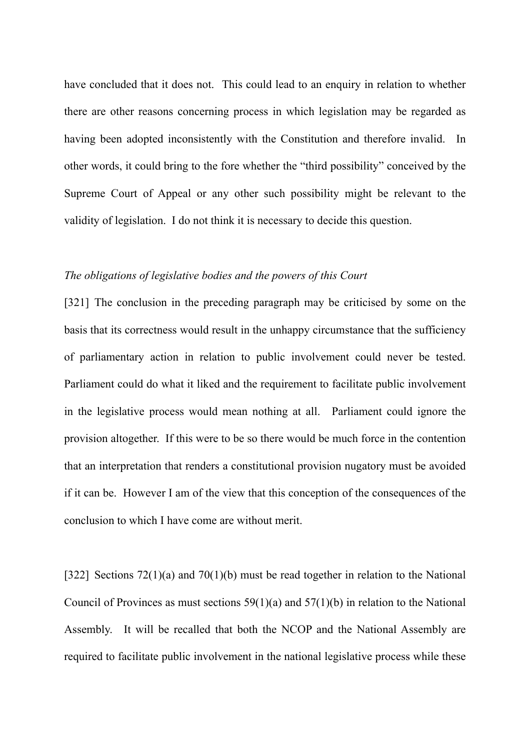have concluded that it does not. This could lead to an enquiry in relation to whether there are other reasons concerning process in which legislation may be regarded as having been adopted inconsistently with the Constitution and therefore invalid. In other words, it could bring to the fore whether the "third possibility" conceived by the Supreme Court of Appeal or any other such possibility might be relevant to the validity of legislation. I do not think it is necessary to decide this question.

# *The obligations of legislative bodies and the powers of this Court*

[321] The conclusion in the preceding paragraph may be criticised by some on the basis that its correctness would result in the unhappy circumstance that the sufficiency of parliamentary action in relation to public involvement could never be tested. Parliament could do what it liked and the requirement to facilitate public involvement in the legislative process would mean nothing at all. Parliament could ignore the provision altogether. If this were to be so there would be much force in the contention that an interpretation that renders a constitutional provision nugatory must be avoided if it can be. However I am of the view that this conception of the consequences of the conclusion to which I have come are without merit.

[322] Sections 72(1)(a) and 70(1)(b) must be read together in relation to the National Council of Provinces as must sections  $59(1)(a)$  and  $57(1)(b)$  in relation to the National Assembly. It will be recalled that both the NCOP and the National Assembly are required to facilitate public involvement in the national legislative process while these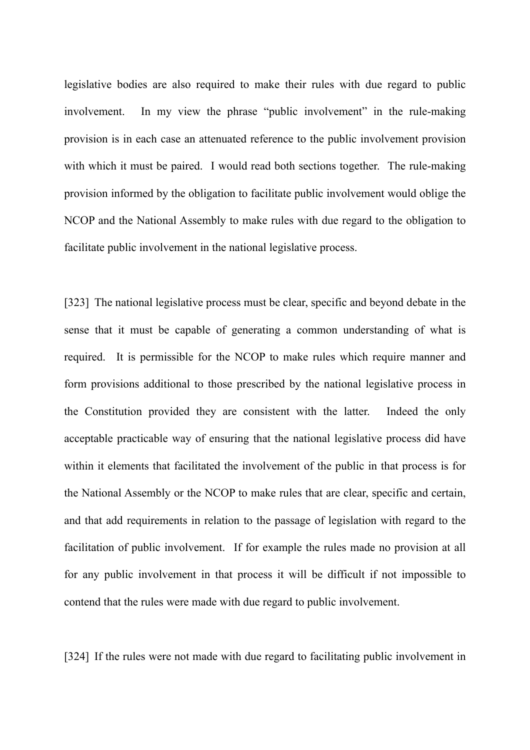legislative bodies are also required to make their rules with due regard to public involvement. In my view the phrase "public involvement" in the rule-making provision is in each case an attenuated reference to the public involvement provision with which it must be paired. I would read both sections together. The rule-making provision informed by the obligation to facilitate public involvement would oblige the NCOP and the National Assembly to make rules with due regard to the obligation to facilitate public involvement in the national legislative process.

[323] The national legislative process must be clear, specific and beyond debate in the sense that it must be capable of generating a common understanding of what is required. It is permissible for the NCOP to make rules which require manner and form provisions additional to those prescribed by the national legislative process in the Constitution provided they are consistent with the latter. Indeed the only acceptable practicable way of ensuring that the national legislative process did have within it elements that facilitated the involvement of the public in that process is for the National Assembly or the NCOP to make rules that are clear, specific and certain, and that add requirements in relation to the passage of legislation with regard to the facilitation of public involvement. If for example the rules made no provision at all for any public involvement in that process it will be difficult if not impossible to contend that the rules were made with due regard to public involvement.

[324] If the rules were not made with due regard to facilitating public involvement in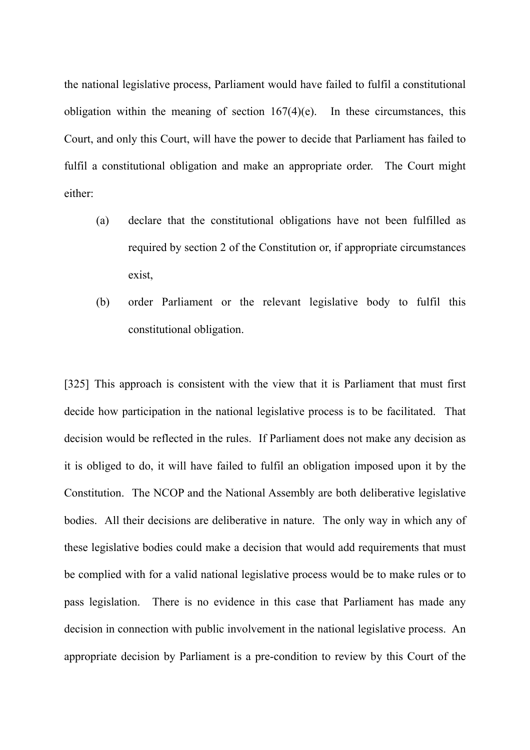the national legislative process, Parliament would have failed to fulfil a constitutional obligation within the meaning of section  $167(4)$ (e). In these circumstances, this Court, and only this Court, will have the power to decide that Parliament has failed to fulfil a constitutional obligation and make an appropriate order. The Court might either:

- (a) declare that the constitutional obligations have not been fulfilled as required by section 2 of the Constitution or, if appropriate circumstances exist,
- (b) order Parliament or the relevant legislative body to fulfil this constitutional obligation.

[325] This approach is consistent with the view that it is Parliament that must first decide how participation in the national legislative process is to be facilitated. That decision would be reflected in the rules. If Parliament does not make any decision as it is obliged to do, it will have failed to fulfil an obligation imposed upon it by the Constitution. The NCOP and the National Assembly are both deliberative legislative bodies. All their decisions are deliberative in nature. The only way in which any of these legislative bodies could make a decision that would add requirements that must be complied with for a valid national legislative process would be to make rules or to pass legislation. There is no evidence in this case that Parliament has made any decision in connection with public involvement in the national legislative process. An appropriate decision by Parliament is a pre-condition to review by this Court of the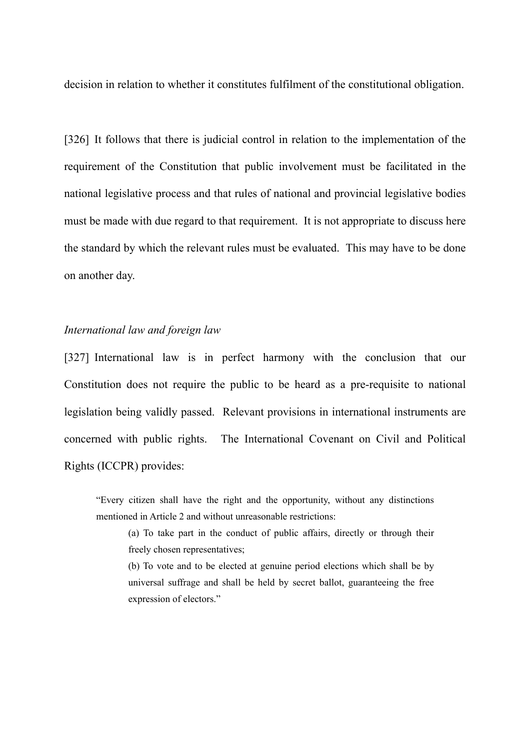decision in relation to whether it constitutes fulfilment of the constitutional obligation.

[326] It follows that there is judicial control in relation to the implementation of the requirement of the Constitution that public involvement must be facilitated in the national legislative process and that rules of national and provincial legislative bodies must be made with due regard to that requirement. It is not appropriate to discuss here the standard by which the relevant rules must be evaluated. This may have to be done on another day.

# *International law and foreign law*

[327] International law is in perfect harmony with the conclusion that our Constitution does not require the public to be heard as a pre-requisite to national legislation being validly passed. Relevant provisions in international instruments are concerned with public rights. The International Covenant on Civil and Political Rights (ICCPR) provides:

"Every citizen shall have the right and the opportunity, without any distinctions mentioned in Article 2 and without unreasonable restrictions:

(a) To take part in the conduct of public affairs, directly or through their freely chosen representatives;

(b) To vote and to be elected at genuine period elections which shall be by universal suffrage and shall be held by secret ballot, guaranteeing the free expression of electors."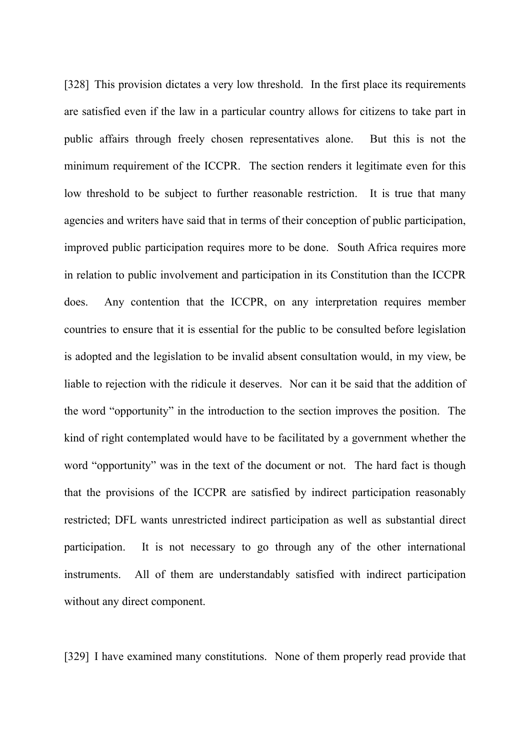[328] This provision dictates a very low threshold. In the first place its requirements are satisfied even if the law in a particular country allows for citizens to take part in public affairs through freely chosen representatives alone. But this is not the minimum requirement of the ICCPR. The section renders it legitimate even for this low threshold to be subject to further reasonable restriction. It is true that many agencies and writers have said that in terms of their conception of public participation, improved public participation requires more to be done. South Africa requires more in relation to public involvement and participation in its Constitution than the ICCPR does. Any contention that the ICCPR, on any interpretation requires member countries to ensure that it is essential for the public to be consulted before legislation is adopted and the legislation to be invalid absent consultation would, in my view, be liable to rejection with the ridicule it deserves. Nor can it be said that the addition of the word "opportunity" in the introduction to the section improves the position. The kind of right contemplated would have to be facilitated by a government whether the word "opportunity" was in the text of the document or not. The hard fact is though that the provisions of the ICCPR are satisfied by indirect participation reasonably restricted; DFL wants unrestricted indirect participation as well as substantial direct participation. It is not necessary to go through any of the other international instruments. All of them are understandably satisfied with indirect participation without any direct component.

[329] I have examined many constitutions. None of them properly read provide that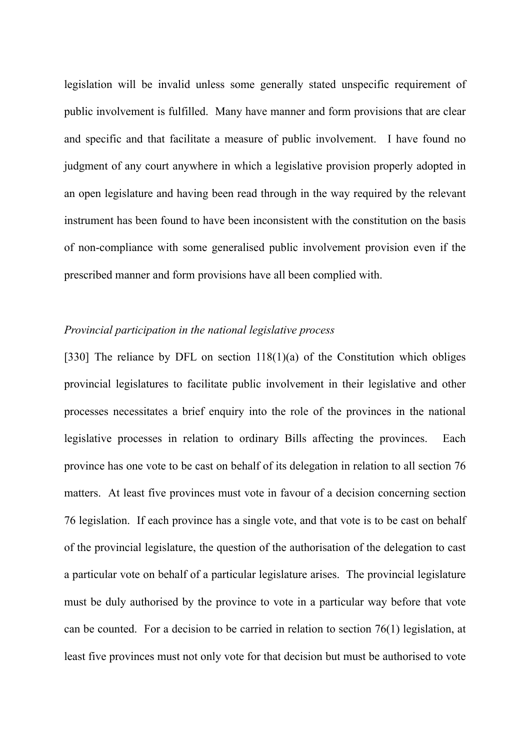legislation will be invalid unless some generally stated unspecific requirement of public involvement is fulfilled. Many have manner and form provisions that are clear and specific and that facilitate a measure of public involvement. I have found no judgment of any court anywhere in which a legislative provision properly adopted in an open legislature and having been read through in the way required by the relevant instrument has been found to have been inconsistent with the constitution on the basis of non-compliance with some generalised public involvement provision even if the prescribed manner and form provisions have all been complied with.

# *Provincial participation in the national legislative process*

[330] The reliance by DFL on section 118(1)(a) of the Constitution which obliges provincial legislatures to facilitate public involvement in their legislative and other processes necessitates a brief enquiry into the role of the provinces in the national legislative processes in relation to ordinary Bills affecting the provinces. Each province has one vote to be cast on behalf of its delegation in relation to all section 76 matters. At least five provinces must vote in favour of a decision concerning section 76 legislation. If each province has a single vote, and that vote is to be cast on behalf of the provincial legislature, the question of the authorisation of the delegation to cast a particular vote on behalf of a particular legislature arises. The provincial legislature must be duly authorised by the province to vote in a particular way before that vote can be counted. For a decision to be carried in relation to section 76(1) legislation, at least five provinces must not only vote for that decision but must be authorised to vote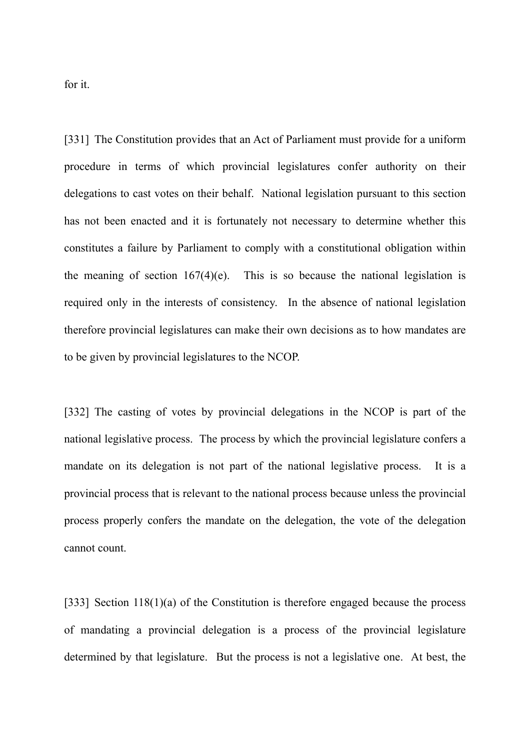for it.

[331] The Constitution provides that an Act of Parliament must provide for a uniform procedure in terms of which provincial legislatures confer authority on their delegations to cast votes on their behalf. National legislation pursuant to this section has not been enacted and it is fortunately not necessary to determine whether this constitutes a failure by Parliament to comply with a constitutional obligation within the meaning of section  $167(4)(e)$ . This is so because the national legislation is required only in the interests of consistency. In the absence of national legislation therefore provincial legislatures can make their own decisions as to how mandates are to be given by provincial legislatures to the NCOP.

[332] The casting of votes by provincial delegations in the NCOP is part of the national legislative process. The process by which the provincial legislature confers a mandate on its delegation is not part of the national legislative process. It is a provincial process that is relevant to the national process because unless the provincial process properly confers the mandate on the delegation, the vote of the delegation cannot count.

[333] Section 118(1)(a) of the Constitution is therefore engaged because the process of mandating a provincial delegation is a process of the provincial legislature determined by that legislature. But the process is not a legislative one. At best, the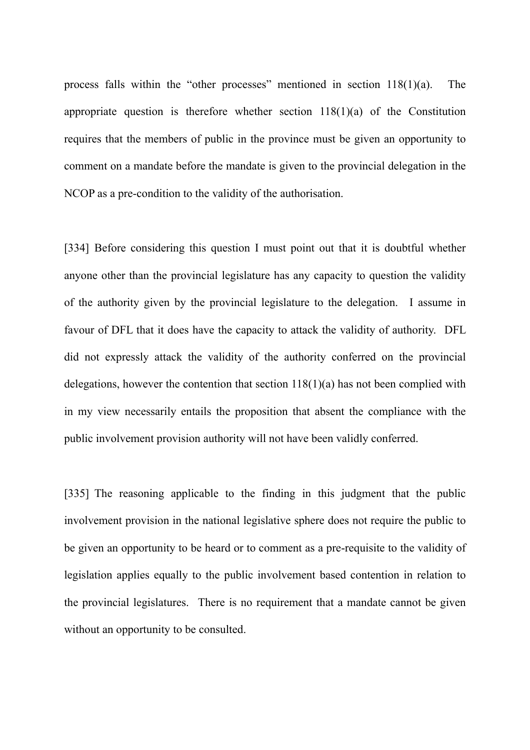process falls within the "other processes" mentioned in section 118(1)(a). The appropriate question is therefore whether section  $118(1)(a)$  of the Constitution requires that the members of public in the province must be given an opportunity to comment on a mandate before the mandate is given to the provincial delegation in the NCOP as a pre-condition to the validity of the authorisation.

[334] Before considering this question I must point out that it is doubtful whether anyone other than the provincial legislature has any capacity to question the validity of the authority given by the provincial legislature to the delegation. I assume in favour of DFL that it does have the capacity to attack the validity of authority. DFL did not expressly attack the validity of the authority conferred on the provincial delegations, however the contention that section 118(1)(a) has not been complied with in my view necessarily entails the proposition that absent the compliance with the public involvement provision authority will not have been validly conferred.

[335] The reasoning applicable to the finding in this judgment that the public involvement provision in the national legislative sphere does not require the public to be given an opportunity to be heard or to comment as a pre-requisite to the validity of legislation applies equally to the public involvement based contention in relation to the provincial legislatures. There is no requirement that a mandate cannot be given without an opportunity to be consulted.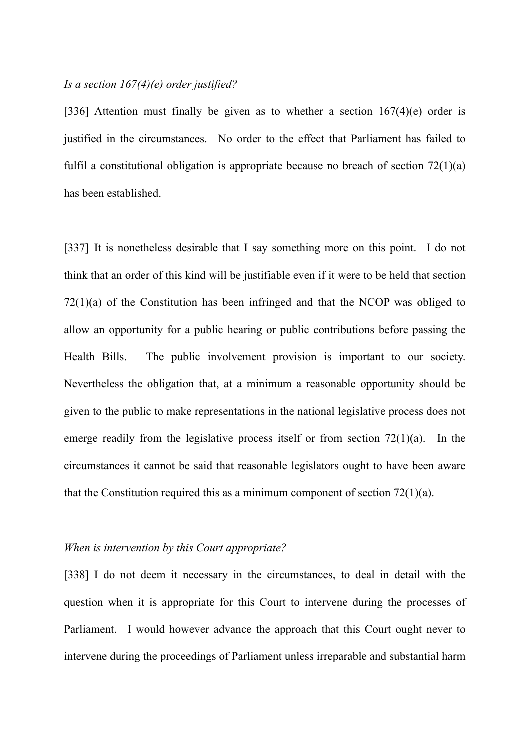# *Is a section 167(4)(e) order justified?*

[336] Attention must finally be given as to whether a section  $167(4)(e)$  order is justified in the circumstances. No order to the effect that Parliament has failed to fulfil a constitutional obligation is appropriate because no breach of section 72(1)(a) has been established.

[337] It is nonetheless desirable that I say something more on this point. I do not think that an order of this kind will be justifiable even if it were to be held that section 72(1)(a) of the Constitution has been infringed and that the NCOP was obliged to allow an opportunity for a public hearing or public contributions before passing the Health Bills. The public involvement provision is important to our society. Nevertheless the obligation that, at a minimum a reasonable opportunity should be given to the public to make representations in the national legislative process does not emerge readily from the legislative process itself or from section  $72(1)(a)$ . In the circumstances it cannot be said that reasonable legislators ought to have been aware that the Constitution required this as a minimum component of section 72(1)(a).

## *When is intervention by this Court appropriate?*

[338] I do not deem it necessary in the circumstances, to deal in detail with the question when it is appropriate for this Court to intervene during the processes of Parliament. I would however advance the approach that this Court ought never to intervene during the proceedings of Parliament unless irreparable and substantial harm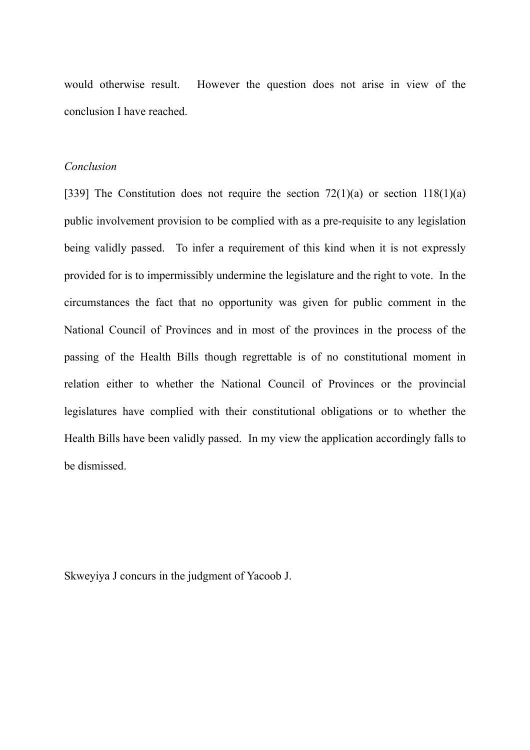would otherwise result. However the question does not arise in view of the conclusion I have reached.

# *Conclusion*

[339] The Constitution does not require the section  $72(1)(a)$  or section  $118(1)(a)$ public involvement provision to be complied with as a pre-requisite to any legislation being validly passed. To infer a requirement of this kind when it is not expressly provided for is to impermissibly undermine the legislature and the right to vote. In the circumstances the fact that no opportunity was given for public comment in the National Council of Provinces and in most of the provinces in the process of the passing of the Health Bills though regrettable is of no constitutional moment in relation either to whether the National Council of Provinces or the provincial legislatures have complied with their constitutional obligations or to whether the Health Bills have been validly passed. In my view the application accordingly falls to be dismissed.

Skweyiya J concurs in the judgment of Yacoob J.